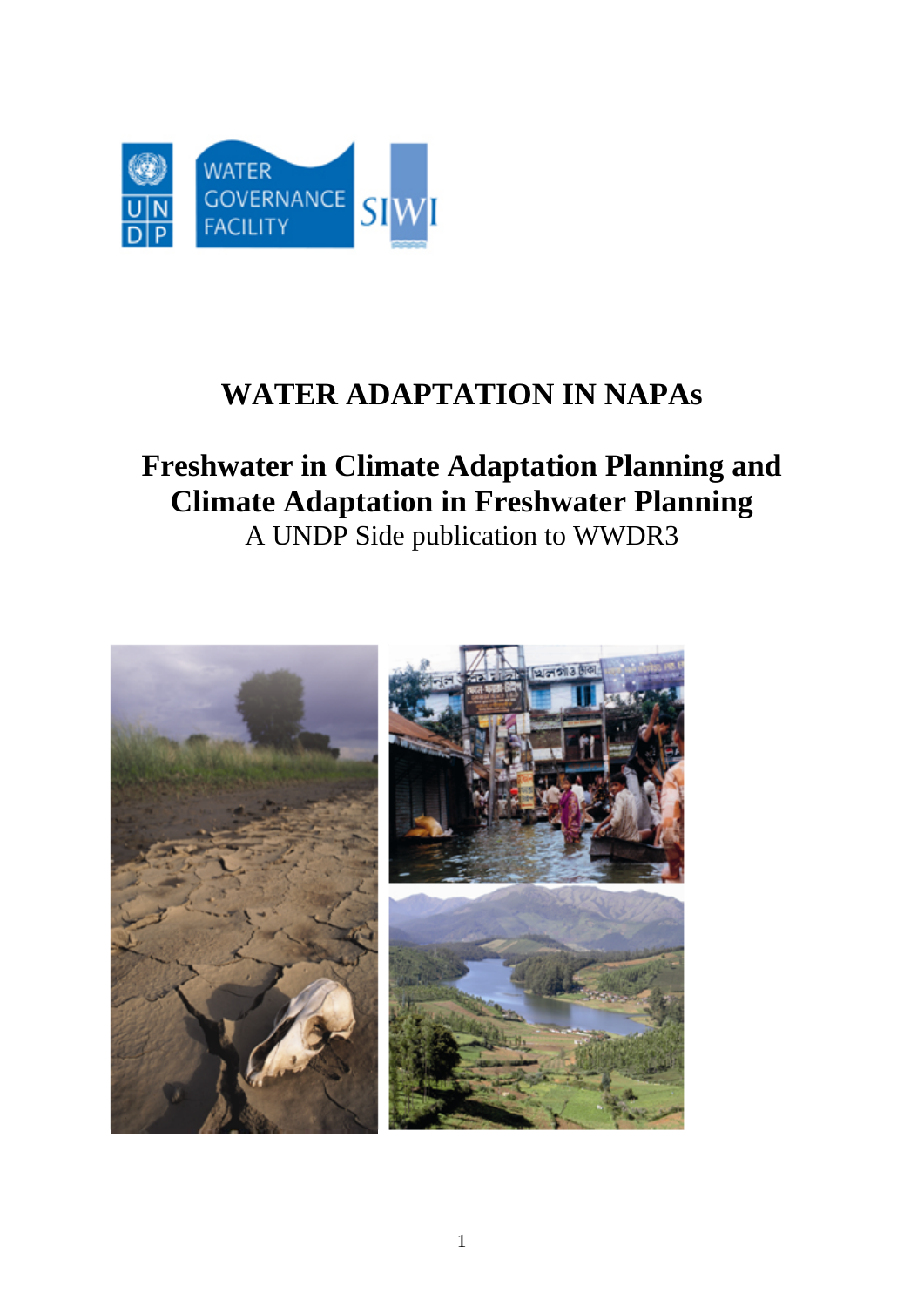

# **WATER ADAPTATION IN NAPAs**

# **Freshwater in Climate Adaptation Planning and Climate Adaptation in Freshwater Planning**  A UNDP Side publication to WWDR3

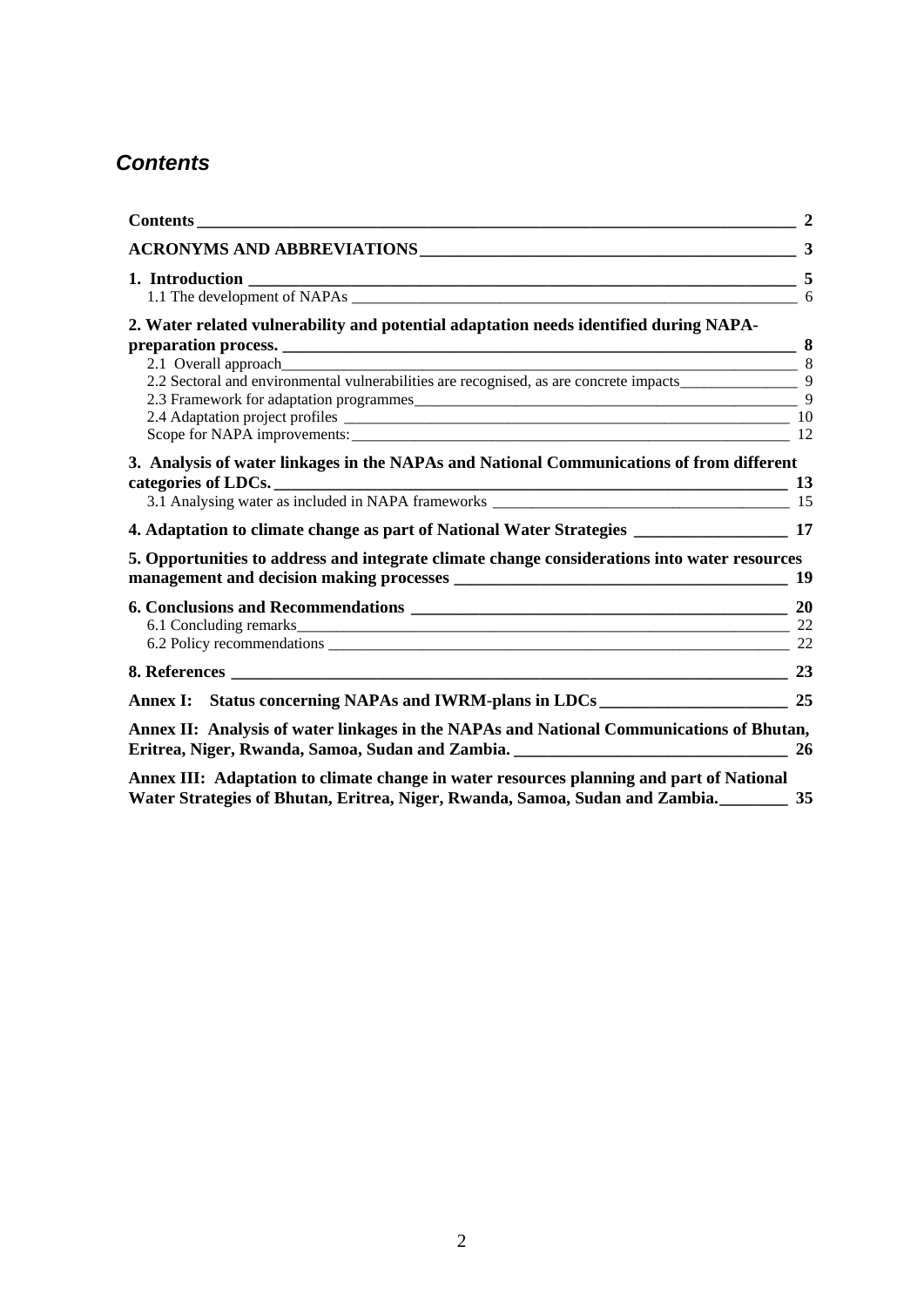# *Contents*

|                                                                                                                                                                             | $\overline{2}$ |
|-----------------------------------------------------------------------------------------------------------------------------------------------------------------------------|----------------|
|                                                                                                                                                                             |                |
|                                                                                                                                                                             |                |
| 2. Water related vulnerability and potential adaptation needs identified during NAPA-                                                                                       |                |
| 3. Analysis of water linkages in the NAPAs and National Communications of from different                                                                                    |                |
| 4. Adaptation to climate change as part of National Water Strategies ________________________ 17                                                                            |                |
| 5. Opportunities to address and integrate climate change considerations into water resources                                                                                | 19             |
|                                                                                                                                                                             |                |
|                                                                                                                                                                             | 23             |
|                                                                                                                                                                             |                |
| Annex II: Analysis of water linkages in the NAPAs and National Communications of Bhutan,                                                                                    |                |
| Annex III: Adaptation to climate change in water resources planning and part of National<br>Water Strategies of Bhutan, Eritrea, Niger, Rwanda, Samoa, Sudan and Zambia. 35 |                |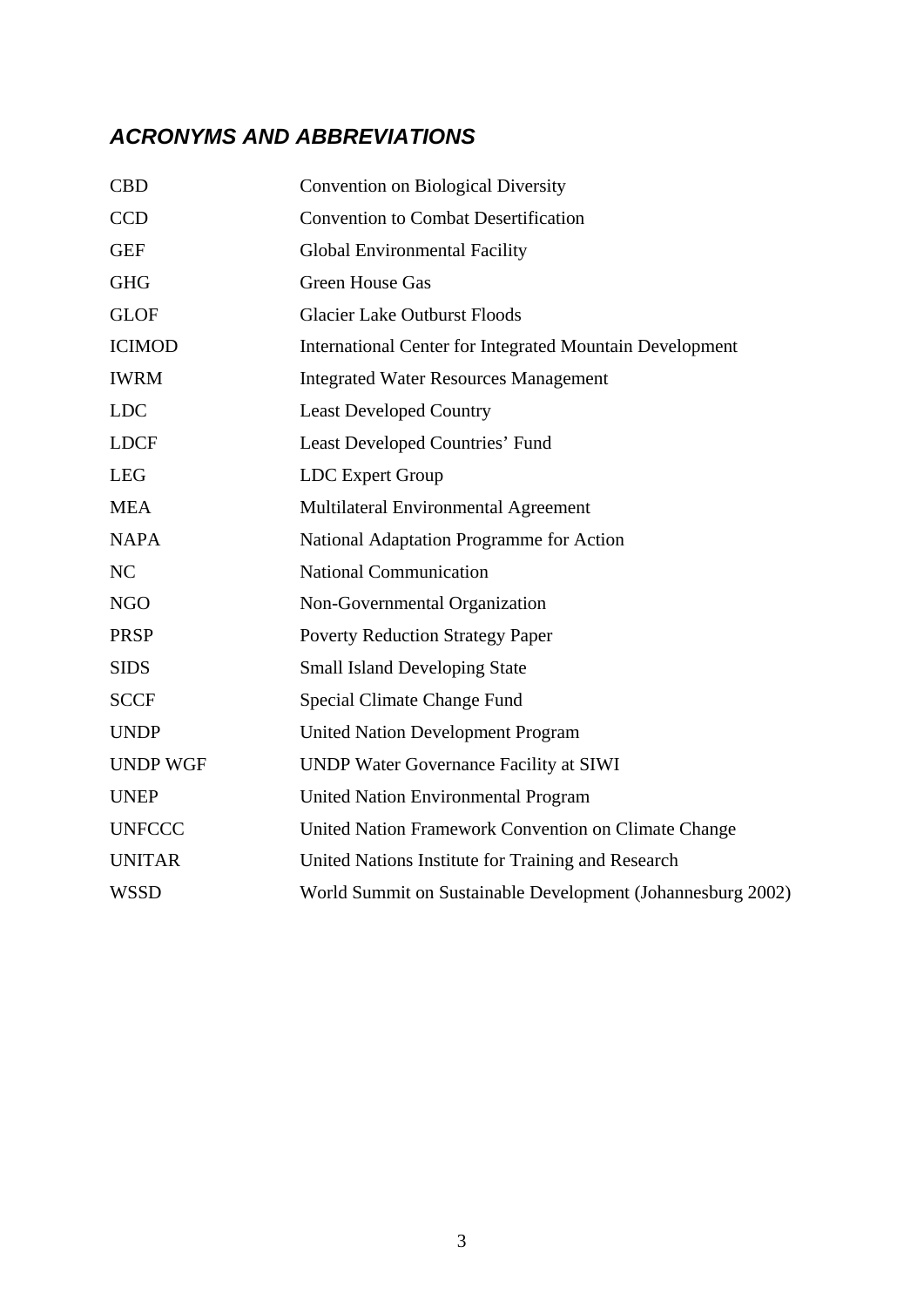# *ACRONYMS AND ABBREVIATIONS*

| <b>CBD</b>      | <b>Convention on Biological Diversity</b>                       |
|-----------------|-----------------------------------------------------------------|
| <b>CCD</b>      | <b>Convention to Combat Desertification</b>                     |
| <b>GEF</b>      | <b>Global Environmental Facility</b>                            |
| <b>GHG</b>      | <b>Green House Gas</b>                                          |
| <b>GLOF</b>     | <b>Glacier Lake Outburst Floods</b>                             |
| <b>ICIMOD</b>   | <b>International Center for Integrated Mountain Development</b> |
| <b>IWRM</b>     | <b>Integrated Water Resources Management</b>                    |
| <b>LDC</b>      | <b>Least Developed Country</b>                                  |
| <b>LDCF</b>     | Least Developed Countries' Fund                                 |
| <b>LEG</b>      | LDC Expert Group                                                |
| <b>MEA</b>      | Multilateral Environmental Agreement                            |
| <b>NAPA</b>     | National Adaptation Programme for Action                        |
| NC              | <b>National Communication</b>                                   |
| <b>NGO</b>      | Non-Governmental Organization                                   |
| <b>PRSP</b>     | <b>Poverty Reduction Strategy Paper</b>                         |
| <b>SIDS</b>     | <b>Small Island Developing State</b>                            |
| <b>SCCF</b>     | Special Climate Change Fund                                     |
| <b>UNDP</b>     | <b>United Nation Development Program</b>                        |
| <b>UNDP WGF</b> | <b>UNDP Water Governance Facility at SIWI</b>                   |
| <b>UNEP</b>     | <b>United Nation Environmental Program</b>                      |
| <b>UNFCCC</b>   | United Nation Framework Convention on Climate Change            |
| <b>UNITAR</b>   | United Nations Institute for Training and Research              |
| <b>WSSD</b>     | World Summit on Sustainable Development (Johannesburg 2002)     |
|                 |                                                                 |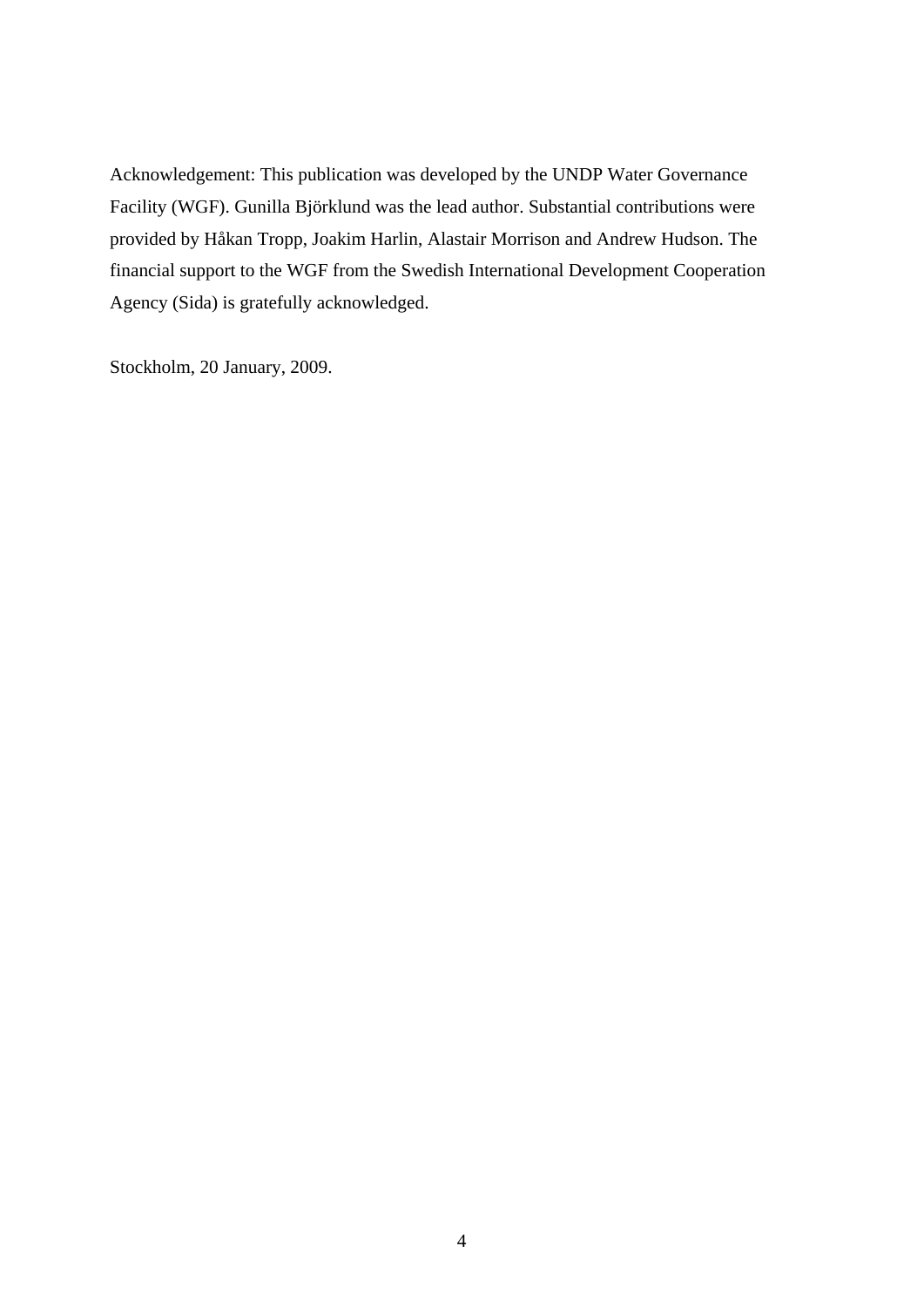Acknowledgement: This publication was developed by the UNDP Water Governance Facility (WGF). Gunilla Björklund was the lead author. Substantial contributions were provided by Håkan Tropp, Joakim Harlin, Alastair Morrison and Andrew Hudson. The financial support to the WGF from the Swedish International Development Cooperation Agency (Sida) is gratefully acknowledged.

Stockholm, 20 January, 2009.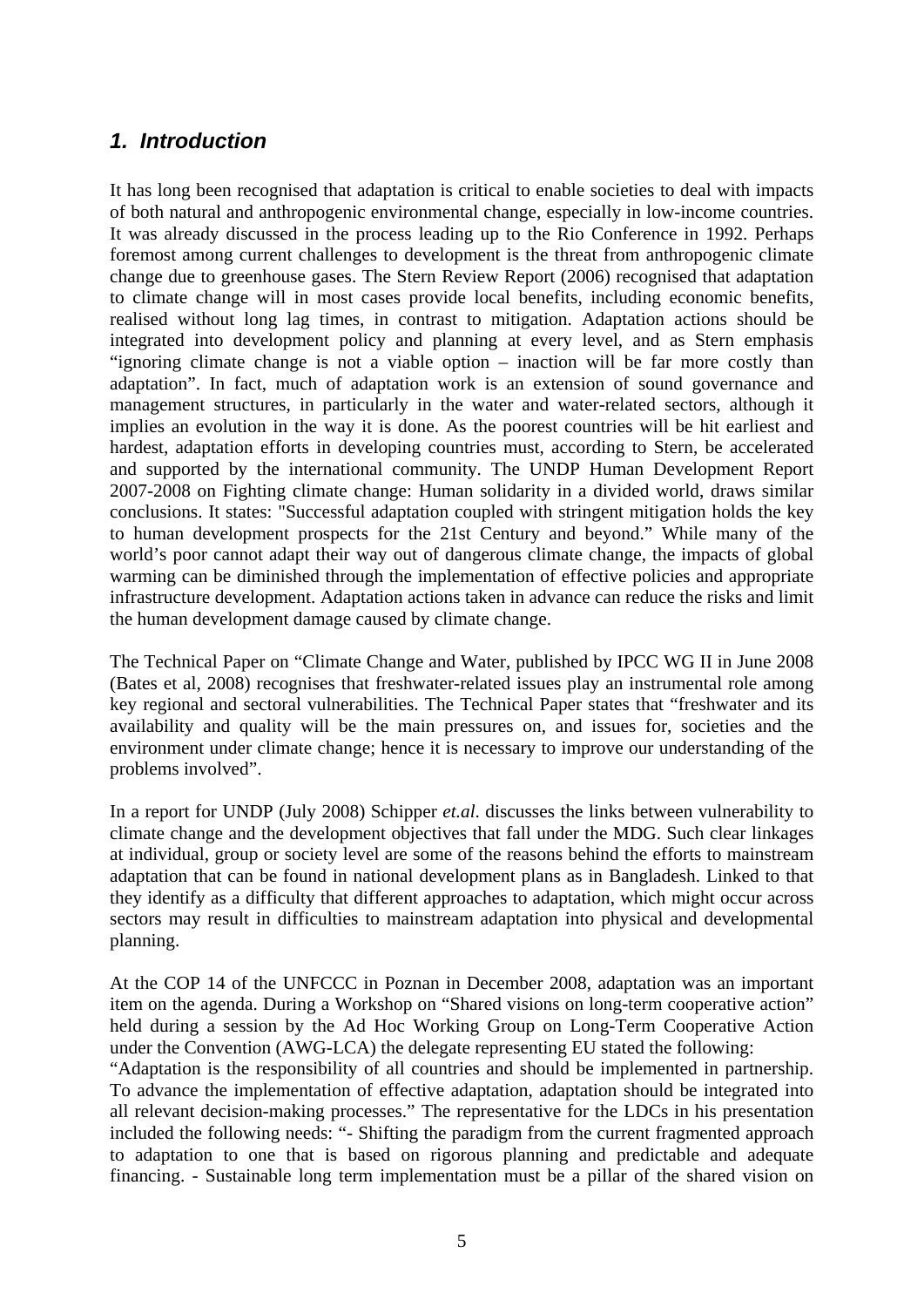# *1. Introduction*

It has long been recognised that adaptation is critical to enable societies to deal with impacts of both natural and anthropogenic environmental change, especially in low-income countries. It was already discussed in the process leading up to the Rio Conference in 1992. Perhaps foremost among current challenges to development is the threat from anthropogenic climate change due to greenhouse gases. The Stern Review Report (2006) recognised that adaptation to climate change will in most cases provide local benefits, including economic benefits, realised without long lag times, in contrast to mitigation. Adaptation actions should be integrated into development policy and planning at every level, and as Stern emphasis "ignoring climate change is not a viable option – inaction will be far more costly than adaptation". In fact, much of adaptation work is an extension of sound governance and management structures, in particularly in the water and water-related sectors, although it implies an evolution in the way it is done. As the poorest countries will be hit earliest and hardest, adaptation efforts in developing countries must, according to Stern, be accelerated and supported by the international community. The UNDP Human Development Report 2007-2008 on Fighting climate change: Human solidarity in a divided world, draws similar conclusions. It states: "Successful adaptation coupled with stringent mitigation holds the key to human development prospects for the 21st Century and beyond." While many of the world's poor cannot adapt their way out of dangerous climate change, the impacts of global warming can be diminished through the implementation of effective policies and appropriate infrastructure development. Adaptation actions taken in advance can reduce the risks and limit the human development damage caused by climate change.

The Technical Paper on "Climate Change and Water, published by IPCC WG II in June 2008 (Bates et al, 2008) recognises that freshwater-related issues play an instrumental role among key regional and sectoral vulnerabilities. The Technical Paper states that "freshwater and its availability and quality will be the main pressures on, and issues for, societies and the environment under climate change; hence it is necessary to improve our understanding of the problems involved".

In a report for UNDP (July 2008) Schipper *et.al*. discusses the links between vulnerability to climate change and the development objectives that fall under the MDG. Such clear linkages at individual, group or society level are some of the reasons behind the efforts to mainstream adaptation that can be found in national development plans as in Bangladesh. Linked to that they identify as a difficulty that different approaches to adaptation, which might occur across sectors may result in difficulties to mainstream adaptation into physical and developmental planning.

At the COP 14 of the UNFCCC in Poznan in December 2008, adaptation was an important item on the agenda. During a Workshop on "Shared visions on long-term cooperative action" held during a session by the Ad Hoc Working Group on Long-Term Cooperative Action under the Convention (AWG-LCA) the delegate representing EU stated the following:

"Adaptation is the responsibility of all countries and should be implemented in partnership. To advance the implementation of effective adaptation, adaptation should be integrated into all relevant decision-making processes." The representative for the LDCs in his presentation included the following needs: "- Shifting the paradigm from the current fragmented approach to adaptation to one that is based on rigorous planning and predictable and adequate financing. - Sustainable long term implementation must be a pillar of the shared vision on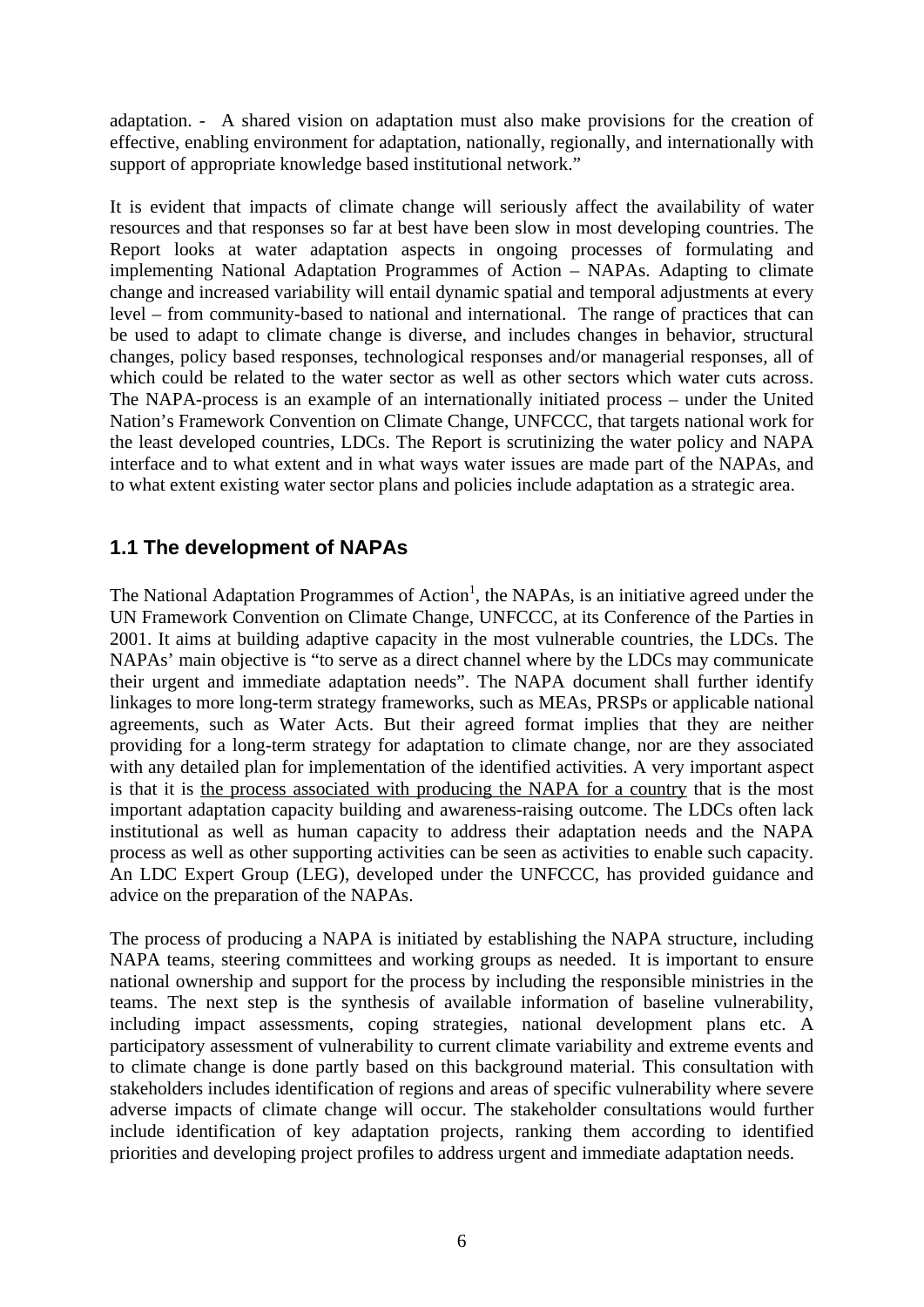adaptation. - A shared vision on adaptation must also make provisions for the creation of effective, enabling environment for adaptation, nationally, regionally, and internationally with support of appropriate knowledge based institutional network."

It is evident that impacts of climate change will seriously affect the availability of water resources and that responses so far at best have been slow in most developing countries. The Report looks at water adaptation aspects in ongoing processes of formulating and implementing National Adaptation Programmes of Action – NAPAs. Adapting to climate change and increased variability will entail dynamic spatial and temporal adjustments at every level – from community-based to national and international. The range of practices that can be used to adapt to climate change is diverse, and includes changes in behavior, structural changes, policy based responses, technological responses and/or managerial responses, all of which could be related to the water sector as well as other sectors which water cuts across. The NAPA-process is an example of an internationally initiated process – under the United Nation's Framework Convention on Climate Change, UNFCCC, that targets national work for the least developed countries, LDCs. The Report is scrutinizing the water policy and NAPA interface and to what extent and in what ways water issues are made part of the NAPAs, and to what extent existing water sector plans and policies include adaptation as a strategic area.

### **1.1 The development of NAPAs**

The National Adaptation Programmes of Action<sup>1</sup>, the NAPAs, is an initiative agreed under the UN Framework Convention on Climate Change, UNFCCC, at its Conference of the Parties in 2001. It aims at building adaptive capacity in the most vulnerable countries, the LDCs. The NAPAs' main objective is "to serve as a direct channel where by the LDCs may communicate their urgent and immediate adaptation needs". The NAPA document shall further identify linkages to more long-term strategy frameworks, such as MEAs, PRSPs or applicable national agreements, such as Water Acts. But their agreed format implies that they are neither providing for a long-term strategy for adaptation to climate change, nor are they associated with any detailed plan for implementation of the identified activities. A very important aspect is that it is the process associated with producing the NAPA for a country that is the most important adaptation capacity building and awareness-raising outcome. The LDCs often lack institutional as well as human capacity to address their adaptation needs and the NAPA process as well as other supporting activities can be seen as activities to enable such capacity. An LDC Expert Group (LEG), developed under the UNFCCC, has provided guidance and advice on the preparation of the NAPAs.

The process of producing a NAPA is initiated by establishing the NAPA structure, including NAPA teams, steering committees and working groups as needed. It is important to ensure national ownership and support for the process by including the responsible ministries in the teams. The next step is the synthesis of available information of baseline vulnerability, including impact assessments, coping strategies, national development plans etc. A participatory assessment of vulnerability to current climate variability and extreme events and to climate change is done partly based on this background material. This consultation with stakeholders includes identification of regions and areas of specific vulnerability where severe adverse impacts of climate change will occur. The stakeholder consultations would further include identification of key adaptation projects, ranking them according to identified priorities and developing project profiles to address urgent and immediate adaptation needs.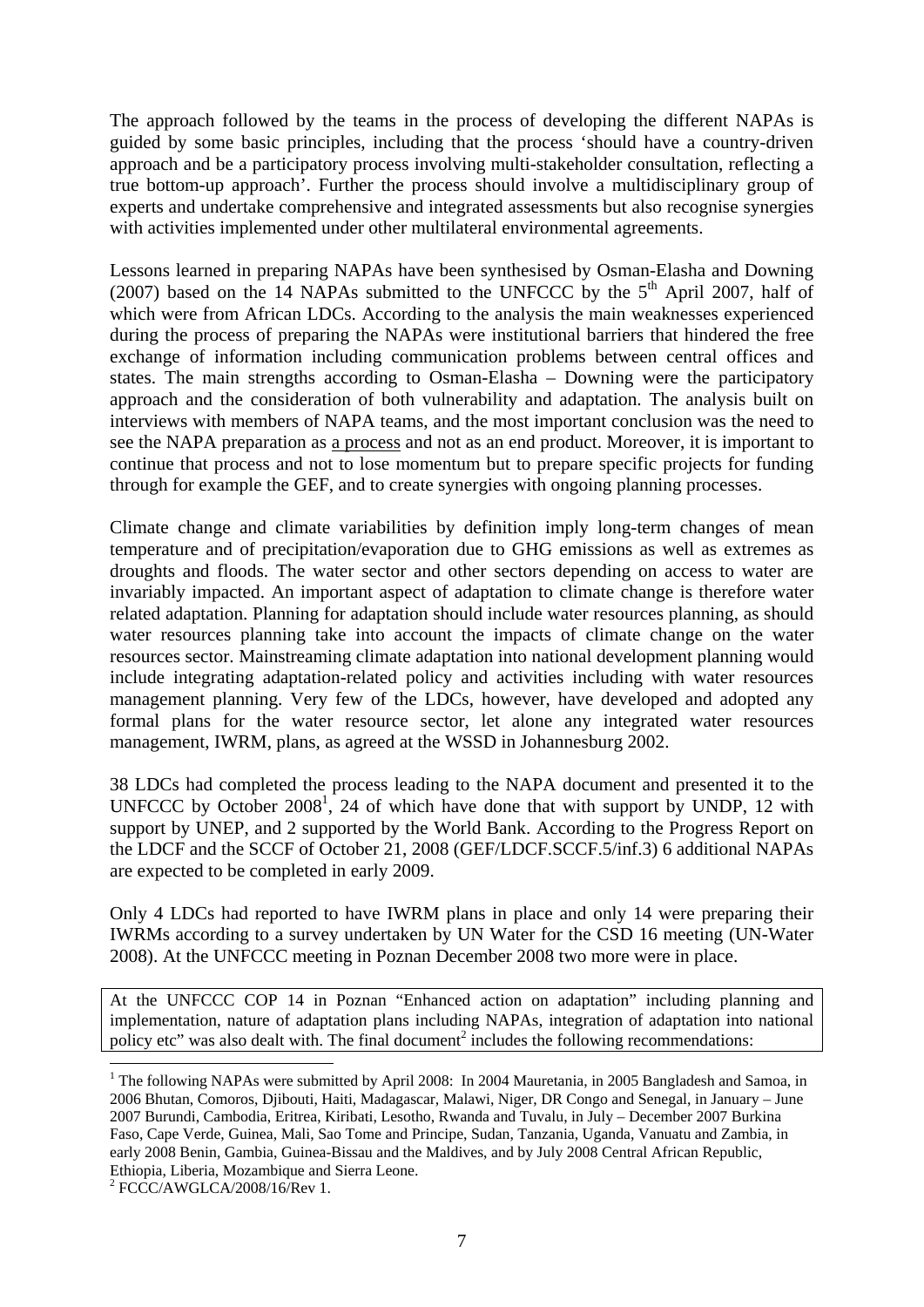The approach followed by the teams in the process of developing the different NAPAs is guided by some basic principles, including that the process 'should have a country-driven approach and be a participatory process involving multi-stakeholder consultation, reflecting a true bottom-up approach'. Further the process should involve a multidisciplinary group of experts and undertake comprehensive and integrated assessments but also recognise synergies with activities implemented under other multilateral environmental agreements.

Lessons learned in preparing NAPAs have been synthesised by Osman-Elasha and Downing (2007) based on the 14 NAPAs submitted to the UNFCCC by the  $5<sup>th</sup>$  April 2007, half of which were from African LDCs. According to the analysis the main weaknesses experienced during the process of preparing the NAPAs were institutional barriers that hindered the free exchange of information including communication problems between central offices and states. The main strengths according to Osman-Elasha – Downing were the participatory approach and the consideration of both vulnerability and adaptation. The analysis built on interviews with members of NAPA teams, and the most important conclusion was the need to see the NAPA preparation as a process and not as an end product. Moreover, it is important to continue that process and not to lose momentum but to prepare specific projects for funding through for example the GEF, and to create synergies with ongoing planning processes.

Climate change and climate variabilities by definition imply long-term changes of mean temperature and of precipitation/evaporation due to GHG emissions as well as extremes as droughts and floods. The water sector and other sectors depending on access to water are invariably impacted. An important aspect of adaptation to climate change is therefore water related adaptation. Planning for adaptation should include water resources planning, as should water resources planning take into account the impacts of climate change on the water resources sector. Mainstreaming climate adaptation into national development planning would include integrating adaptation-related policy and activities including with water resources management planning. Very few of the LDCs, however, have developed and adopted any formal plans for the water resource sector, let alone any integrated water resources management, IWRM, plans, as agreed at the WSSD in Johannesburg 2002.

38 LDCs had completed the process leading to the NAPA document and presented it to the UNFCCC by October 2008<sup>1</sup>, 24 of which have done that with support by UNDP, 12 with support by UNEP, and 2 supported by the World Bank. According to the Progress Report on the LDCF and the SCCF of October 21, 2008 (GEF/LDCF.SCCF.5/inf.3) 6 additional NAPAs are expected to be completed in early 2009.

Only 4 LDCs had reported to have IWRM plans in place and only 14 were preparing their IWRMs according to a survey undertaken by UN Water for the CSD 16 meeting (UN-Water 2008). At the UNFCCC meeting in Poznan December 2008 two more were in place.

At the UNFCCC COP 14 in Poznan "Enhanced action on adaptation" including planning and implementation, nature of adaptation plans including NAPAs, integration of adaptation into national policy etc" was also dealt with. The final document<sup>2</sup> includes the following recommendations:

1

<sup>&</sup>lt;sup>1</sup> The following NAPAs were submitted by April 2008: In 2004 Mauretania, in 2005 Bangladesh and Samoa, in 2006 Bhutan, Comoros, Djibouti, Haiti, Madagascar, Malawi, Niger, DR Congo and Senegal, in January – June 2007 Burundi, Cambodia, Eritrea, Kiribati, Lesotho, Rwanda and Tuvalu, in July – December 2007 Burkina Faso, Cape Verde, Guinea, Mali, Sao Tome and Principe, Sudan, Tanzania, Uganda, Vanuatu and Zambia, in early 2008 Benin, Gambia, Guinea-Bissau and the Maldives, and by July 2008 Central African Republic, Ethiopia, Liberia, Mozambique and Sierra Leone.

<sup>&</sup>lt;sup>2</sup> FCCC/AWGLCA/2008/16/Rev 1.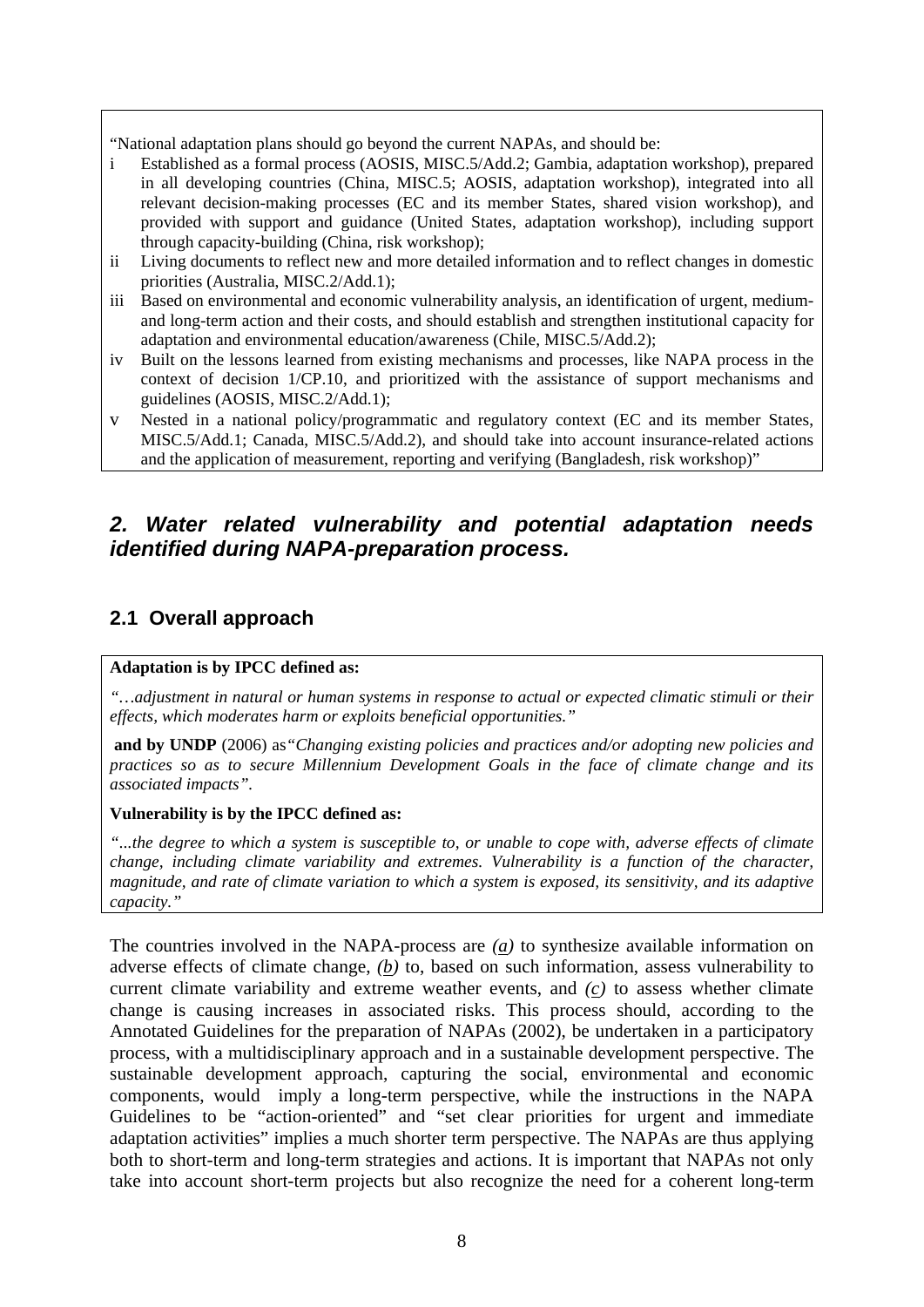"National adaptation plans should go beyond the current NAPAs, and should be:

- i Established as a formal process (AOSIS, MISC.5/Add.2; Gambia, adaptation workshop), prepared in all developing countries (China, MISC.5; AOSIS, adaptation workshop), integrated into all relevant decision-making processes (EC and its member States, shared vision workshop), and provided with support and guidance (United States, adaptation workshop), including support through capacity-building (China, risk workshop);
- ii Living documents to reflect new and more detailed information and to reflect changes in domestic priorities (Australia, MISC.2/Add.1);
- iii Based on environmental and economic vulnerability analysis, an identification of urgent, mediumand long-term action and their costs, and should establish and strengthen institutional capacity for adaptation and environmental education/awareness (Chile, MISC.5/Add.2);
- iv Built on the lessons learned from existing mechanisms and processes, like NAPA process in the context of decision 1/CP.10, and prioritized with the assistance of support mechanisms and guidelines (AOSIS, MISC.2/Add.1);
- v Nested in a national policy/programmatic and regulatory context (EC and its member States, MISC.5/Add.1; Canada, MISC.5/Add.2), and should take into account insurance-related actions and the application of measurement, reporting and verifying (Bangladesh, risk workshop)"

# *2. Water related vulnerability and potential adaptation needs identified during NAPA-preparation process.*

# **2.1 Overall approach**

#### **Adaptation is by IPCC defined as:**

*"…adjustment in natural or human systems in response to actual or expected climatic stimuli or their effects, which moderates harm or exploits beneficial opportunities."* 

**and by UNDP** (2006) as*"Changing existing policies and practices and/or adopting new policies and practices so as to secure Millennium Development Goals in the face of climate change and its associated impacts".* 

#### **Vulnerability is by the IPCC defined as:**

*"...the degree to which a system is susceptible to, or unable to cope with, adverse effects of climate change, including climate variability and extremes. Vulnerability is a function of the character, magnitude, and rate of climate variation to which a system is exposed, its sensitivity, and its adaptive capacity."* 

The countries involved in the NAPA-process are *(a)* to synthesize available information on adverse effects of climate change, *(b)* to, based on such information, assess vulnerability to current climate variability and extreme weather events, and *(c)* to assess whether climate change is causing increases in associated risks. This process should, according to the Annotated Guidelines for the preparation of NAPAs (2002), be undertaken in a participatory process, with a multidisciplinary approach and in a sustainable development perspective. The sustainable development approach, capturing the social, environmental and economic components, would imply a long-term perspective, while the instructions in the NAPA Guidelines to be "action-oriented" and "set clear priorities for urgent and immediate adaptation activities" implies a much shorter term perspective. The NAPAs are thus applying both to short-term and long-term strategies and actions. It is important that NAPAs not only take into account short-term projects but also recognize the need for a coherent long-term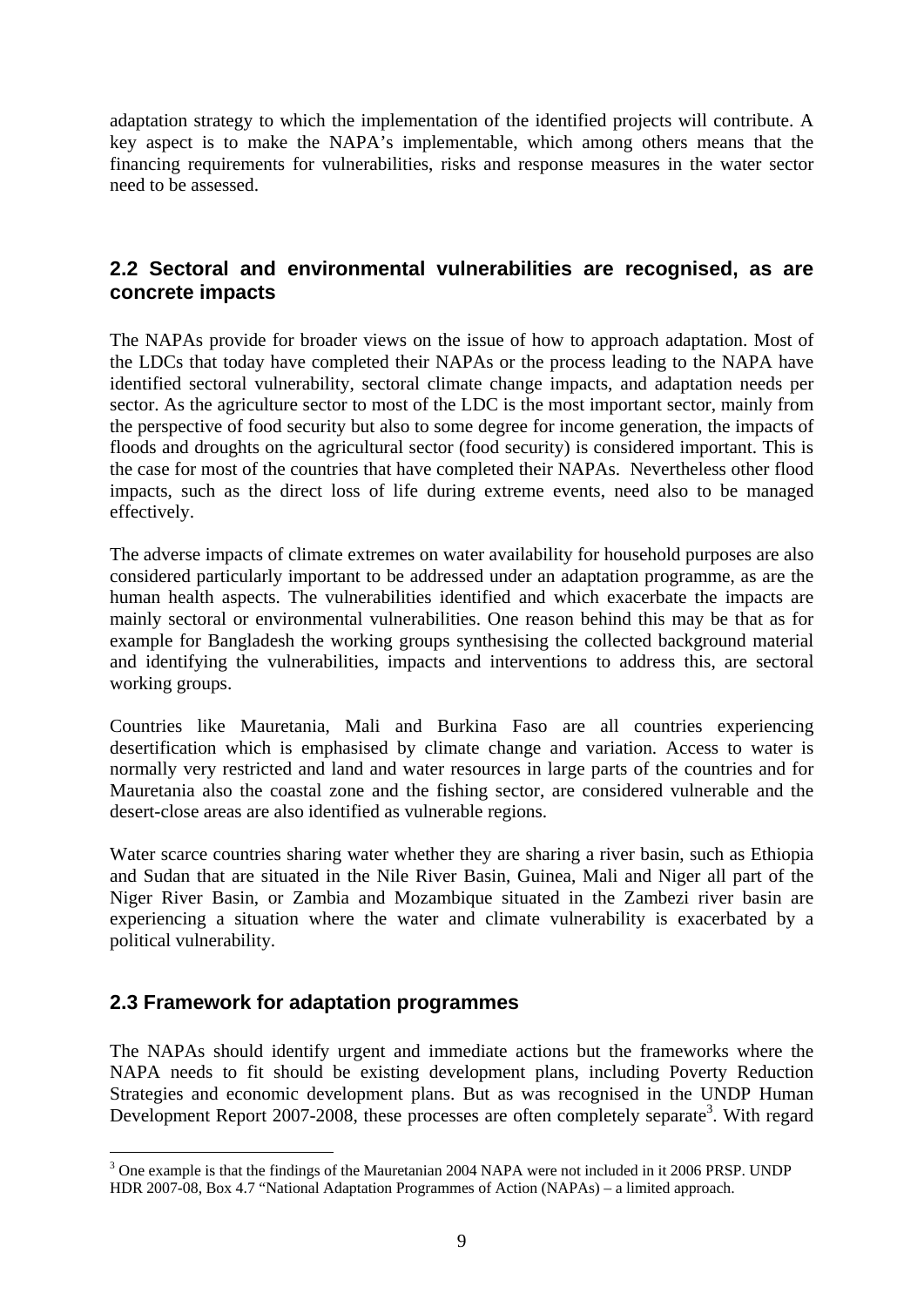adaptation strategy to which the implementation of the identified projects will contribute. A key aspect is to make the NAPA's implementable, which among others means that the financing requirements for vulnerabilities, risks and response measures in the water sector need to be assessed.

#### **2.2 Sectoral and environmental vulnerabilities are recognised, as are concrete impacts**

The NAPAs provide for broader views on the issue of how to approach adaptation. Most of the LDCs that today have completed their NAPAs or the process leading to the NAPA have identified sectoral vulnerability, sectoral climate change impacts, and adaptation needs per sector. As the agriculture sector to most of the LDC is the most important sector, mainly from the perspective of food security but also to some degree for income generation, the impacts of floods and droughts on the agricultural sector (food security) is considered important. This is the case for most of the countries that have completed their NAPAs. Nevertheless other flood impacts, such as the direct loss of life during extreme events, need also to be managed effectively.

The adverse impacts of climate extremes on water availability for household purposes are also considered particularly important to be addressed under an adaptation programme, as are the human health aspects. The vulnerabilities identified and which exacerbate the impacts are mainly sectoral or environmental vulnerabilities. One reason behind this may be that as for example for Bangladesh the working groups synthesising the collected background material and identifying the vulnerabilities, impacts and interventions to address this, are sectoral working groups.

Countries like Mauretania, Mali and Burkina Faso are all countries experiencing desertification which is emphasised by climate change and variation. Access to water is normally very restricted and land and water resources in large parts of the countries and for Mauretania also the coastal zone and the fishing sector, are considered vulnerable and the desert-close areas are also identified as vulnerable regions.

Water scarce countries sharing water whether they are sharing a river basin, such as Ethiopia and Sudan that are situated in the Nile River Basin, Guinea, Mali and Niger all part of the Niger River Basin, or Zambia and Mozambique situated in the Zambezi river basin are experiencing a situation where the water and climate vulnerability is exacerbated by a political vulnerability.

#### **2.3 Framework for adaptation programmes**

The NAPAs should identify urgent and immediate actions but the frameworks where the NAPA needs to fit should be existing development plans, including Poverty Reduction Strategies and economic development plans. But as was recognised in the UNDP Human Development Report 2007-2008, these processes are often completely separate<sup>3</sup>. With regard

<sup>1</sup> <sup>3</sup> One example is that the findings of the Mauretanian 2004 NAPA were not included in it 2006 PRSP. UNDP HDR 2007-08, Box 4.7 "National Adaptation Programmes of Action (NAPAs) – a limited approach.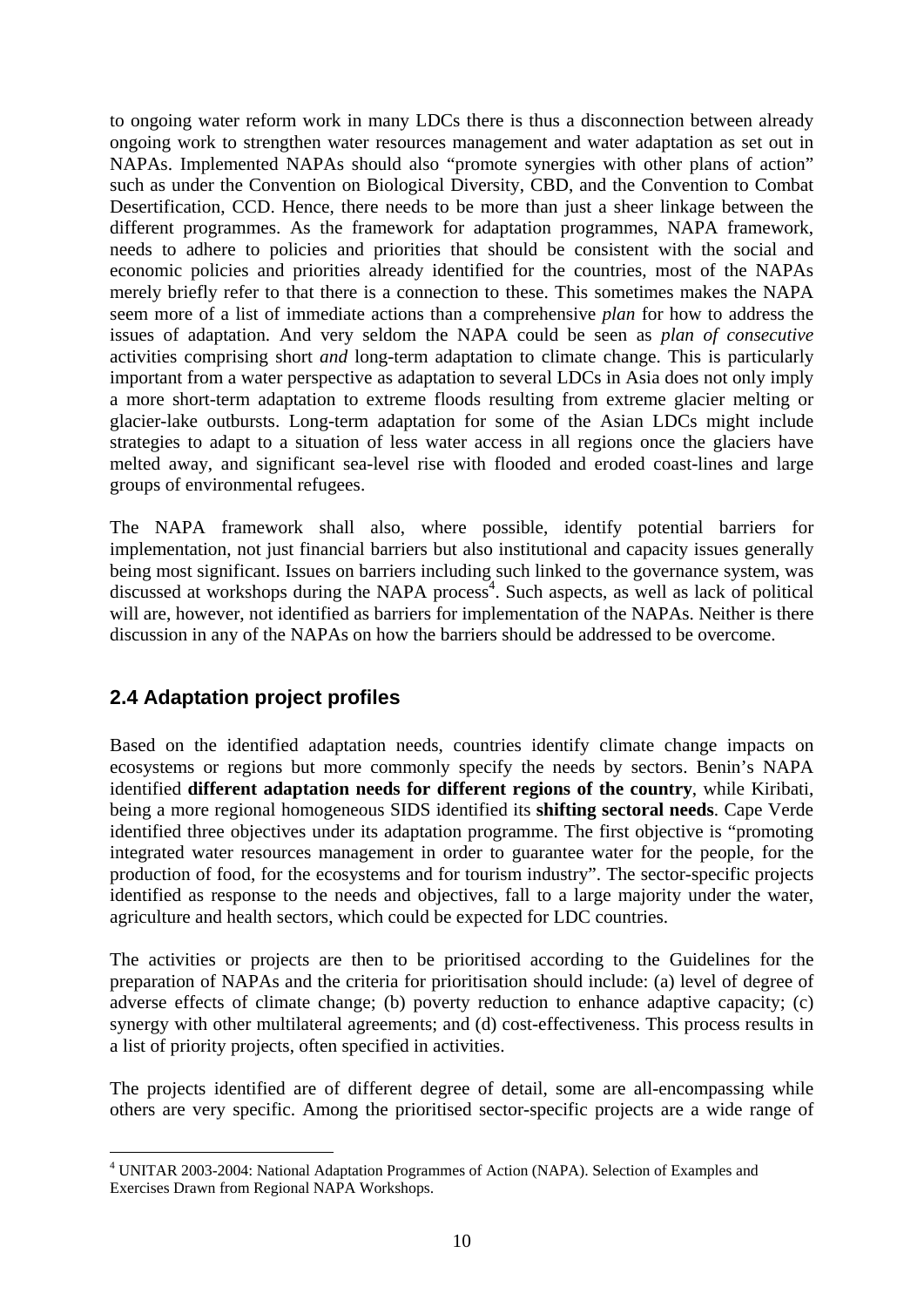to ongoing water reform work in many LDCs there is thus a disconnection between already ongoing work to strengthen water resources management and water adaptation as set out in NAPAs. Implemented NAPAs should also "promote synergies with other plans of action" such as under the Convention on Biological Diversity, CBD, and the Convention to Combat Desertification, CCD. Hence, there needs to be more than just a sheer linkage between the different programmes. As the framework for adaptation programmes, NAPA framework, needs to adhere to policies and priorities that should be consistent with the social and economic policies and priorities already identified for the countries, most of the NAPAs merely briefly refer to that there is a connection to these. This sometimes makes the NAPA seem more of a list of immediate actions than a comprehensive *plan* for how to address the issues of adaptation. And very seldom the NAPA could be seen as *plan of consecutive* activities comprising short *and* long-term adaptation to climate change. This is particularly important from a water perspective as adaptation to several LDCs in Asia does not only imply a more short-term adaptation to extreme floods resulting from extreme glacier melting or glacier-lake outbursts. Long-term adaptation for some of the Asian LDCs might include strategies to adapt to a situation of less water access in all regions once the glaciers have melted away, and significant sea-level rise with flooded and eroded coast-lines and large groups of environmental refugees.

The NAPA framework shall also, where possible, identify potential barriers for implementation, not just financial barriers but also institutional and capacity issues generally being most significant. Issues on barriers including such linked to the governance system, was discussed at workshops during the NAPA process<sup>4</sup>. Such aspects, as well as lack of political will are, however, not identified as barriers for implementation of the NAPAs. Neither is there discussion in any of the NAPAs on how the barriers should be addressed to be overcome.

# **2.4 Adaptation project profiles**

1

Based on the identified adaptation needs, countries identify climate change impacts on ecosystems or regions but more commonly specify the needs by sectors. Benin's NAPA identified **different adaptation needs for different regions of the country**, while Kiribati, being a more regional homogeneous SIDS identified its **shifting sectoral needs**. Cape Verde identified three objectives under its adaptation programme. The first objective is "promoting integrated water resources management in order to guarantee water for the people, for the production of food, for the ecosystems and for tourism industry". The sector-specific projects identified as response to the needs and objectives, fall to a large majority under the water, agriculture and health sectors, which could be expected for LDC countries.

The activities or projects are then to be prioritised according to the Guidelines for the preparation of NAPAs and the criteria for prioritisation should include: (a) level of degree of adverse effects of climate change; (b) poverty reduction to enhance adaptive capacity; (c) synergy with other multilateral agreements; and (d) cost-effectiveness. This process results in a list of priority projects, often specified in activities.

The projects identified are of different degree of detail, some are all-encompassing while others are very specific. Among the prioritised sector-specific projects are a wide range of

<sup>&</sup>lt;sup>4</sup> UNITAR 2003-2004: National Adaptation Programmes of Action (NAPA). Selection of Examples and Exercises Drawn from Regional NAPA Workshops.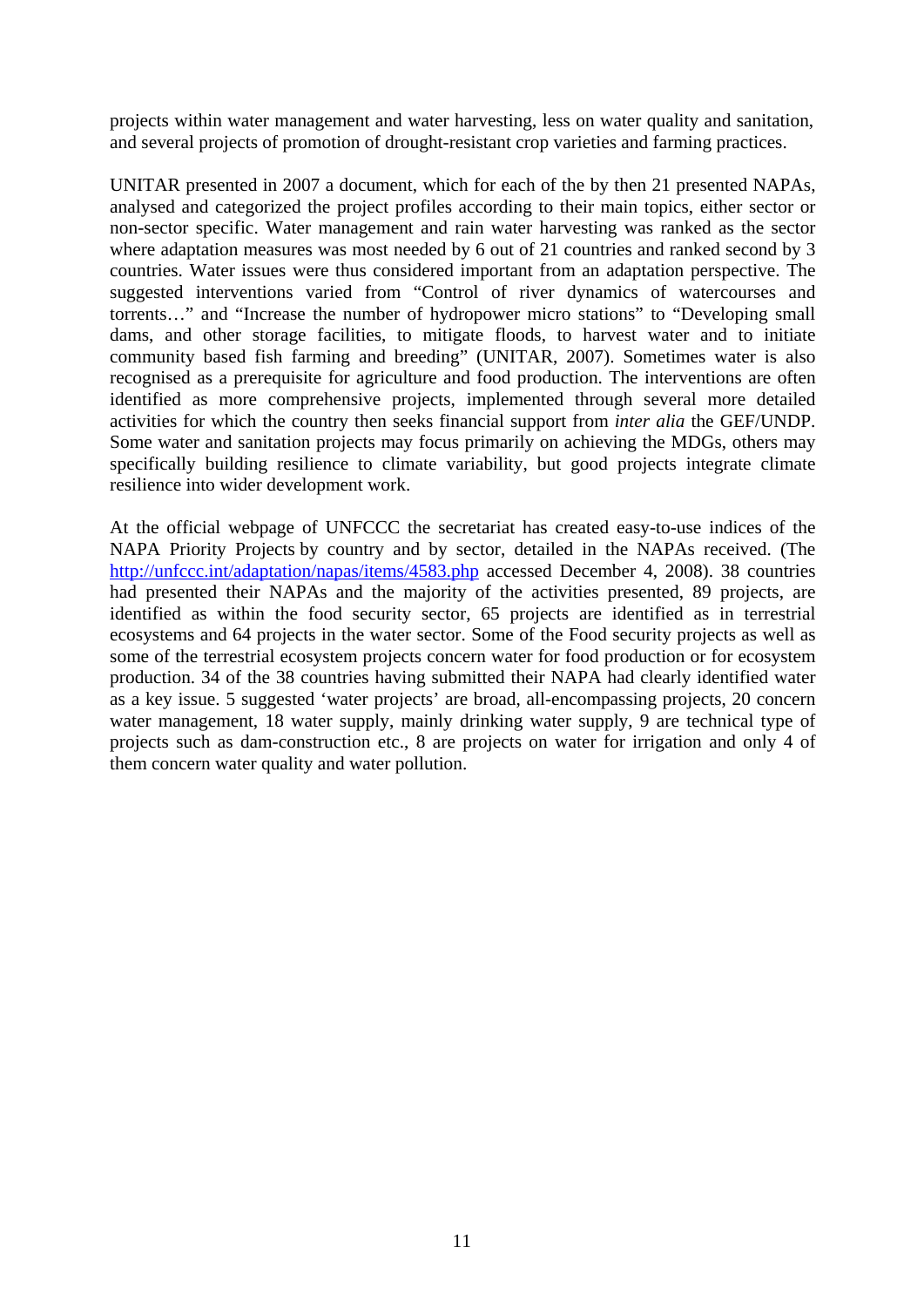projects within water management and water harvesting, less on water quality and sanitation, and several projects of promotion of drought-resistant crop varieties and farming practices.

UNITAR presented in 2007 a document, which for each of the by then 21 presented NAPAs, analysed and categorized the project profiles according to their main topics, either sector or non-sector specific. Water management and rain water harvesting was ranked as the sector where adaptation measures was most needed by 6 out of 21 countries and ranked second by 3 countries. Water issues were thus considered important from an adaptation perspective. The suggested interventions varied from "Control of river dynamics of watercourses and torrents…" and "Increase the number of hydropower micro stations" to "Developing small dams, and other storage facilities, to mitigate floods, to harvest water and to initiate community based fish farming and breeding" (UNITAR, 2007). Sometimes water is also recognised as a prerequisite for agriculture and food production. The interventions are often identified as more comprehensive projects, implemented through several more detailed activities for which the country then seeks financial support from *inter alia* the GEF/UNDP. Some water and sanitation projects may focus primarily on achieving the MDGs, others may specifically building resilience to climate variability, but good projects integrate climate resilience into wider development work.

At the official webpage of UNFCCC the secretariat has created easy-to-use indices of the NAPA Priority Projects by country and by sector, detailed in the NAPAs received. (The http://unfccc.int/adaptation/napas/items/4583.php accessed December 4, 2008). 38 countries had presented their NAPAs and the majority of the activities presented, 89 projects, are identified as within the food security sector, 65 projects are identified as in terrestrial ecosystems and 64 projects in the water sector. Some of the Food security projects as well as some of the terrestrial ecosystem projects concern water for food production or for ecosystem production. 34 of the 38 countries having submitted their NAPA had clearly identified water as a key issue. 5 suggested 'water projects' are broad, all-encompassing projects, 20 concern water management, 18 water supply, mainly drinking water supply, 9 are technical type of projects such as dam-construction etc., 8 are projects on water for irrigation and only 4 of them concern water quality and water pollution.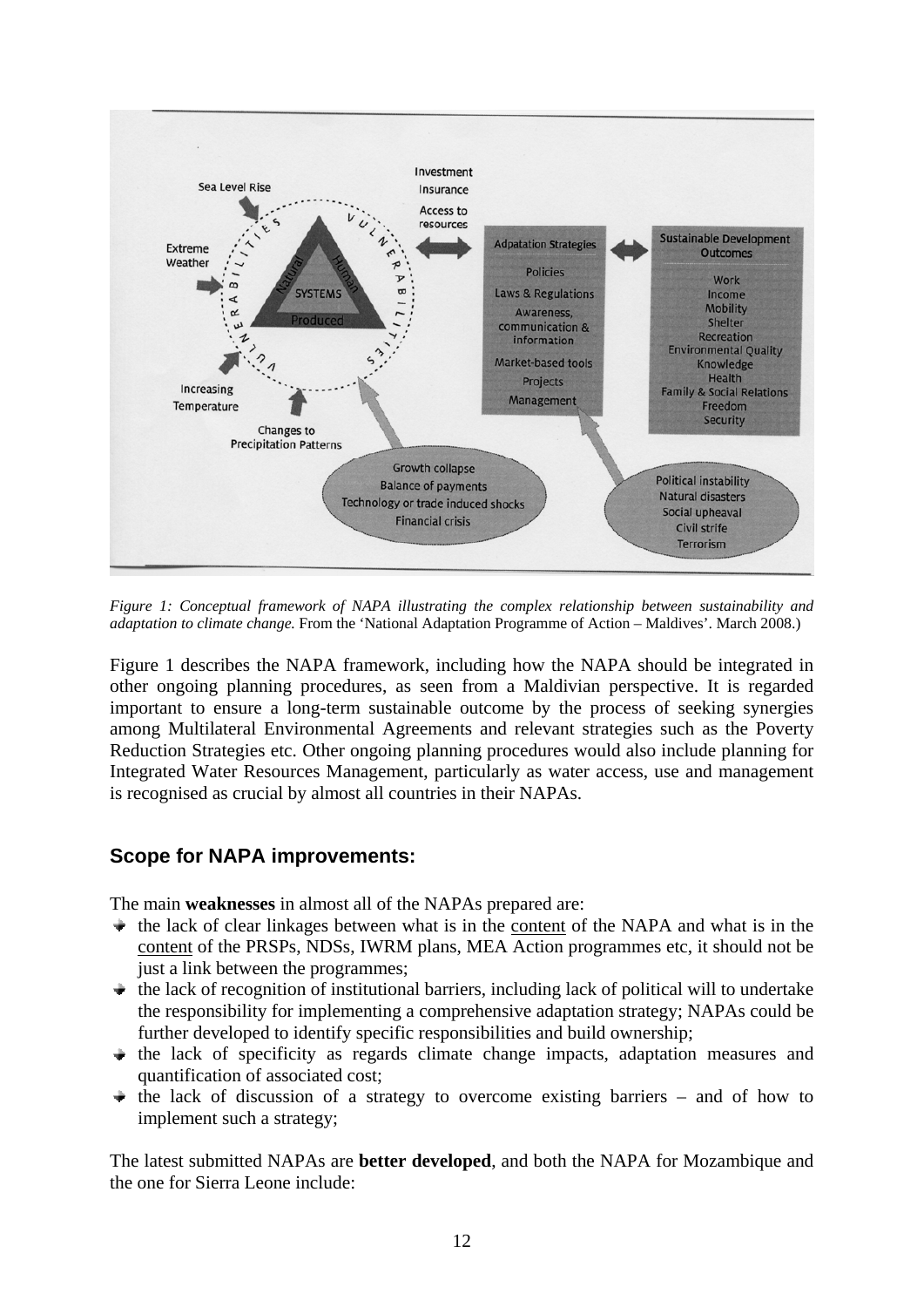

*Figure 1: Conceptual framework of NAPA illustrating the complex relationship between sustainability and adaptation to climate change.* From the 'National Adaptation Programme of Action – Maldives'. March 2008.)

Figure 1 describes the NAPA framework, including how the NAPA should be integrated in other ongoing planning procedures, as seen from a Maldivian perspective. It is regarded important to ensure a long-term sustainable outcome by the process of seeking synergies among Multilateral Environmental Agreements and relevant strategies such as the Poverty Reduction Strategies etc. Other ongoing planning procedures would also include planning for Integrated Water Resources Management, particularly as water access, use and management is recognised as crucial by almost all countries in their NAPAs.

#### **Scope for NAPA improvements:**

The main **weaknesses** in almost all of the NAPAs prepared are:

- $\bullet$  the lack of clear linkages between what is in the content of the NAPA and what is in the content of the PRSPs, NDSs, IWRM plans, MEA Action programmes etc, it should not be just a link between the programmes:
- $\bullet$  the lack of recognition of institutional barriers, including lack of political will to undertake the responsibility for implementing a comprehensive adaptation strategy; NAPAs could be further developed to identify specific responsibilities and build ownership;
- $\rightarrow$  the lack of specificity as regards climate change impacts, adaptation measures and quantification of associated cost;
- $\rightarrow$  the lack of discussion of a strategy to overcome existing barriers and of how to implement such a strategy;

The latest submitted NAPAs are **better developed**, and both the NAPA for Mozambique and the one for Sierra Leone include: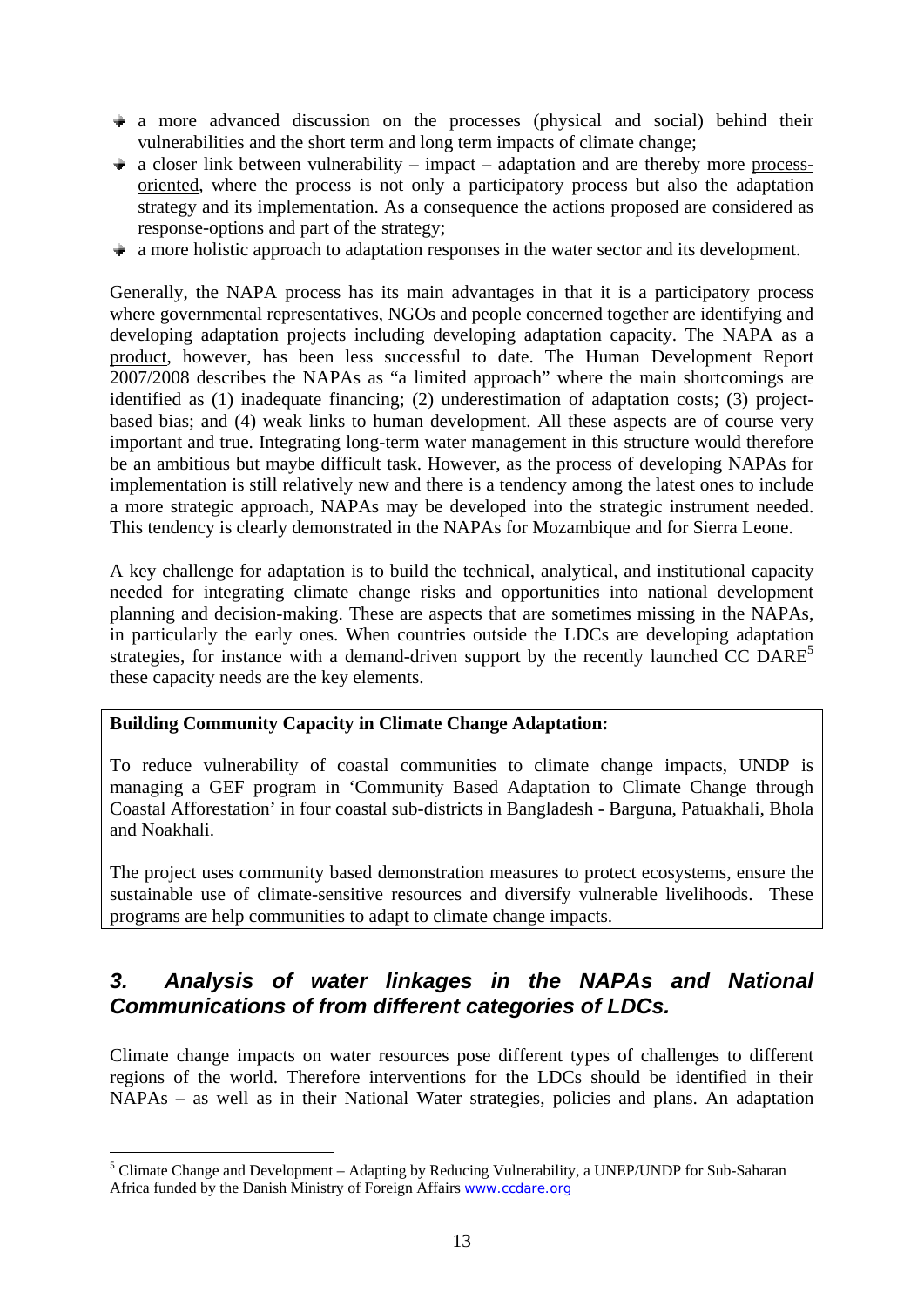- $\rightarrow$  a more advanced discussion on the processes (physical and social) behind their vulnerabilities and the short term and long term impacts of climate change;
- $\rightarrow$  a closer link between vulnerability impact adaptation and are thereby more processoriented, where the process is not only a participatory process but also the adaptation strategy and its implementation. As a consequence the actions proposed are considered as response-options and part of the strategy;
- $\rightarrow$  a more holistic approach to adaptation responses in the water sector and its development.

Generally, the NAPA process has its main advantages in that it is a participatory process where governmental representatives, NGOs and people concerned together are identifying and developing adaptation projects including developing adaptation capacity. The NAPA as a product, however, has been less successful to date. The Human Development Report 2007/2008 describes the NAPAs as "a limited approach" where the main shortcomings are identified as (1) inadequate financing; (2) underestimation of adaptation costs; (3) projectbased bias; and (4) weak links to human development. All these aspects are of course very important and true. Integrating long-term water management in this structure would therefore be an ambitious but maybe difficult task. However, as the process of developing NAPAs for implementation is still relatively new and there is a tendency among the latest ones to include a more strategic approach, NAPAs may be developed into the strategic instrument needed. This tendency is clearly demonstrated in the NAPAs for Mozambique and for Sierra Leone.

A key challenge for adaptation is to build the technical, analytical, and institutional capacity needed for integrating climate change risks and opportunities into national development planning and decision-making. These are aspects that are sometimes missing in the NAPAs, in particularly the early ones. When countries outside the LDCs are developing adaptation strategies, for instance with a demand-driven support by the recently launched CC DAR $E<sup>5</sup>$ these capacity needs are the key elements.

#### **Building Community Capacity in Climate Change Adaptation:**

1

To reduce vulnerability of coastal communities to climate change impacts, UNDP is managing a GEF program in 'Community Based Adaptation to Climate Change through Coastal Afforestation' in four coastal sub-districts in Bangladesh - Barguna, Patuakhali, Bhola and Noakhali.

The project uses community based demonstration measures to protect ecosystems, ensure the sustainable use of climate-sensitive resources and diversify vulnerable livelihoods. These programs are help communities to adapt to climate change impacts.

# *3. Analysis of water linkages in the NAPAs and National Communications of from different categories of LDCs.*

Climate change impacts on water resources pose different types of challenges to different regions of the world. Therefore interventions for the LDCs should be identified in their NAPAs – as well as in their National Water strategies, policies and plans. An adaptation

<sup>&</sup>lt;sup>5</sup> Climate Change and Development – Adapting by Reducing Vulnerability, a UNEP/UNDP for Sub-Saharan Africa funded by the Danish Ministry of Foreign Affairs www.ccdare.org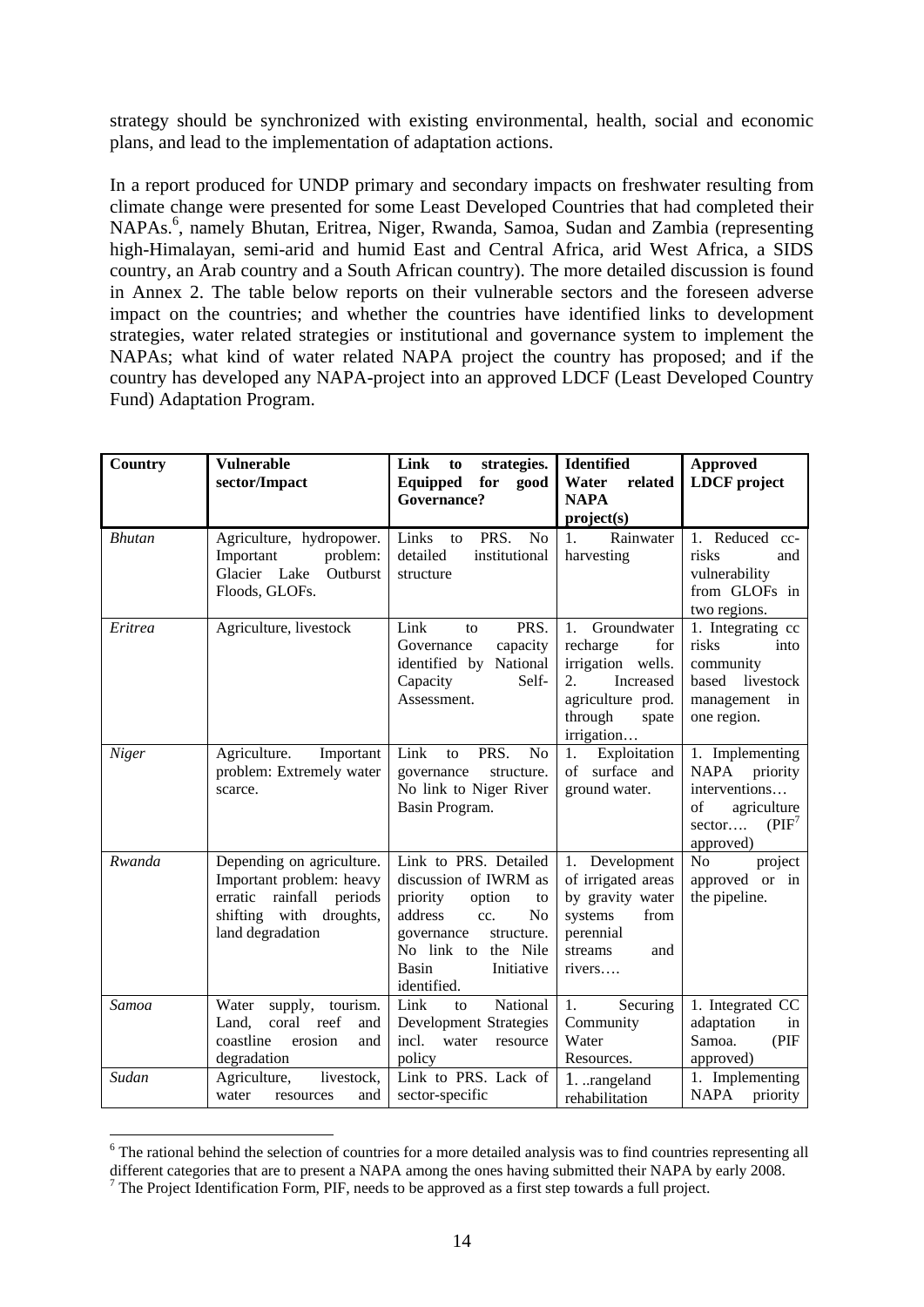strategy should be synchronized with existing environmental, health, social and economic plans, and lead to the implementation of adaptation actions.

In a report produced for UNDP primary and secondary impacts on freshwater resulting from climate change were presented for some Least Developed Countries that had completed their NAPAs.<sup>6</sup>, namely Bhutan, Eritrea, Niger, Rwanda, Samoa, Sudan and Zambia (representing high-Himalayan, semi-arid and humid East and Central Africa, arid West Africa, a SIDS country, an Arab country and a South African country). The more detailed discussion is found in Annex 2. The table below reports on their vulnerable sectors and the foreseen adverse impact on the countries; and whether the countries have identified links to development strategies, water related strategies or institutional and governance system to implement the NAPAs; what kind of water related NAPA project the country has proposed; and if the country has developed any NAPA-project into an approved LDCF (Least Developed Country Fund) Adaptation Program.

| Country       | <b>Vulnerable</b><br>sector/Impact                                                                                                  | Link<br>strategies.<br>to<br>Equipped<br>for<br>good<br><b>Governance?</b>                                                                                                                              | Identified<br>Water<br>related<br><b>NAPA</b>                                                                                                     | <b>Approved</b><br><b>LDCF</b> project                                                                     |
|---------------|-------------------------------------------------------------------------------------------------------------------------------------|---------------------------------------------------------------------------------------------------------------------------------------------------------------------------------------------------------|---------------------------------------------------------------------------------------------------------------------------------------------------|------------------------------------------------------------------------------------------------------------|
|               |                                                                                                                                     |                                                                                                                                                                                                         | project(s)                                                                                                                                        |                                                                                                            |
| <b>Bhutan</b> | Agriculture, hydropower.<br>Important<br>problem:<br>Glacier Lake<br>Outburst<br>Floods, GLOFs.                                     | Links<br>PRS.<br>N <sub>o</sub><br>to<br>detailed<br>institutional<br>structure                                                                                                                         | Rainwater<br>1.<br>harvesting                                                                                                                     | 1. Reduced cc-<br>risks<br>and<br>vulnerability<br>from GLOFs in<br>two regions.                           |
| Eritrea       | Agriculture, livestock                                                                                                              | Link<br>PRS.<br>to<br>capacity<br>Governance<br>identified by<br>National<br>Capacity<br>Self-<br>Assessment.                                                                                           | Groundwater<br>1.<br>recharge<br>for<br>irrigation wells.<br>$\overline{2}$ .<br>Increased<br>agriculture prod.<br>through<br>spate<br>irrigation | 1. Integrating cc<br>risks<br>into<br>community<br>livestock<br>based<br>management<br>in<br>one region.   |
| Niger         | Agriculture.<br>Important<br>problem: Extremely water<br>scarce.                                                                    | Link<br>PRS.<br>No<br>to<br>governance<br>structure.<br>No link to Niger River<br>Basin Program.                                                                                                        | Exploitation<br>1.<br>of<br>surface and<br>ground water.                                                                                          | 1. Implementing<br>NAPA<br>priority<br>interventions<br>of<br>agriculture<br>(PIF')<br>sector<br>approved) |
| Rwanda        | Depending on agriculture.<br>Important problem: heavy<br>erratic rainfall<br>periods<br>shifting with droughts,<br>land degradation | Link to PRS. Detailed<br>discussion of IWRM as<br>priority<br>option<br>to<br>address<br>N <sub>o</sub><br>cc.<br>structure.<br>governance<br>No link to the Nile<br>Basin<br>Initiative<br>identified. | 1. Development<br>of irrigated areas<br>by gravity water<br>systems<br>from<br>perennial<br>streams<br>and<br>rivers                              | N <sub>o</sub><br>project<br>approved or in<br>the pipeline.                                               |
| Samoa         | tourism.<br>Water<br>supply,<br>coral<br>reef<br>Land,<br>and<br>coastline<br>erosion<br>and<br>degradation                         | Link<br>National<br>to<br>Development Strategies<br>water<br>incl.<br>resource<br>policy                                                                                                                | 1.<br>Securing<br>Community<br>Water<br>Resources.                                                                                                | 1. Integrated CC<br>adaptation<br>in<br>Samoa.<br>(PIF)<br>approved)                                       |
| Sudan         | Agriculture,<br>livestock,<br>water<br>and<br>resources                                                                             | Link to PRS. Lack of<br>sector-specific                                                                                                                                                                 | 1. rangeland<br>rehabilitation                                                                                                                    | 1. Implementing<br>NAPA<br>priority                                                                        |

<sup>&</sup>lt;sup>6</sup> The rational behind the selection of countries for a more detailed analysis was to find countries representing all different categories that are to present a NAPA among the ones having submitted their NAPA by early 2008. <sup>7</sup> The Project Identification Form, PIF, needs to be approved as a first step towards a full project.

1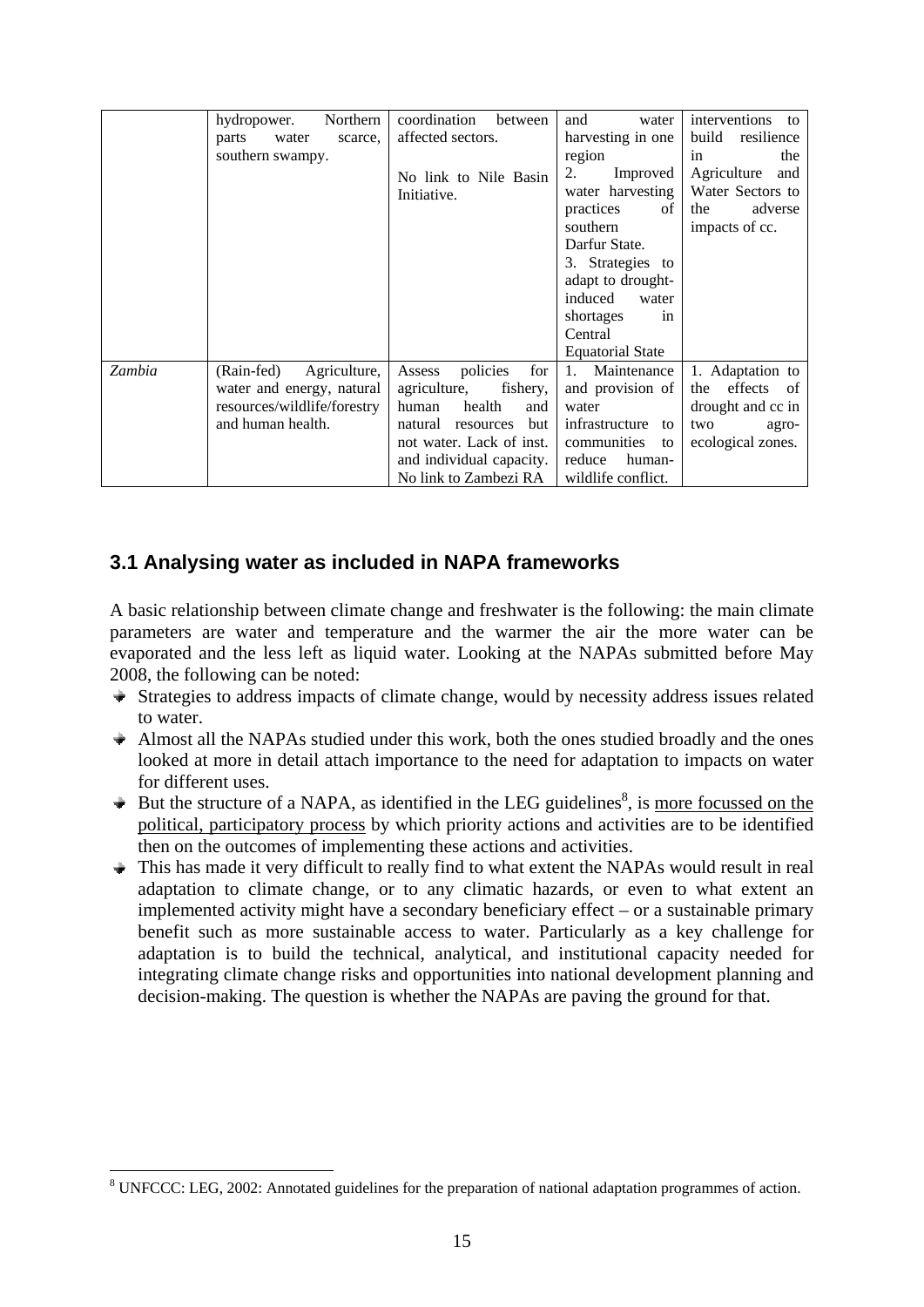|        | Northern<br>hydropower.<br>water<br>parts<br>scarce.<br>southern swampy.                                    | coordination<br>between<br>affected sectors.<br>No link to Nile Basin<br>Initiative.                                                                                                            | and<br>water<br>harvesting in one<br>region<br>2.<br>Improved<br>water harvesting<br>practices<br>of<br>southern<br>Darfur State.<br>3. Strategies to<br>adapt to drought-<br>induced<br>water<br>shortages<br>in<br>Central<br><b>Equatorial State</b> | interventions<br>to<br>build<br>resilience<br>the<br>in<br>Agriculture and<br>Water Sectors to<br>adverse<br>the<br>impacts of cc. |
|--------|-------------------------------------------------------------------------------------------------------------|-------------------------------------------------------------------------------------------------------------------------------------------------------------------------------------------------|---------------------------------------------------------------------------------------------------------------------------------------------------------------------------------------------------------------------------------------------------------|------------------------------------------------------------------------------------------------------------------------------------|
| Zambia | (Rain-fed)<br>Agriculture,<br>water and energy, natural<br>resources/wildlife/forestry<br>and human health. | policies<br>for<br>Assess<br>agriculture,<br>fishery,<br>health<br>human<br>and<br>but<br>natural<br>resources<br>not water. Lack of inst.<br>and individual capacity.<br>No link to Zambezi RA | 1. Maintenance<br>and provision of<br>water<br>infrastructure to<br>communities<br>to<br>reduce<br>human-<br>wildlife conflict.                                                                                                                         | 1. Adaptation to<br>the effects of<br>drought and cc in<br>two<br>agro-<br>ecological zones.                                       |

### **3.1 Analysing water as included in NAPA frameworks**

A basic relationship between climate change and freshwater is the following: the main climate parameters are water and temperature and the warmer the air the more water can be evaporated and the less left as liquid water. Looking at the NAPAs submitted before May 2008, the following can be noted:

- $\rightarrow$  Strategies to address impacts of climate change, would by necessity address issues related to water.
- $\triangle$  Almost all the NAPAs studied under this work, both the ones studied broadly and the ones looked at more in detail attach importance to the need for adaptation to impacts on water for different uses.
- But the structure of a NAPA, as identified in the LEG guidelines $\delta$ , is more focussed on the political, participatory process by which priority actions and activities are to be identified then on the outcomes of implementing these actions and activities.
- This has made it very difficult to really find to what extent the NAPAs would result in real adaptation to climate change, or to any climatic hazards, or even to what extent an implemented activity might have a secondary beneficiary effect – or a sustainable primary benefit such as more sustainable access to water. Particularly as a key challenge for adaptation is to build the technical, analytical, and institutional capacity needed for integrating climate change risks and opportunities into national development planning and decision-making. The question is whether the NAPAs are paving the ground for that.

1

<sup>&</sup>lt;sup>8</sup> UNFCCC: LEG, 2002: Annotated guidelines for the preparation of national adaptation programmes of action.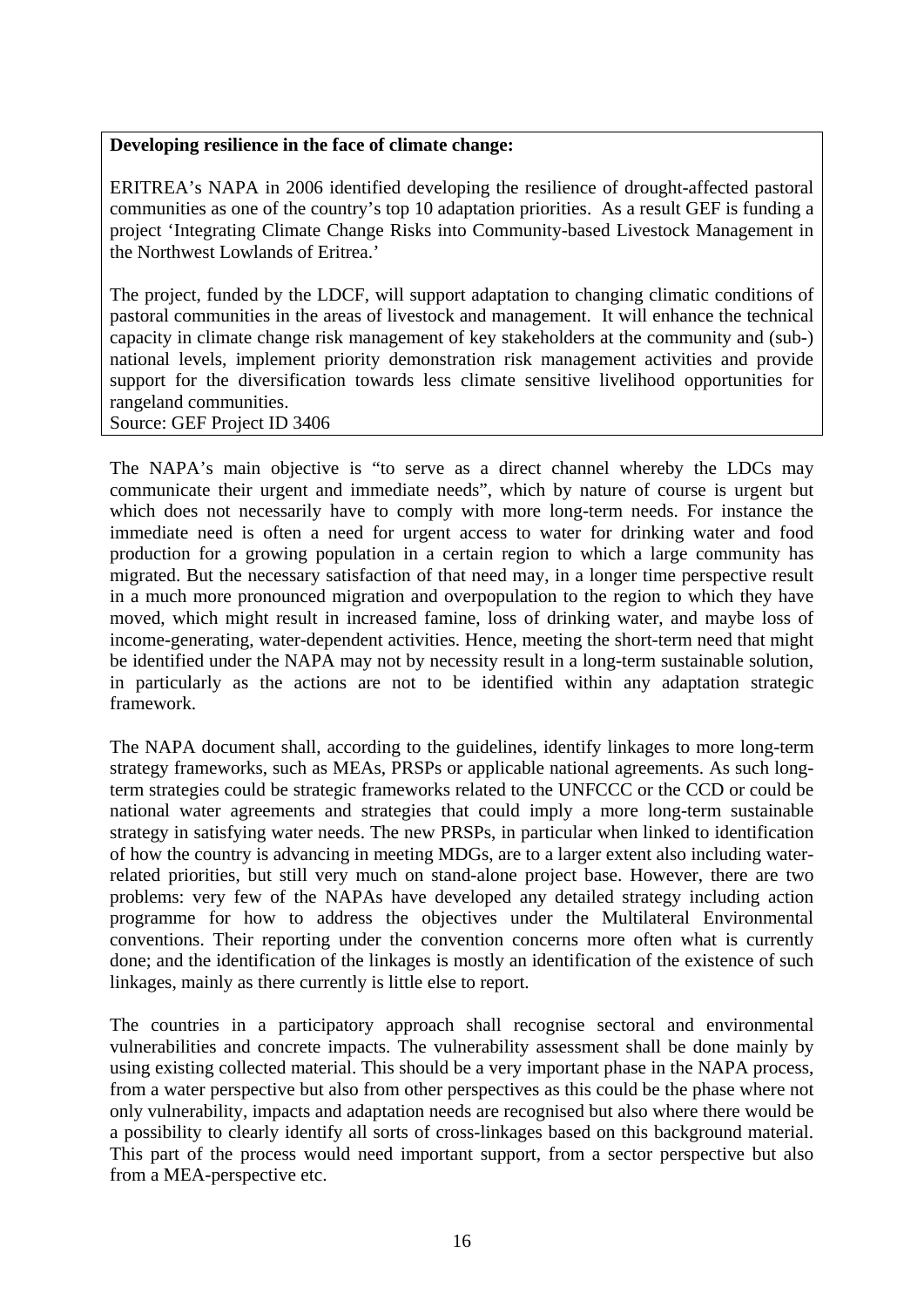#### **Developing resilience in the face of climate change:**

ERITREA's NAPA in 2006 identified developing the resilience of drought-affected pastoral communities as one of the country's top 10 adaptation priorities. As a result GEF is funding a project 'Integrating Climate Change Risks into Community-based Livestock Management in the Northwest Lowlands of Eritrea.'

The project, funded by the LDCF, will support adaptation to changing climatic conditions of pastoral communities in the areas of livestock and management. It will enhance the technical capacity in climate change risk management of key stakeholders at the community and (sub-) national levels, implement priority demonstration risk management activities and provide support for the diversification towards less climate sensitive livelihood opportunities for rangeland communities.

Source: GEF Project ID 3406

The NAPA's main objective is "to serve as a direct channel whereby the LDCs may communicate their urgent and immediate needs", which by nature of course is urgent but which does not necessarily have to comply with more long-term needs. For instance the immediate need is often a need for urgent access to water for drinking water and food production for a growing population in a certain region to which a large community has migrated. But the necessary satisfaction of that need may, in a longer time perspective result in a much more pronounced migration and overpopulation to the region to which they have moved, which might result in increased famine, loss of drinking water, and maybe loss of income-generating, water-dependent activities. Hence, meeting the short-term need that might be identified under the NAPA may not by necessity result in a long-term sustainable solution, in particularly as the actions are not to be identified within any adaptation strategic framework.

The NAPA document shall, according to the guidelines, identify linkages to more long-term strategy frameworks, such as MEAs, PRSPs or applicable national agreements. As such longterm strategies could be strategic frameworks related to the UNFCCC or the CCD or could be national water agreements and strategies that could imply a more long-term sustainable strategy in satisfying water needs. The new PRSPs, in particular when linked to identification of how the country is advancing in meeting MDGs, are to a larger extent also including waterrelated priorities, but still very much on stand-alone project base. However, there are two problems: very few of the NAPAs have developed any detailed strategy including action programme for how to address the objectives under the Multilateral Environmental conventions. Their reporting under the convention concerns more often what is currently done; and the identification of the linkages is mostly an identification of the existence of such linkages, mainly as there currently is little else to report.

The countries in a participatory approach shall recognise sectoral and environmental vulnerabilities and concrete impacts. The vulnerability assessment shall be done mainly by using existing collected material. This should be a very important phase in the NAPA process, from a water perspective but also from other perspectives as this could be the phase where not only vulnerability, impacts and adaptation needs are recognised but also where there would be a possibility to clearly identify all sorts of cross-linkages based on this background material. This part of the process would need important support, from a sector perspective but also from a MEA-perspective etc.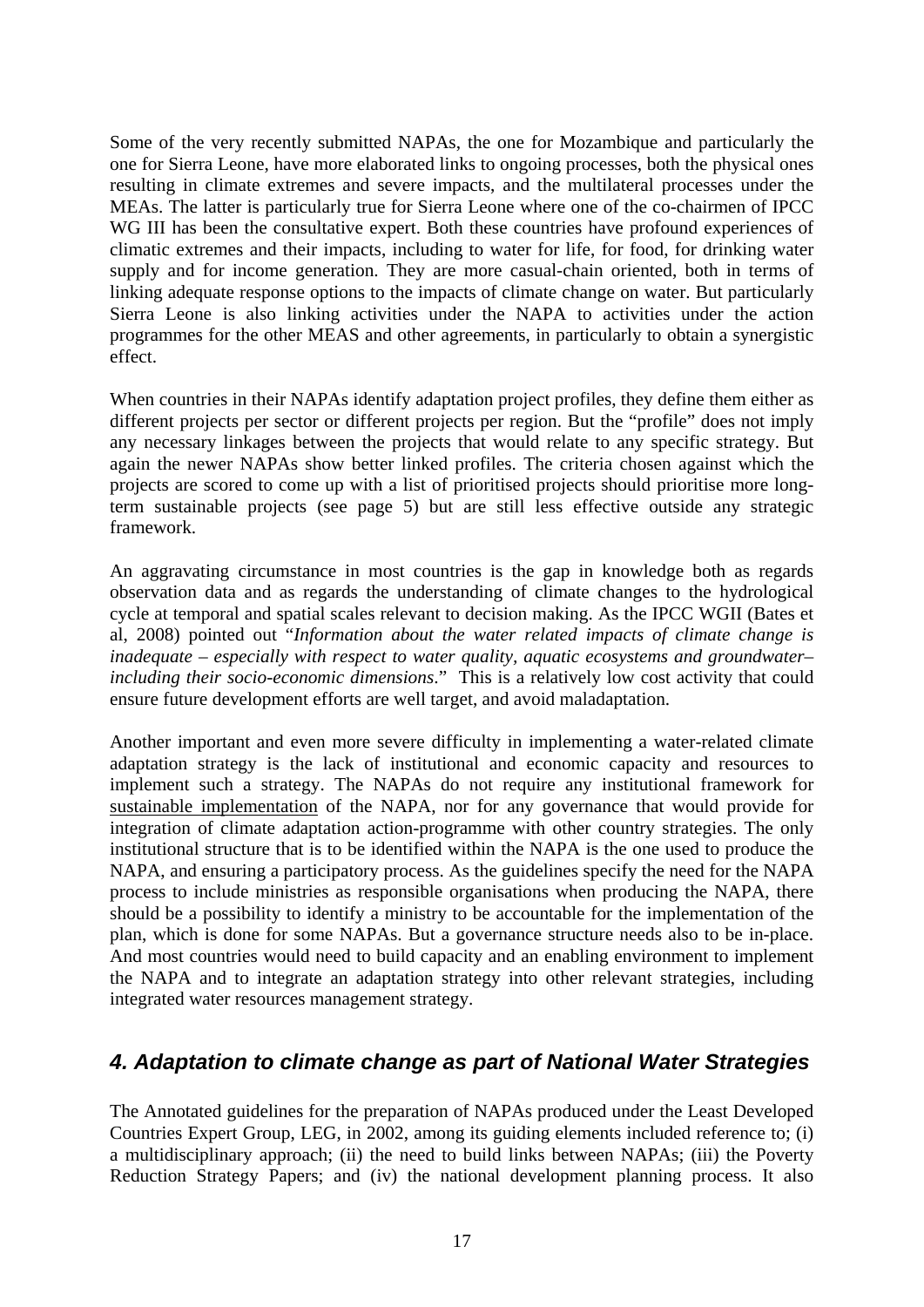Some of the very recently submitted NAPAs, the one for Mozambique and particularly the one for Sierra Leone, have more elaborated links to ongoing processes, both the physical ones resulting in climate extremes and severe impacts, and the multilateral processes under the MEAs. The latter is particularly true for Sierra Leone where one of the co-chairmen of IPCC WG III has been the consultative expert. Both these countries have profound experiences of climatic extremes and their impacts, including to water for life, for food, for drinking water supply and for income generation. They are more casual-chain oriented, both in terms of linking adequate response options to the impacts of climate change on water. But particularly Sierra Leone is also linking activities under the NAPA to activities under the action programmes for the other MEAS and other agreements, in particularly to obtain a synergistic effect.

When countries in their NAPAs identify adaptation project profiles, they define them either as different projects per sector or different projects per region. But the "profile" does not imply any necessary linkages between the projects that would relate to any specific strategy. But again the newer NAPAs show better linked profiles. The criteria chosen against which the projects are scored to come up with a list of prioritised projects should prioritise more longterm sustainable projects (see page 5) but are still less effective outside any strategic framework.

An aggravating circumstance in most countries is the gap in knowledge both as regards observation data and as regards the understanding of climate changes to the hydrological cycle at temporal and spatial scales relevant to decision making. As the IPCC WGII (Bates et al, 2008) pointed out "*Information about the water related impacts of climate change is inadequate – especially with respect to water quality, aquatic ecosystems and groundwater– including their socio-economic dimensions*." This is a relatively low cost activity that could ensure future development efforts are well target, and avoid maladaptation.

Another important and even more severe difficulty in implementing a water-related climate adaptation strategy is the lack of institutional and economic capacity and resources to implement such a strategy. The NAPAs do not require any institutional framework for sustainable implementation of the NAPA, nor for any governance that would provide for integration of climate adaptation action-programme with other country strategies. The only institutional structure that is to be identified within the NAPA is the one used to produce the NAPA, and ensuring a participatory process. As the guidelines specify the need for the NAPA process to include ministries as responsible organisations when producing the NAPA, there should be a possibility to identify a ministry to be accountable for the implementation of the plan, which is done for some NAPAs. But a governance structure needs also to be in-place. And most countries would need to build capacity and an enabling environment to implement the NAPA and to integrate an adaptation strategy into other relevant strategies, including integrated water resources management strategy.

# *4. Adaptation to climate change as part of National Water Strategies*

The Annotated guidelines for the preparation of NAPAs produced under the Least Developed Countries Expert Group, LEG, in 2002, among its guiding elements included reference to; (i) a multidisciplinary approach; (ii) the need to build links between NAPAs; (iii) the Poverty Reduction Strategy Papers; and (iv) the national development planning process. It also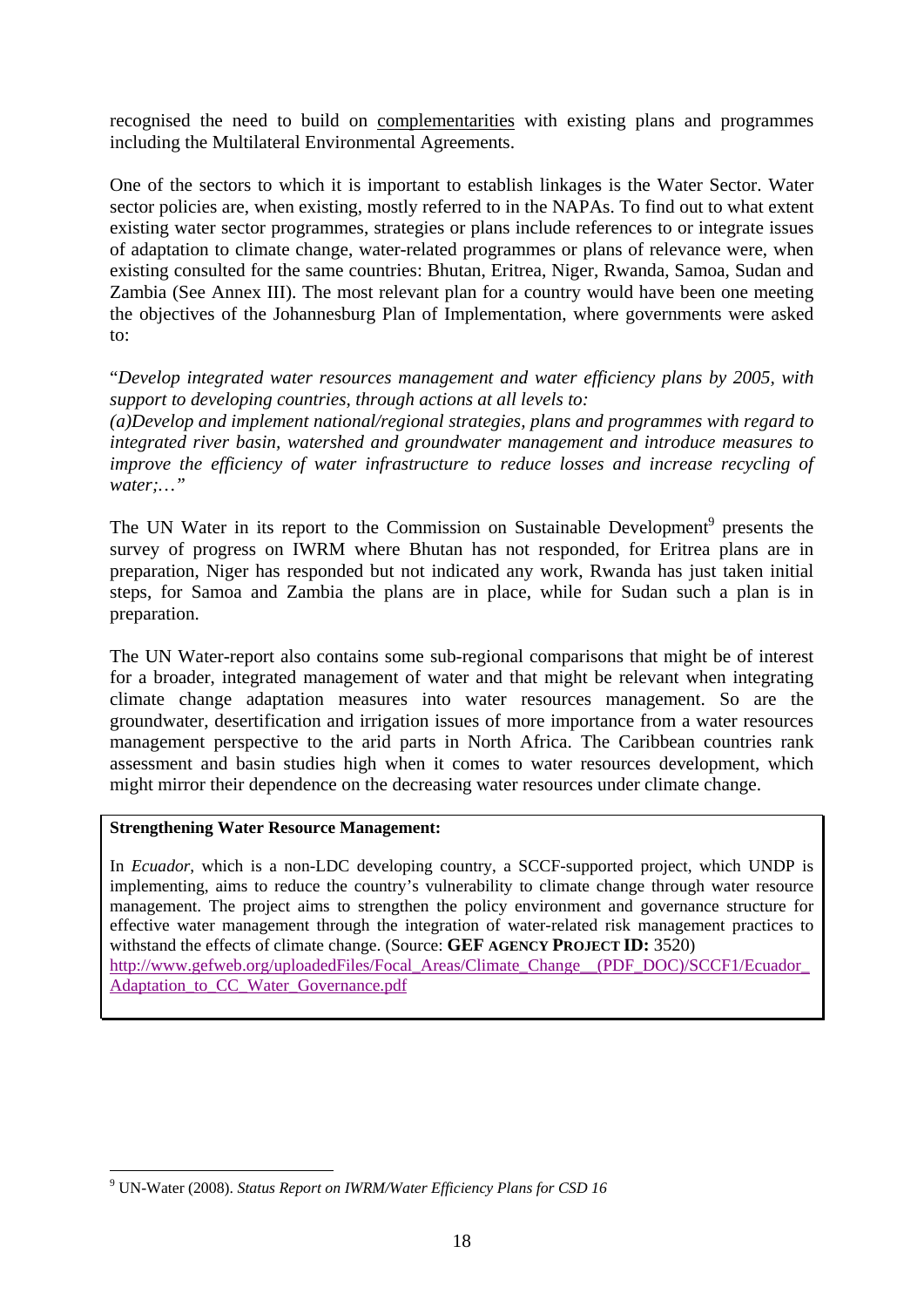recognised the need to build on complementarities with existing plans and programmes including the Multilateral Environmental Agreements.

One of the sectors to which it is important to establish linkages is the Water Sector. Water sector policies are, when existing, mostly referred to in the NAPAs. To find out to what extent existing water sector programmes, strategies or plans include references to or integrate issues of adaptation to climate change, water-related programmes or plans of relevance were, when existing consulted for the same countries: Bhutan, Eritrea, Niger, Rwanda, Samoa, Sudan and Zambia (See Annex III). The most relevant plan for a country would have been one meeting the objectives of the Johannesburg Plan of Implementation, where governments were asked to:

"*Develop integrated water resources management and water efficiency plans by 2005, with support to developing countries, through actions at all levels to:* 

*(a)Develop and implement national/regional strategies, plans and programmes with regard to integrated river basin, watershed and groundwater management and introduce measures to improve the efficiency of water infrastructure to reduce losses and increase recycling of water;…"* 

The UN Water in its report to the Commission on Sustainable Development<sup>9</sup> presents the survey of progress on IWRM where Bhutan has not responded, for Eritrea plans are in preparation, Niger has responded but not indicated any work, Rwanda has just taken initial steps, for Samoa and Zambia the plans are in place, while for Sudan such a plan is in preparation.

The UN Water-report also contains some sub-regional comparisons that might be of interest for a broader, integrated management of water and that might be relevant when integrating climate change adaptation measures into water resources management. So are the groundwater, desertification and irrigation issues of more importance from a water resources management perspective to the arid parts in North Africa. The Caribbean countries rank assessment and basin studies high when it comes to water resources development, which might mirror their dependence on the decreasing water resources under climate change.

#### **Strengthening Water Resource Management:**

1

In *Ecuador*, which is a non-LDC developing country, a SCCF-supported project, which UNDP is implementing, aims to reduce the country's vulnerability to climate change through water resource management. The project aims to strengthen the policy environment and governance structure for effective water management through the integration of water-related risk management practices to withstand the effects of climate change. (Source: **GEF AGENCY PROJECT ID:** 3520) http://www.gefweb.org/uploadedFiles/Focal\_Areas/Climate\_Change\_\_(PDF\_DOC)/SCCF1/Ecuador\_ Adaptation to CC\_Water\_Governance.pdf

<sup>9</sup> UN-Water (2008). *Status Report on IWRM/Water Efficiency Plans for CSD 16*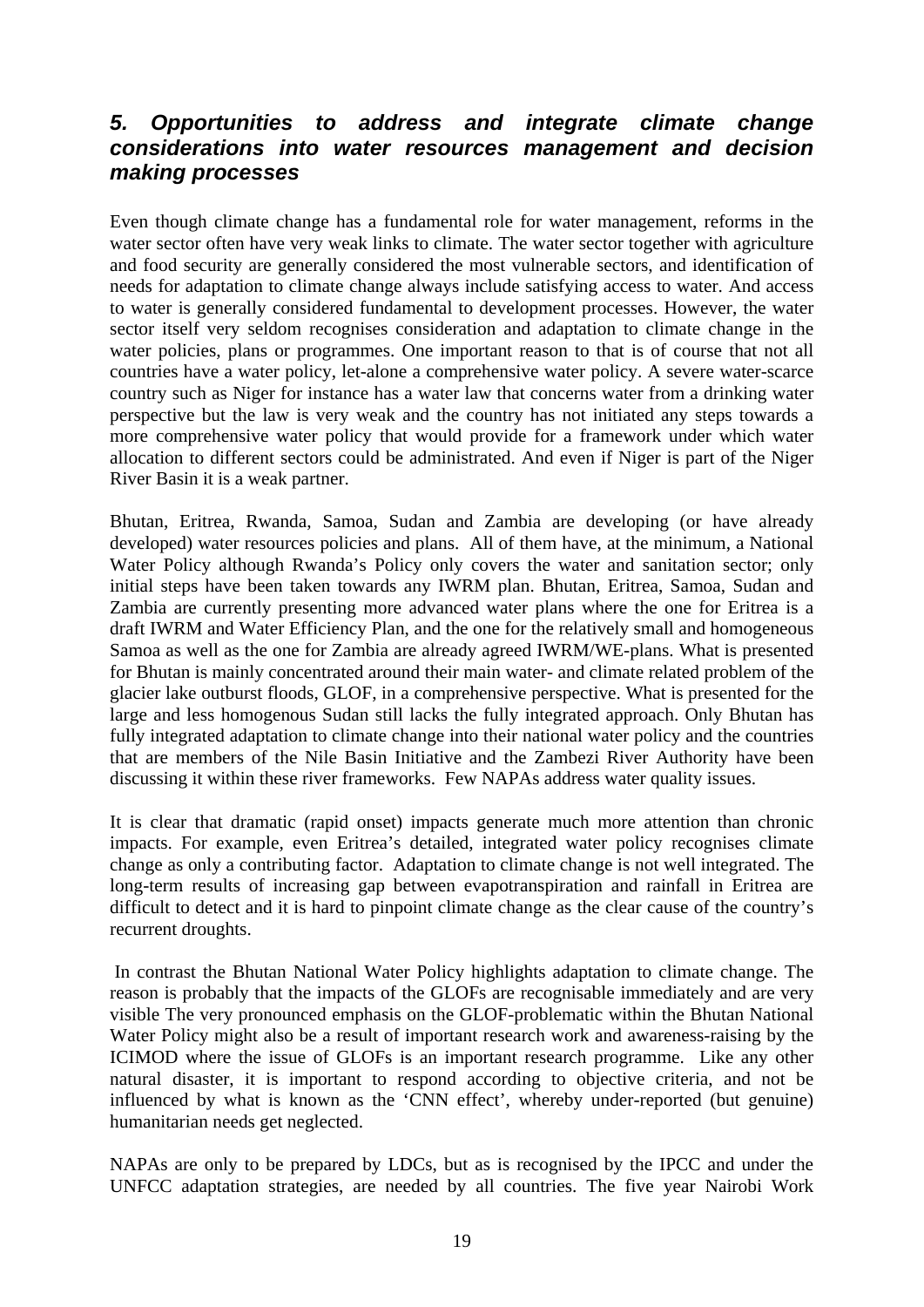# *5. Opportunities to address and integrate climate change considerations into water resources management and decision making processes*

Even though climate change has a fundamental role for water management, reforms in the water sector often have very weak links to climate. The water sector together with agriculture and food security are generally considered the most vulnerable sectors, and identification of needs for adaptation to climate change always include satisfying access to water. And access to water is generally considered fundamental to development processes. However, the water sector itself very seldom recognises consideration and adaptation to climate change in the water policies, plans or programmes. One important reason to that is of course that not all countries have a water policy, let-alone a comprehensive water policy. A severe water-scarce country such as Niger for instance has a water law that concerns water from a drinking water perspective but the law is very weak and the country has not initiated any steps towards a more comprehensive water policy that would provide for a framework under which water allocation to different sectors could be administrated. And even if Niger is part of the Niger River Basin it is a weak partner.

Bhutan, Eritrea, Rwanda, Samoa, Sudan and Zambia are developing (or have already developed) water resources policies and plans. All of them have, at the minimum, a National Water Policy although Rwanda's Policy only covers the water and sanitation sector; only initial steps have been taken towards any IWRM plan. Bhutan, Eritrea, Samoa, Sudan and Zambia are currently presenting more advanced water plans where the one for Eritrea is a draft IWRM and Water Efficiency Plan, and the one for the relatively small and homogeneous Samoa as well as the one for Zambia are already agreed IWRM/WE-plans. What is presented for Bhutan is mainly concentrated around their main water- and climate related problem of the glacier lake outburst floods, GLOF, in a comprehensive perspective. What is presented for the large and less homogenous Sudan still lacks the fully integrated approach. Only Bhutan has fully integrated adaptation to climate change into their national water policy and the countries that are members of the Nile Basin Initiative and the Zambezi River Authority have been discussing it within these river frameworks. Few NAPAs address water quality issues.

It is clear that dramatic (rapid onset) impacts generate much more attention than chronic impacts. For example, even Eritrea's detailed, integrated water policy recognises climate change as only a contributing factor. Adaptation to climate change is not well integrated. The long-term results of increasing gap between evapotranspiration and rainfall in Eritrea are difficult to detect and it is hard to pinpoint climate change as the clear cause of the country's recurrent droughts.

 In contrast the Bhutan National Water Policy highlights adaptation to climate change. The reason is probably that the impacts of the GLOFs are recognisable immediately and are very visible The very pronounced emphasis on the GLOF-problematic within the Bhutan National Water Policy might also be a result of important research work and awareness-raising by the ICIMOD where the issue of GLOFs is an important research programme. Like any other natural disaster, it is important to respond according to objective criteria, and not be influenced by what is known as the 'CNN effect', whereby under-reported (but genuine) humanitarian needs get neglected.

NAPAs are only to be prepared by LDCs, but as is recognised by the IPCC and under the UNFCC adaptation strategies, are needed by all countries. The five year Nairobi Work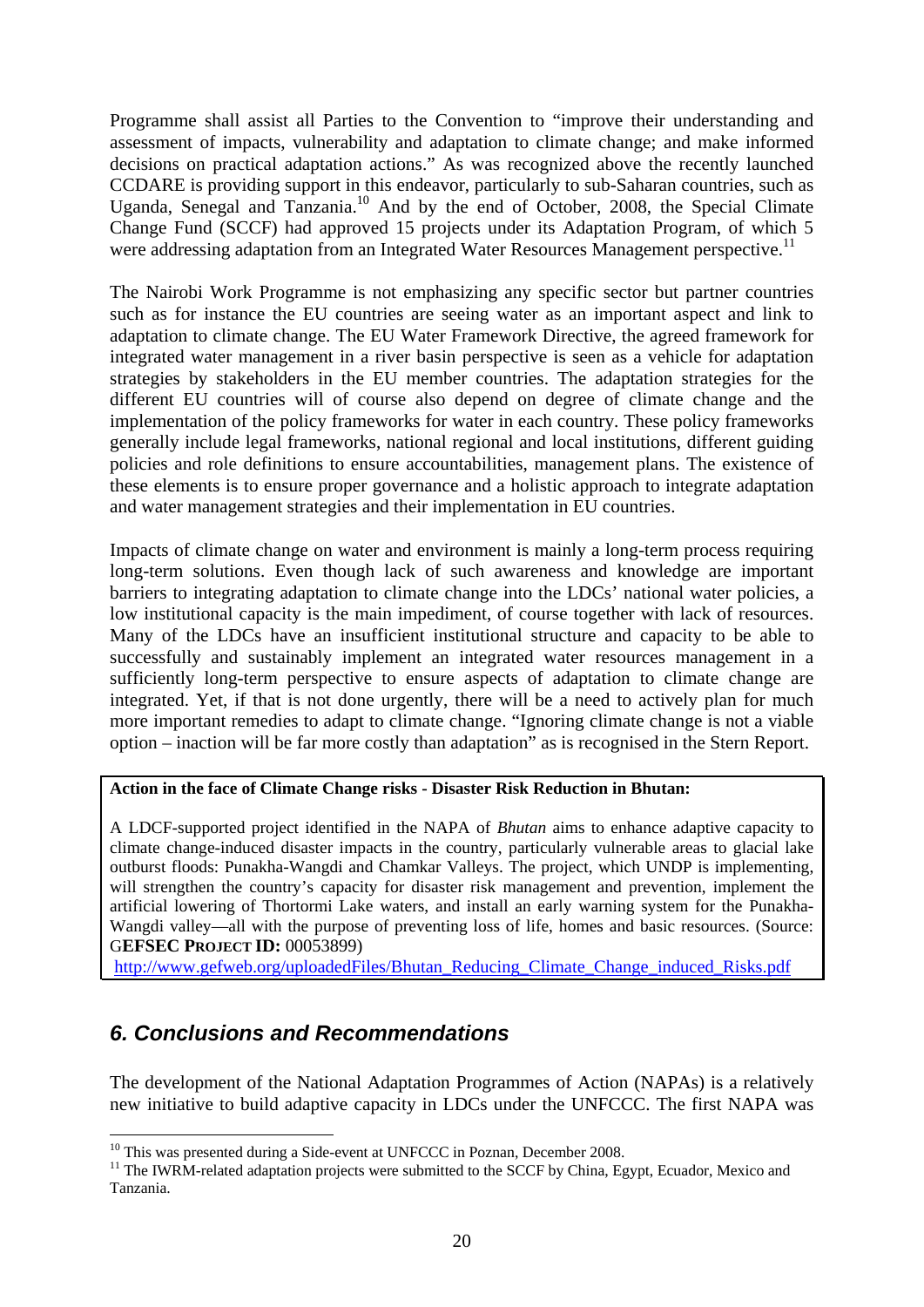Programme shall assist all Parties to the Convention to "improve their understanding and assessment of impacts, vulnerability and adaptation to climate change; and make informed decisions on practical adaptation actions." As was recognized above the recently launched CCDARE is providing support in this endeavor, particularly to sub-Saharan countries, such as Uganda, Senegal and Tanzania.<sup>10</sup> And by the end of October, 2008, the Special Climate Change Fund (SCCF) had approved 15 projects under its Adaptation Program, of which 5 were addressing adaptation from an Integrated Water Resources Management perspective.<sup>11</sup>

The Nairobi Work Programme is not emphasizing any specific sector but partner countries such as for instance the EU countries are seeing water as an important aspect and link to adaptation to climate change. The EU Water Framework Directive, the agreed framework for integrated water management in a river basin perspective is seen as a vehicle for adaptation strategies by stakeholders in the EU member countries. The adaptation strategies for the different EU countries will of course also depend on degree of climate change and the implementation of the policy frameworks for water in each country. These policy frameworks generally include legal frameworks, national regional and local institutions, different guiding policies and role definitions to ensure accountabilities, management plans. The existence of these elements is to ensure proper governance and a holistic approach to integrate adaptation and water management strategies and their implementation in EU countries.

Impacts of climate change on water and environment is mainly a long-term process requiring long-term solutions. Even though lack of such awareness and knowledge are important barriers to integrating adaptation to climate change into the LDCs' national water policies, a low institutional capacity is the main impediment, of course together with lack of resources. Many of the LDCs have an insufficient institutional structure and capacity to be able to successfully and sustainably implement an integrated water resources management in a sufficiently long-term perspective to ensure aspects of adaptation to climate change are integrated. Yet, if that is not done urgently, there will be a need to actively plan for much more important remedies to adapt to climate change. "Ignoring climate change is not a viable option – inaction will be far more costly than adaptation" as is recognised in the Stern Report.

#### **Action in the face of Climate Change risks - Disaster Risk Reduction in Bhutan:**

A LDCF-supported project identified in the NAPA of *Bhutan* aims to enhance adaptive capacity to climate change-induced disaster impacts in the country, particularly vulnerable areas to glacial lake outburst floods: Punakha-Wangdi and Chamkar Valleys. The project, which UNDP is implementing, will strengthen the country's capacity for disaster risk management and prevention, implement the artificial lowering of Thortormi Lake waters, and install an early warning system for the Punakha-Wangdi valley—all with the purpose of preventing loss of life, homes and basic resources. (Source: G**EFSEC PROJECT ID:** 00053899)

http://www.gefweb.org/uploadedFiles/Bhutan\_Reducing\_Climate\_Change\_induced\_Risks.pdf

# *6. Conclusions and Recommendations*

1

The development of the National Adaptation Programmes of Action (NAPAs) is a relatively new initiative to build adaptive capacity in LDCs under the UNFCCC. The first NAPA was

<sup>&</sup>lt;sup>10</sup> This was presented during a Side-event at UNFCCC in Poznan, December 2008.<br><sup>11</sup> The IWRM-related adaptation projects were submitted to the SCCF by China, Egypt, Ecuador, Mexico and Tanzania.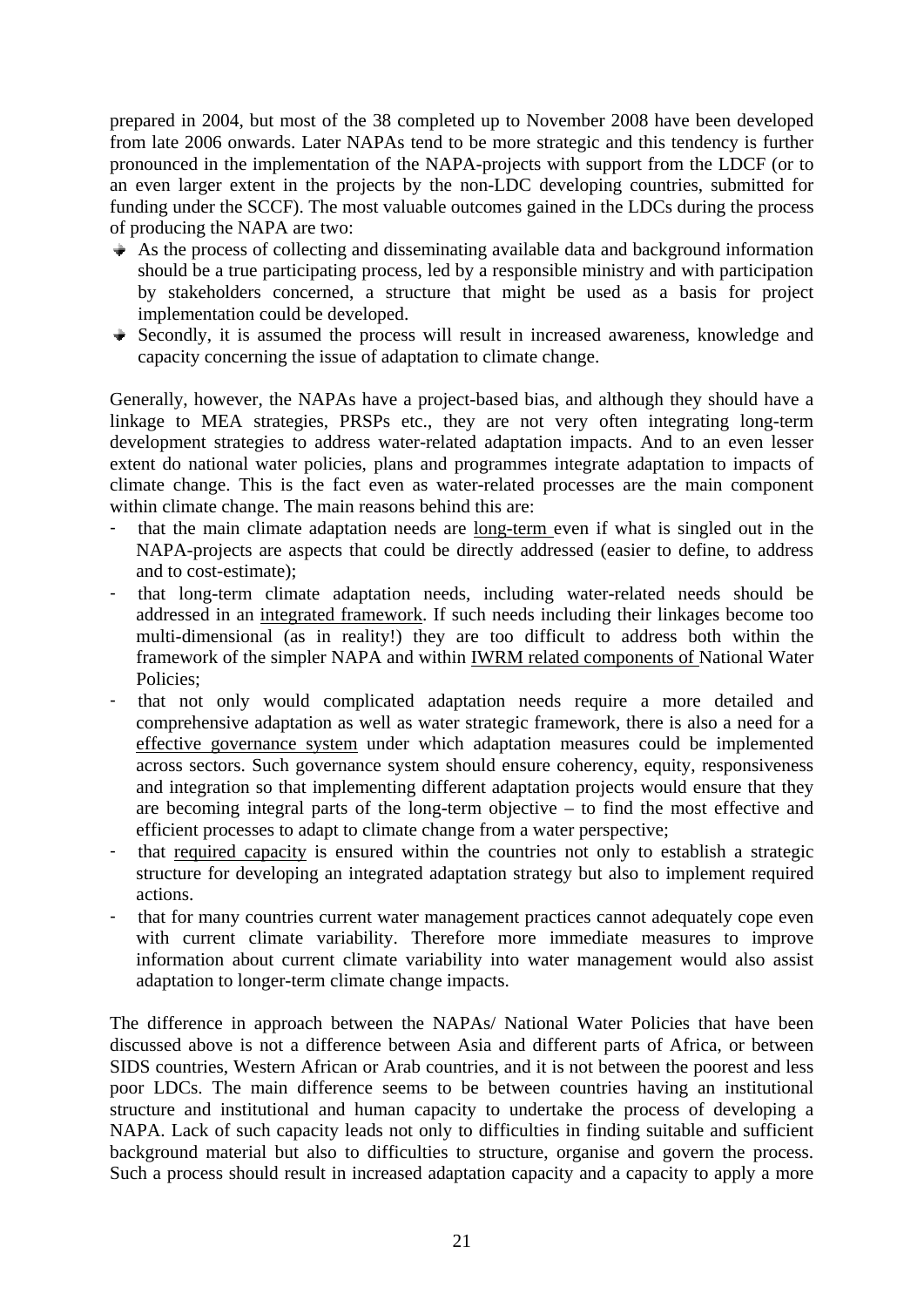prepared in 2004, but most of the 38 completed up to November 2008 have been developed from late 2006 onwards. Later NAPAs tend to be more strategic and this tendency is further pronounced in the implementation of the NAPA-projects with support from the LDCF (or to an even larger extent in the projects by the non-LDC developing countries, submitted for funding under the SCCF). The most valuable outcomes gained in the LDCs during the process of producing the NAPA are two:

- $\rightarrow$  As the process of collecting and disseminating available data and background information should be a true participating process, led by a responsible ministry and with participation by stakeholders concerned, a structure that might be used as a basis for project implementation could be developed.
- $\rightarrow$  Secondly, it is assumed the process will result in increased awareness, knowledge and capacity concerning the issue of adaptation to climate change.

Generally, however, the NAPAs have a project-based bias, and although they should have a linkage to MEA strategies, PRSPs etc., they are not very often integrating long-term development strategies to address water-related adaptation impacts. And to an even lesser extent do national water policies, plans and programmes integrate adaptation to impacts of climate change. This is the fact even as water-related processes are the main component within climate change. The main reasons behind this are:

- that the main climate adaptation needs are long-term even if what is singled out in the NAPA-projects are aspects that could be directly addressed (easier to define, to address and to cost-estimate);
- that long-term climate adaptation needs, including water-related needs should be addressed in an integrated framework. If such needs including their linkages become too multi-dimensional (as in reality!) they are too difficult to address both within the framework of the simpler NAPA and within IWRM related components of National Water Policies;
- that not only would complicated adaptation needs require a more detailed and comprehensive adaptation as well as water strategic framework, there is also a need for a effective governance system under which adaptation measures could be implemented across sectors. Such governance system should ensure coherency, equity, responsiveness and integration so that implementing different adaptation projects would ensure that they are becoming integral parts of the long-term objective – to find the most effective and efficient processes to adapt to climate change from a water perspective;
- that required capacity is ensured within the countries not only to establish a strategic structure for developing an integrated adaptation strategy but also to implement required actions.
- that for many countries current water management practices cannot adequately cope even with current climate variability. Therefore more immediate measures to improve information about current climate variability into water management would also assist adaptation to longer-term climate change impacts.

The difference in approach between the NAPAs/ National Water Policies that have been discussed above is not a difference between Asia and different parts of Africa, or between SIDS countries, Western African or Arab countries, and it is not between the poorest and less poor LDCs. The main difference seems to be between countries having an institutional structure and institutional and human capacity to undertake the process of developing a NAPA. Lack of such capacity leads not only to difficulties in finding suitable and sufficient background material but also to difficulties to structure, organise and govern the process. Such a process should result in increased adaptation capacity and a capacity to apply a more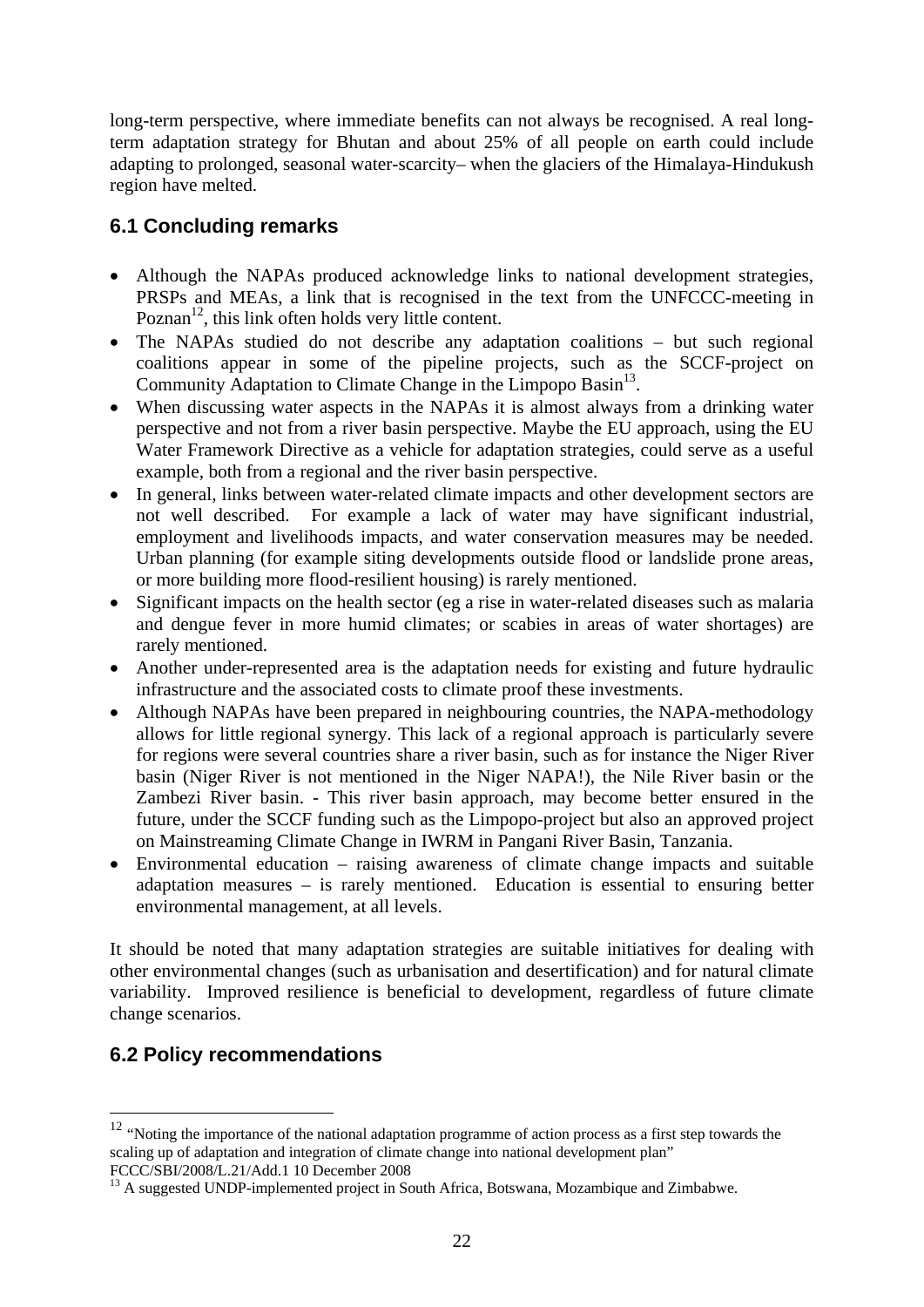long-term perspective, where immediate benefits can not always be recognised. A real longterm adaptation strategy for Bhutan and about 25% of all people on earth could include adapting to prolonged, seasonal water-scarcity– when the glaciers of the Himalaya-Hindukush region have melted.

# **6.1 Concluding remarks**

- Although the NAPAs produced acknowledge links to national development strategies, PRSPs and MEAs, a link that is recognised in the text from the UNFCCC-meeting in Poznan $^{12}$ , this link often holds very little content.
- The NAPAs studied do not describe any adaptation coalitions but such regional coalitions appear in some of the pipeline projects, such as the SCCF-project on Community Adaptation to Climate Change in the Limpopo Basin<sup>13</sup>.
- When discussing water aspects in the NAPAs it is almost always from a drinking water perspective and not from a river basin perspective. Maybe the EU approach, using the EU Water Framework Directive as a vehicle for adaptation strategies, could serve as a useful example, both from a regional and the river basin perspective.
- In general, links between water-related climate impacts and other development sectors are not well described. For example a lack of water may have significant industrial, employment and livelihoods impacts, and water conservation measures may be needed. Urban planning (for example siting developments outside flood or landslide prone areas, or more building more flood-resilient housing) is rarely mentioned.
- Significant impacts on the health sector (eg a rise in water-related diseases such as malaria and dengue fever in more humid climates; or scabies in areas of water shortages) are rarely mentioned.
- Another under-represented area is the adaptation needs for existing and future hydraulic infrastructure and the associated costs to climate proof these investments.
- Although NAPAs have been prepared in neighbouring countries, the NAPA-methodology allows for little regional synergy. This lack of a regional approach is particularly severe for regions were several countries share a river basin, such as for instance the Niger River basin (Niger River is not mentioned in the Niger NAPA!), the Nile River basin or the Zambezi River basin. - This river basin approach, may become better ensured in the future, under the SCCF funding such as the Limpopo-project but also an approved project on Mainstreaming Climate Change in IWRM in Pangani River Basin, Tanzania.
- Environmental education raising awareness of climate change impacts and suitable adaptation measures – is rarely mentioned. Education is essential to ensuring better environmental management, at all levels.

It should be noted that many adaptation strategies are suitable initiatives for dealing with other environmental changes (such as urbanisation and desertification) and for natural climate variability. Improved resilience is beneficial to development, regardless of future climate change scenarios.

# **6.2 Policy recommendations**

1

<sup>&</sup>lt;sup>12</sup> "Noting the importance of the national adaptation programme of action process as a first step towards the scaling up of adaptation and integration of climate change into national development plan"<br>FCCC/SBI/2008/L.21/Add.1 10 December 2008

 $^{13}$  A suggested UNDP-implemented project in South Africa, Botswana, Mozambique and Zimbabwe.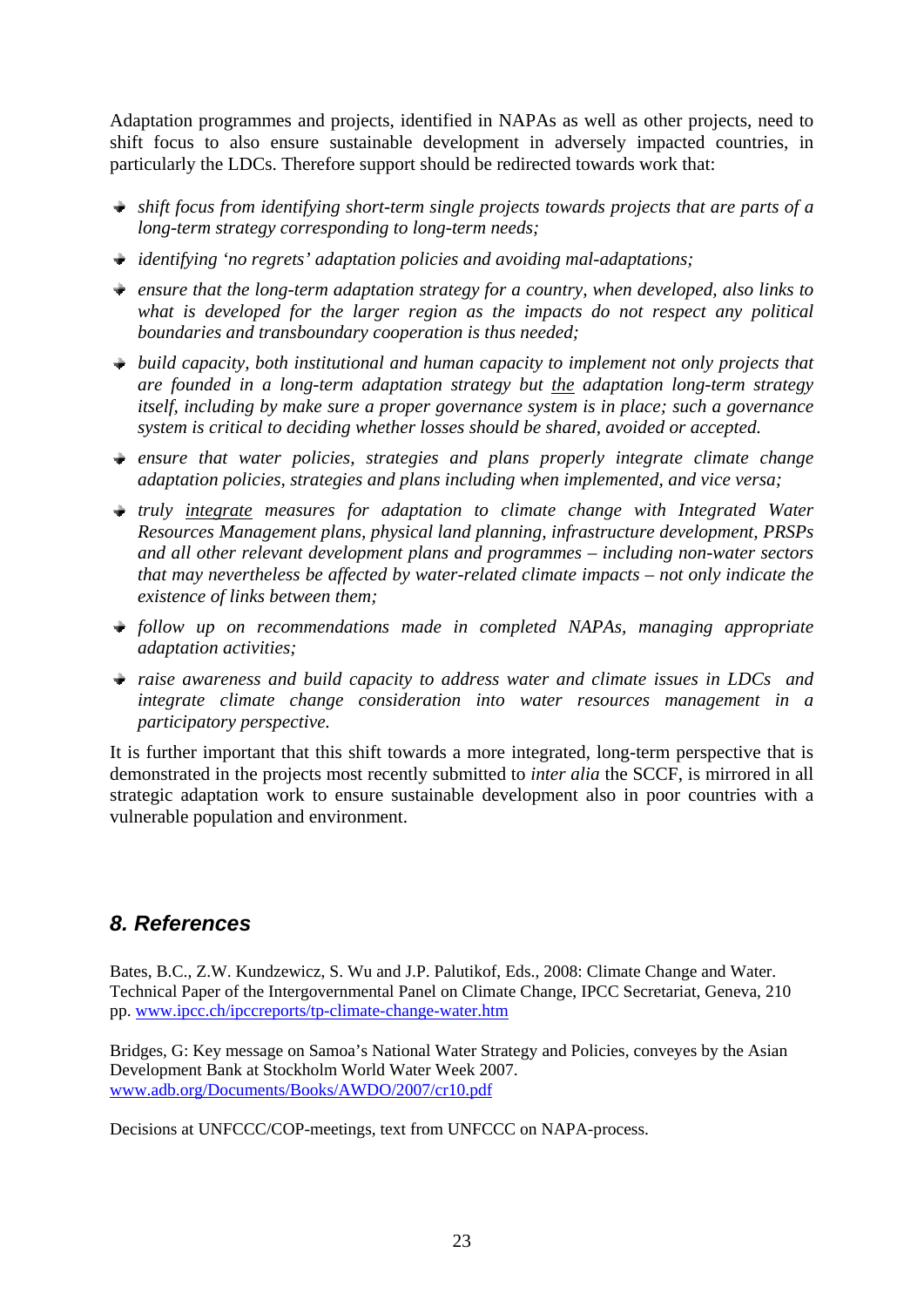Adaptation programmes and projects, identified in NAPAs as well as other projects, need to shift focus to also ensure sustainable development in adversely impacted countries, in particularly the LDCs. Therefore support should be redirected towards work that:

- *shift focus from identifying short-term single projects towards projects that are parts of a long-term strategy corresponding to long-term needs;*
- *identifying 'no regrets' adaptation policies and avoiding mal-adaptations;*
- *ensure that the long-term adaptation strategy for a country, when developed, also links to what is developed for the larger region as the impacts do not respect any political boundaries and transboundary cooperation is thus needed;*
- *build capacity, both institutional and human capacity to implement not only projects that are founded in a long-term adaptation strategy but the adaptation long-term strategy itself, including by make sure a proper governance system is in place; such a governance system is critical to deciding whether losses should be shared, avoided or accepted.*
- *ensure that water policies, strategies and plans properly integrate climate change adaptation policies, strategies and plans including when implemented, and vice versa;*
- *truly integrate measures for adaptation to climate change with Integrated Water Resources Management plans, physical land planning, infrastructure development, PRSPs and all other relevant development plans and programmes – including non-water sectors that may nevertheless be affected by water-related climate impacts – not only indicate the existence of links between them;*
- *follow up on recommendations made in completed NAPAs, managing appropriate adaptation activities;*
- *raise awareness and build capacity to address water and climate issues in LDCs and integrate climate change consideration into water resources management in a participatory perspective.*

It is further important that this shift towards a more integrated, long-term perspective that is demonstrated in the projects most recently submitted to *inter alia* the SCCF, is mirrored in all strategic adaptation work to ensure sustainable development also in poor countries with a vulnerable population and environment.

# *8. References*

Bates, B.C., Z.W. Kundzewicz, S. Wu and J.P. Palutikof, Eds., 2008: Climate Change and Water. Technical Paper of the Intergovernmental Panel on Climate Change, IPCC Secretariat, Geneva, 210 pp. www.ipcc.ch/ipccreports/tp-climate-change-water.htm

Bridges, G: Key message on Samoa's National Water Strategy and Policies, conveyes by the Asian Development Bank at Stockholm World Water Week 2007. www.adb.org/Documents/Books/AWDO/2007/cr10.pdf

Decisions at UNFCCC/COP-meetings, text from UNFCCC on NAPA-process.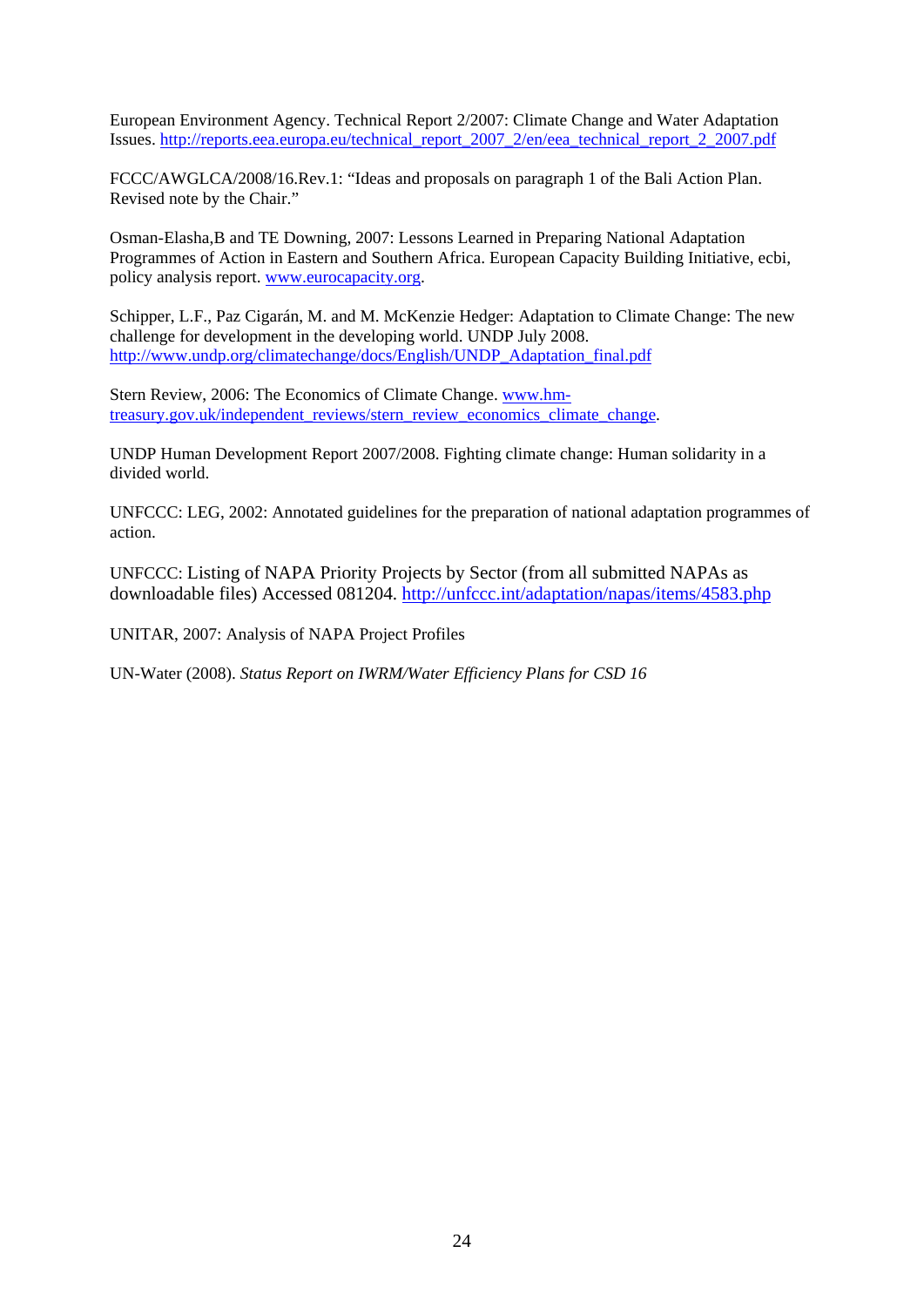European Environment Agency. Technical Report 2/2007: Climate Change and Water Adaptation Issues. http://reports.eea.europa.eu/technical\_report\_2007\_2/en/eea\_technical\_report\_2\_2007.pdf

FCCC/AWGLCA/2008/16.Rev.1: "Ideas and proposals on paragraph 1 of the Bali Action Plan. Revised note by the Chair."

Osman-Elasha,B and TE Downing, 2007: Lessons Learned in Preparing National Adaptation Programmes of Action in Eastern and Southern Africa. European Capacity Building Initiative, ecbi, policy analysis report. www.eurocapacity.org.

Schipper, L.F., Paz Cigarán, M. and M. McKenzie Hedger: Adaptation to Climate Change: The new challenge for development in the developing world. UNDP July 2008. http://www.undp.org/climatechange/docs/English/UNDP\_Adaptation\_final.pdf

Stern Review, 2006: The Economics of Climate Change. www.hmtreasury.gov.uk/independent\_reviews/stern\_review\_economics\_climate\_change.

UNDP Human Development Report 2007/2008. Fighting climate change: Human solidarity in a divided world.

UNFCCC: LEG, 2002: Annotated guidelines for the preparation of national adaptation programmes of action.

UNFCCC: Listing of NAPA Priority Projects by Sector (from all submitted NAPAs as downloadable files) Accessed 081204. http://unfccc.int/adaptation/napas/items/4583.php

UNITAR, 2007: Analysis of NAPA Project Profiles

UN-Water (2008). *Status Report on IWRM/Water Efficiency Plans for CSD 16*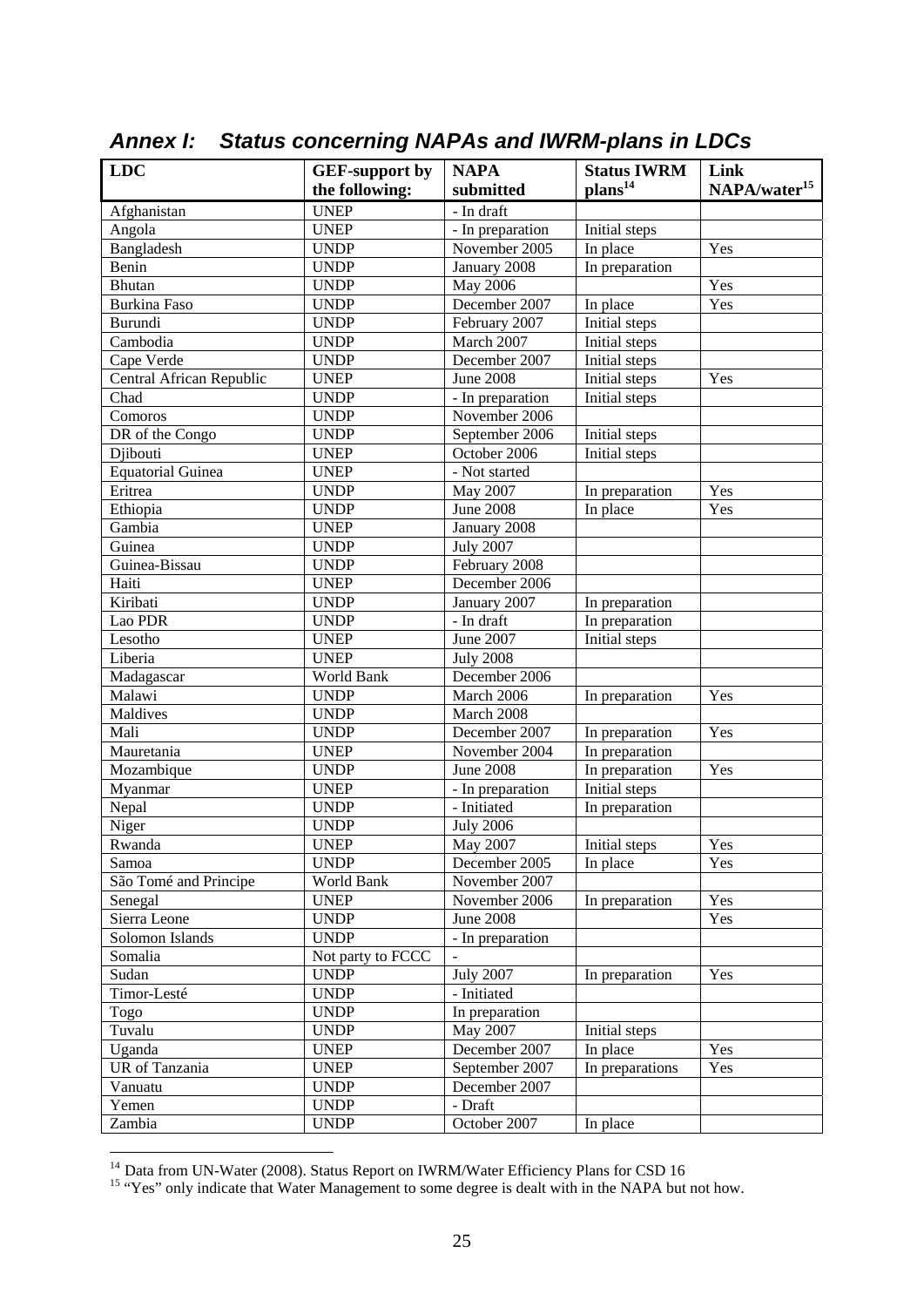| LDC                      | <b>GEF-support by</b> | <b>NAPA</b>      | <b>Status IWRM</b>         | Link                     |
|--------------------------|-----------------------|------------------|----------------------------|--------------------------|
|                          | the following:        | submitted        | plans <sup>14</sup>        | NAPA/water <sup>15</sup> |
| Afghanistan              | <b>UNEP</b>           | - In draft       |                            |                          |
| Angola                   | <b>UNEP</b>           | - In preparation | Initial steps              |                          |
| Bangladesh               | <b>UNDP</b>           | November 2005    | In place                   | Yes                      |
| Benin                    | <b>UNDP</b>           | January 2008     | In preparation             |                          |
| Bhutan                   | <b>UNDP</b>           | May 2006         |                            | Yes                      |
| <b>Burkina Faso</b>      | <b>UNDP</b>           | December 2007    | In place                   | Yes                      |
| Burundi                  | <b>UNDP</b>           | February 2007    | Initial steps              |                          |
| Cambodia                 | <b>UNDP</b>           | March 2007       | Initial steps              |                          |
| Cape Verde               | <b>UNDP</b>           | December 2007    | Initial steps              |                          |
| Central African Republic | <b>UNEP</b>           | <b>June 2008</b> | Initial steps              | Yes                      |
| Chad                     | <b>UNDP</b>           | - In preparation | Initial steps              |                          |
| Comoros                  | <b>UNDP</b>           | November 2006    |                            |                          |
| DR of the Congo          | <b>UNDP</b>           | September 2006   | Initial steps              |                          |
| Djibouti                 | <b>UNEP</b>           | October 2006     | Initial steps              |                          |
| <b>Equatorial Guinea</b> | <b>UNEP</b>           | - Not started    |                            |                          |
| Eritrea                  | <b>UNDP</b>           | May 2007         |                            | Yes                      |
| Ethiopia                 | <b>UNDP</b>           | <b>June 2008</b> | In preparation<br>In place | Yes                      |
| Gambia                   | <b>UNEP</b>           |                  |                            |                          |
| Guinea                   | <b>UNDP</b>           | January 2008     |                            |                          |
|                          | <b>UNDP</b>           | <b>July 2007</b> |                            |                          |
| Guinea-Bissau            |                       | February 2008    |                            |                          |
| Haiti                    | <b>UNEP</b>           | December 2006    |                            |                          |
| Kiribati                 | <b>UNDP</b>           | January 2007     | In preparation             |                          |
| Lao PDR                  | <b>UNDP</b>           | - In draft       | In preparation             |                          |
| Lesotho                  | <b>UNEP</b>           | June 2007        | Initial steps              |                          |
| Liberia                  | <b>UNEP</b>           | <b>July 2008</b> |                            |                          |
| Madagascar               | World Bank            | December 2006    |                            |                          |
| Malawi                   | <b>UNDP</b>           | March 2006       | In preparation             | Yes                      |
| Maldives                 | <b>UNDP</b>           | March 2008       |                            |                          |
| Mali                     | <b>UNDP</b>           | December 2007    | In preparation             | Yes                      |
| Mauretania               | <b>UNEP</b>           | November 2004    | In preparation             |                          |
| Mozambique               | <b>UNDP</b>           | <b>June 2008</b> | In preparation             | Yes                      |
| Myanmar                  | <b>UNEP</b>           | - In preparation | Initial steps              |                          |
| Nepal                    | <b>UNDP</b>           | - Initiated      | In preparation             |                          |
| Niger                    | <b>UNDP</b>           | <b>July 2006</b> |                            |                          |
| Rwanda                   | <b>UNEP</b>           | May 2007         | Initial steps              | Yes                      |
| Samoa                    | <b>UNDP</b>           | December 2005    | In place                   | Yes                      |
| São Tomé and Principe    | World Bank            | November 2007    |                            |                          |
| Senegal                  | <b>UNEP</b>           | November 2006    | In preparation             | Yes                      |
| Sierra Leone             | <b>UNDP</b>           | <b>June 2008</b> |                            | Yes                      |
| Solomon Islands          | <b>UNDP</b>           | - In preparation |                            |                          |
| Somalia                  | Not party to FCCC     |                  |                            |                          |
| Sudan                    | <b>UNDP</b>           | <b>July 2007</b> | In preparation             | Yes                      |
| Timor-Lesté              | <b>UNDP</b>           | - Initiated      |                            |                          |
| Togo                     | <b>UNDP</b>           | In preparation   |                            |                          |
| Tuvalu                   | <b>UNDP</b>           | May 2007         | Initial steps              |                          |
| Uganda                   | <b>UNEP</b>           | December 2007    | In place                   | Yes                      |
| UR of Tanzania           | <b>UNEP</b>           | September 2007   | In preparations            | Yes                      |
| Vanuatu                  | <b>UNDP</b>           | December 2007    |                            |                          |
| Yemen                    | <b>UNDP</b>           | - Draft          |                            |                          |
| Zambia                   | <b>UNDP</b>           | October 2007     | In place                   |                          |

*Annex I: Status concerning NAPAs and IWRM-plans in LDCs* 

1

<sup>&</sup>lt;sup>14</sup> Data from UN-Water (2008). Status Report on IWRM/Water Efficiency Plans for CSD 16 <sup>15</sup> "Yes" only indicate that Water Management to some degree is dealt with in the NAPA but not how.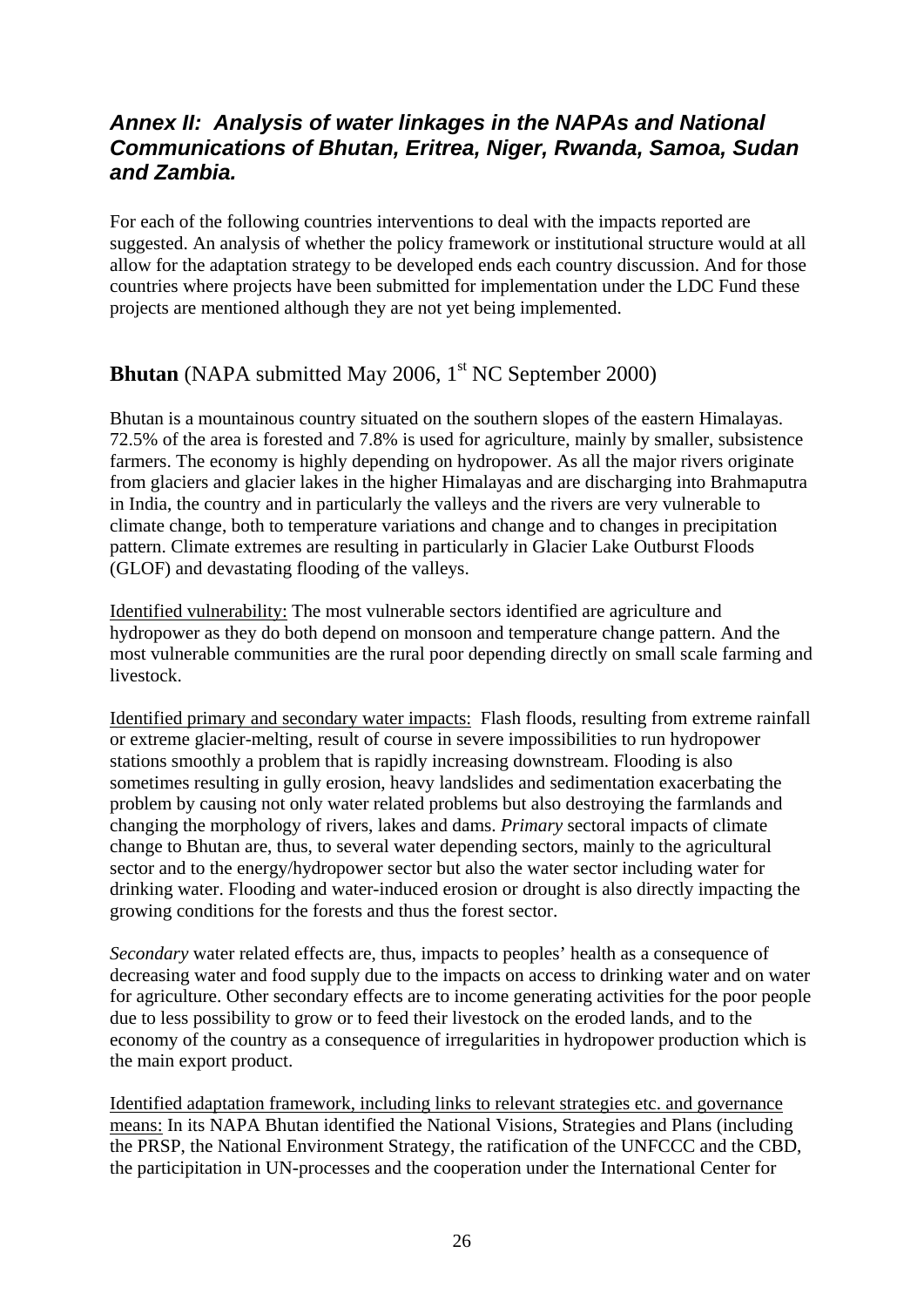# *Annex II: Analysis of water linkages in the NAPAs and National Communications of Bhutan, Eritrea, Niger, Rwanda, Samoa, Sudan and Zambia.*

For each of the following countries interventions to deal with the impacts reported are suggested. An analysis of whether the policy framework or institutional structure would at all allow for the adaptation strategy to be developed ends each country discussion. And for those countries where projects have been submitted for implementation under the LDC Fund these projects are mentioned although they are not yet being implemented.

# **Bhutan** (NAPA submitted May 2006, 1<sup>st</sup> NC September 2000)

Bhutan is a mountainous country situated on the southern slopes of the eastern Himalayas. 72.5% of the area is forested and 7.8% is used for agriculture, mainly by smaller, subsistence farmers. The economy is highly depending on hydropower. As all the major rivers originate from glaciers and glacier lakes in the higher Himalayas and are discharging into Brahmaputra in India, the country and in particularly the valleys and the rivers are very vulnerable to climate change, both to temperature variations and change and to changes in precipitation pattern. Climate extremes are resulting in particularly in Glacier Lake Outburst Floods (GLOF) and devastating flooding of the valleys.

Identified vulnerability: The most vulnerable sectors identified are agriculture and hydropower as they do both depend on monsoon and temperature change pattern. And the most vulnerable communities are the rural poor depending directly on small scale farming and livestock.

Identified primary and secondary water impacts: Flash floods, resulting from extreme rainfall or extreme glacier-melting, result of course in severe impossibilities to run hydropower stations smoothly a problem that is rapidly increasing downstream. Flooding is also sometimes resulting in gully erosion, heavy landslides and sedimentation exacerbating the problem by causing not only water related problems but also destroying the farmlands and changing the morphology of rivers, lakes and dams. *Primary* sectoral impacts of climate change to Bhutan are, thus, to several water depending sectors, mainly to the agricultural sector and to the energy/hydropower sector but also the water sector including water for drinking water. Flooding and water-induced erosion or drought is also directly impacting the growing conditions for the forests and thus the forest sector.

*Secondary* water related effects are, thus, impacts to peoples' health as a consequence of decreasing water and food supply due to the impacts on access to drinking water and on water for agriculture. Other secondary effects are to income generating activities for the poor people due to less possibility to grow or to feed their livestock on the eroded lands, and to the economy of the country as a consequence of irregularities in hydropower production which is the main export product.

Identified adaptation framework, including links to relevant strategies etc. and governance means: In its NAPA Bhutan identified the National Visions, Strategies and Plans (including the PRSP, the National Environment Strategy, the ratification of the UNFCCC and the CBD, the participitation in UN-processes and the cooperation under the International Center for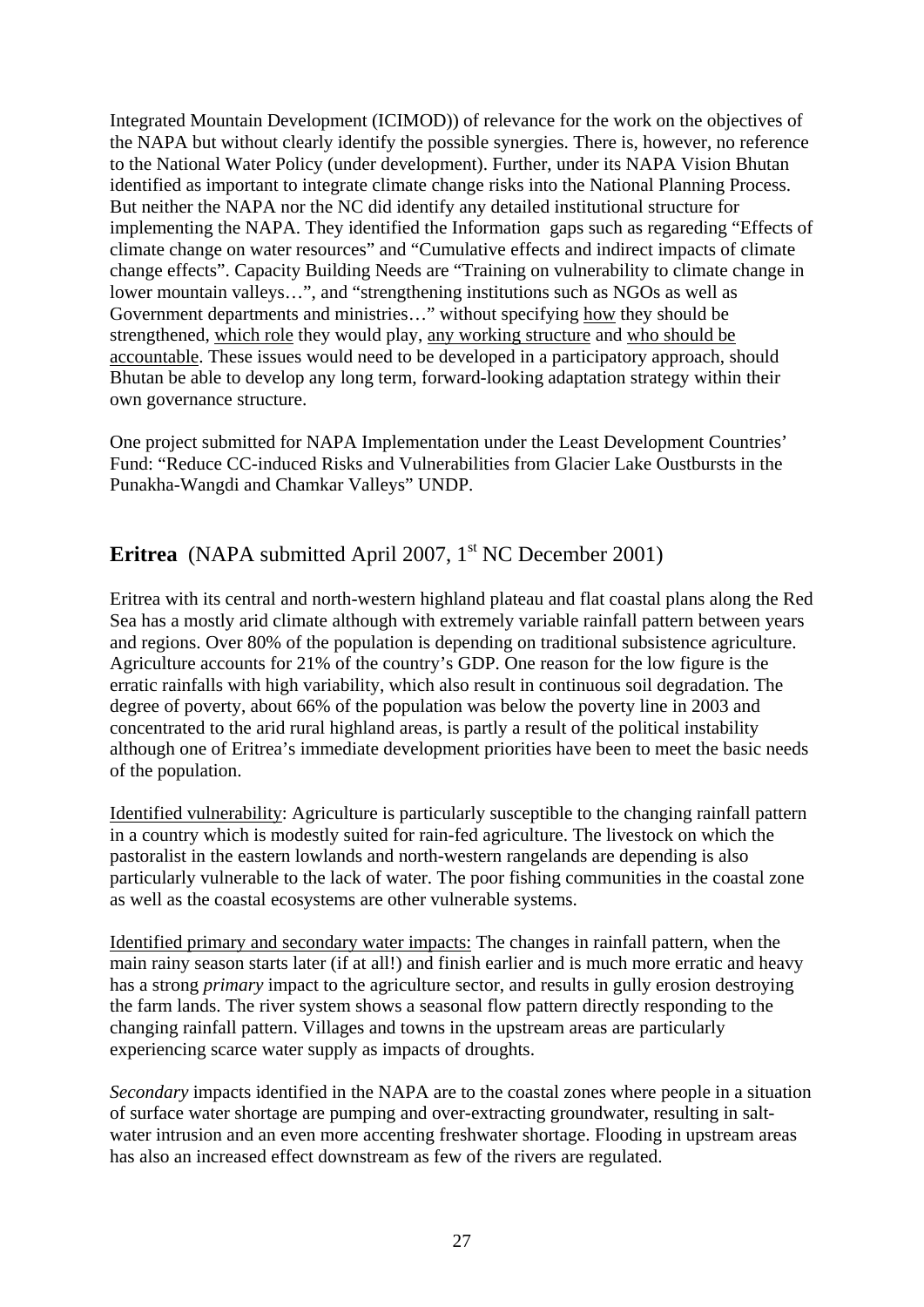Integrated Mountain Development (ICIMOD)) of relevance for the work on the objectives of the NAPA but without clearly identify the possible synergies. There is, however, no reference to the National Water Policy (under development). Further, under its NAPA Vision Bhutan identified as important to integrate climate change risks into the National Planning Process. But neither the NAPA nor the NC did identify any detailed institutional structure for implementing the NAPA. They identified the Information gaps such as regareding "Effects of climate change on water resources" and "Cumulative effects and indirect impacts of climate change effects". Capacity Building Needs are "Training on vulnerability to climate change in lower mountain valleys…", and "strengthening institutions such as NGOs as well as Government departments and ministries..." without specifying <u>how</u> they should be strengthened, which role they would play, any working structure and who should be accountable. These issues would need to be developed in a participatory approach, should Bhutan be able to develop any long term, forward-looking adaptation strategy within their own governance structure.

One project submitted for NAPA Implementation under the Least Development Countries' Fund: "Reduce CC-induced Risks and Vulnerabilities from Glacier Lake Oustbursts in the Punakha-Wangdi and Chamkar Valleys" UNDP.

# **Eritrea** (NAPA submitted April 2007, 1<sup>st</sup> NC December 2001)

Eritrea with its central and north-western highland plateau and flat coastal plans along the Red Sea has a mostly arid climate although with extremely variable rainfall pattern between years and regions. Over 80% of the population is depending on traditional subsistence agriculture. Agriculture accounts for 21% of the country's GDP. One reason for the low figure is the erratic rainfalls with high variability, which also result in continuous soil degradation. The degree of poverty, about 66% of the population was below the poverty line in 2003 and concentrated to the arid rural highland areas, is partly a result of the political instability although one of Eritrea's immediate development priorities have been to meet the basic needs of the population.

Identified vulnerability: Agriculture is particularly susceptible to the changing rainfall pattern in a country which is modestly suited for rain-fed agriculture. The livestock on which the pastoralist in the eastern lowlands and north-western rangelands are depending is also particularly vulnerable to the lack of water. The poor fishing communities in the coastal zone as well as the coastal ecosystems are other vulnerable systems.

Identified primary and secondary water impacts: The changes in rainfall pattern, when the main rainy season starts later (if at all!) and finish earlier and is much more erratic and heavy has a strong *primary* impact to the agriculture sector, and results in gully erosion destroying the farm lands. The river system shows a seasonal flow pattern directly responding to the changing rainfall pattern. Villages and towns in the upstream areas are particularly experiencing scarce water supply as impacts of droughts.

*Secondary* impacts identified in the NAPA are to the coastal zones where people in a situation of surface water shortage are pumping and over-extracting groundwater, resulting in saltwater intrusion and an even more accenting freshwater shortage. Flooding in upstream areas has also an increased effect downstream as few of the rivers are regulated.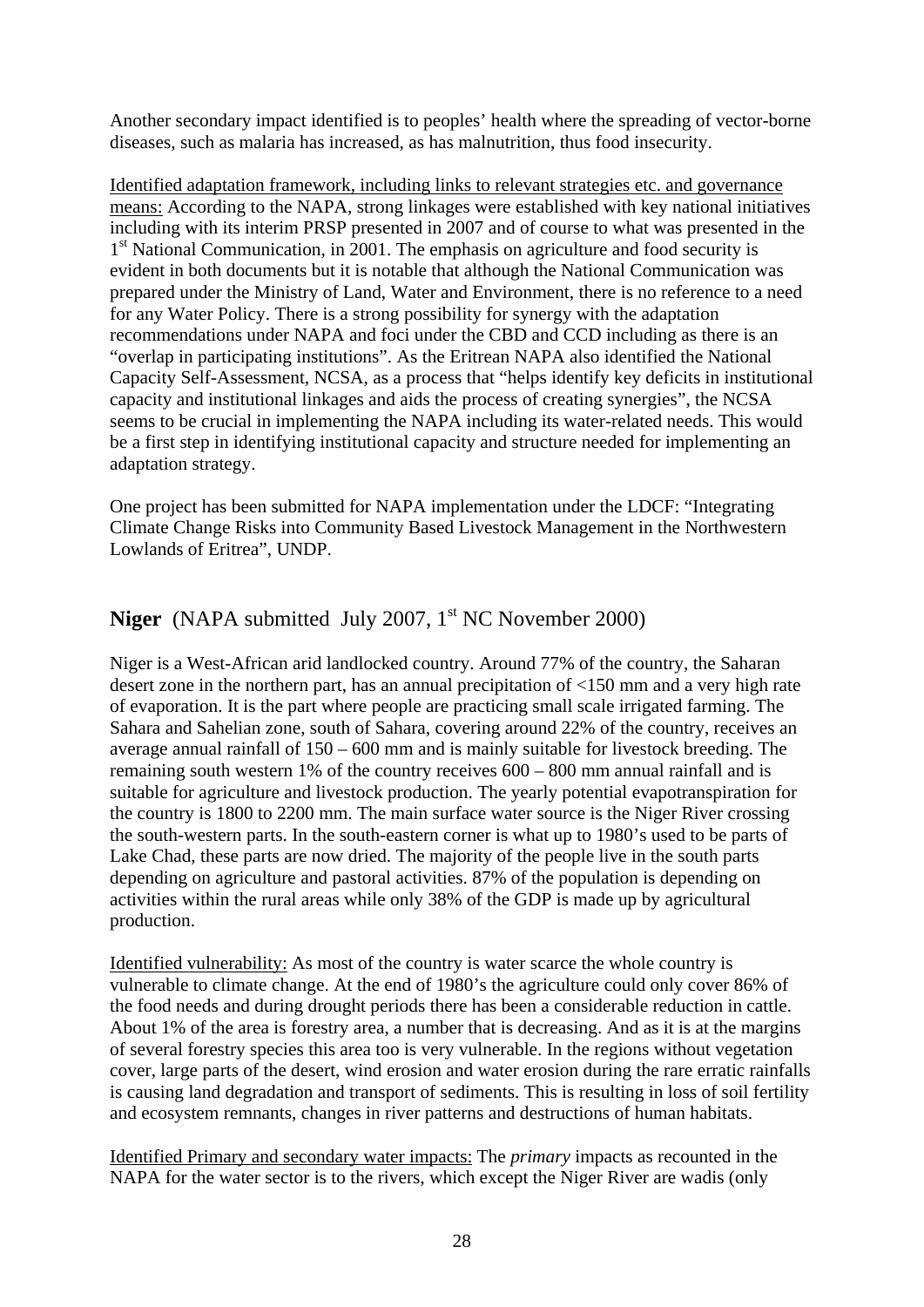Another secondary impact identified is to peoples' health where the spreading of vector-borne diseases, such as malaria has increased, as has malnutrition, thus food insecurity.

Identified adaptation framework, including links to relevant strategies etc. and governance means: According to the NAPA, strong linkages were established with key national initiatives including with its interim PRSP presented in 2007 and of course to what was presented in the 1<sup>st</sup> National Communication, in 2001. The emphasis on agriculture and food security is evident in both documents but it is notable that although the National Communication was prepared under the Ministry of Land, Water and Environment, there is no reference to a need for any Water Policy. There is a strong possibility for synergy with the adaptation recommendations under NAPA and foci under the CBD and CCD including as there is an "overlap in participating institutions". As the Eritrean NAPA also identified the National Capacity Self-Assessment, NCSA, as a process that "helps identify key deficits in institutional capacity and institutional linkages and aids the process of creating synergies", the NCSA seems to be crucial in implementing the NAPA including its water-related needs. This would be a first step in identifying institutional capacity and structure needed for implementing an adaptation strategy.

One project has been submitted for NAPA implementation under the LDCF: "Integrating Climate Change Risks into Community Based Livestock Management in the Northwestern Lowlands of Eritrea", UNDP.

# **Niger** (NAPA submitted July 2007, 1<sup>st</sup> NC November 2000)

Niger is a West-African arid landlocked country. Around 77% of the country, the Saharan desert zone in the northern part, has an annual precipitation of <150 mm and a very high rate of evaporation. It is the part where people are practicing small scale irrigated farming. The Sahara and Sahelian zone, south of Sahara, covering around 22% of the country, receives an average annual rainfall of 150 – 600 mm and is mainly suitable for livestock breeding. The remaining south western 1% of the country receives 600 – 800 mm annual rainfall and is suitable for agriculture and livestock production. The yearly potential evapotranspiration for the country is 1800 to 2200 mm. The main surface water source is the Niger River crossing the south-western parts. In the south-eastern corner is what up to 1980's used to be parts of Lake Chad, these parts are now dried. The majority of the people live in the south parts depending on agriculture and pastoral activities. 87% of the population is depending on activities within the rural areas while only 38% of the GDP is made up by agricultural production.

Identified vulnerability: As most of the country is water scarce the whole country is vulnerable to climate change. At the end of 1980's the agriculture could only cover 86% of the food needs and during drought periods there has been a considerable reduction in cattle. About 1% of the area is forestry area, a number that is decreasing. And as it is at the margins of several forestry species this area too is very vulnerable. In the regions without vegetation cover, large parts of the desert, wind erosion and water erosion during the rare erratic rainfalls is causing land degradation and transport of sediments. This is resulting in loss of soil fertility and ecosystem remnants, changes in river patterns and destructions of human habitats.

Identified Primary and secondary water impacts: The *primary* impacts as recounted in the NAPA for the water sector is to the rivers, which except the Niger River are wadis (only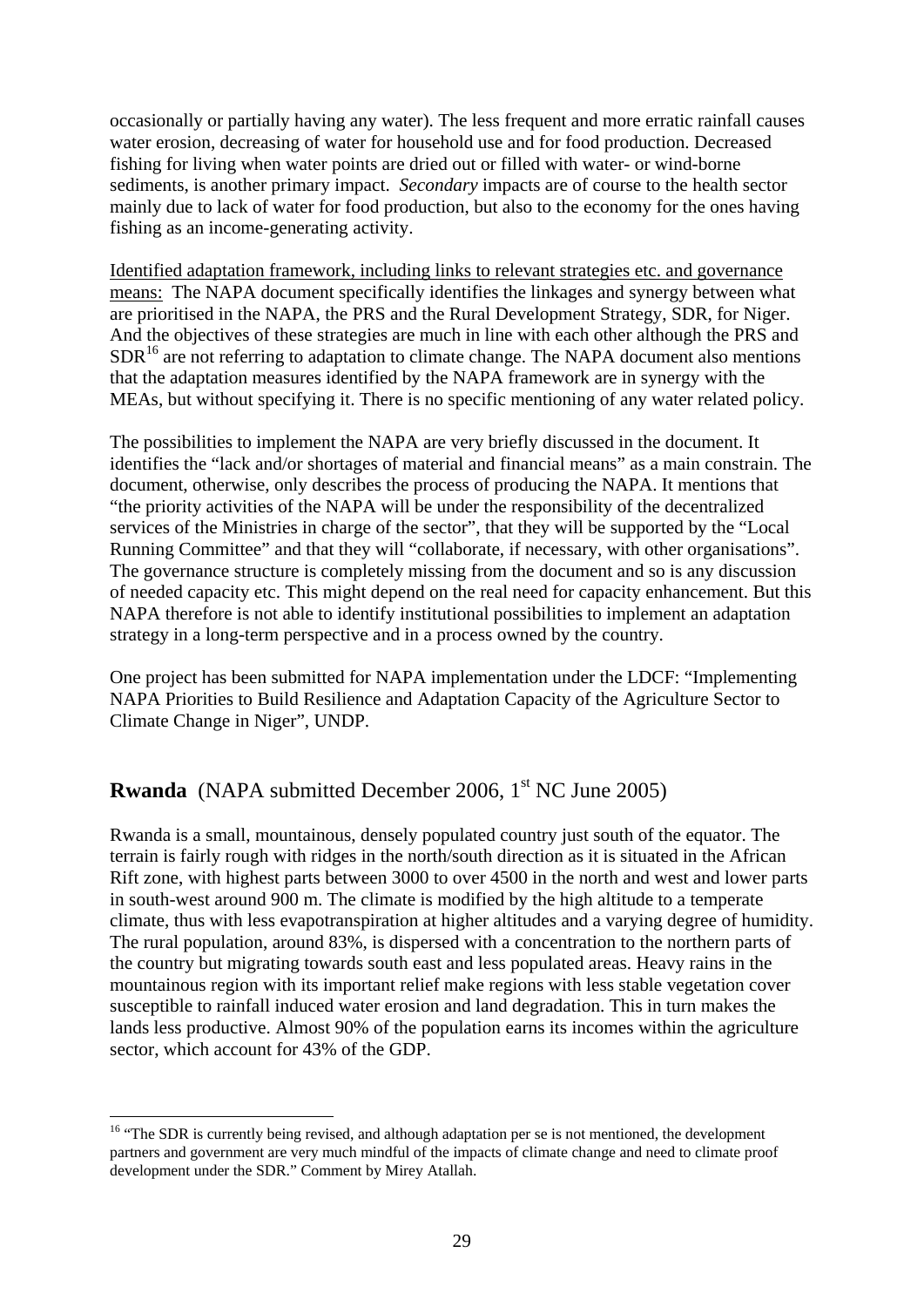occasionally or partially having any water). The less frequent and more erratic rainfall causes water erosion, decreasing of water for household use and for food production. Decreased fishing for living when water points are dried out or filled with water- or wind-borne sediments, is another primary impact. *Secondary* impacts are of course to the health sector mainly due to lack of water for food production, but also to the economy for the ones having fishing as an income-generating activity.

Identified adaptation framework, including links to relevant strategies etc. and governance means: The NAPA document specifically identifies the linkages and synergy between what are prioritised in the NAPA, the PRS and the Rural Development Strategy, SDR, for Niger. And the objectives of these strategies are much in line with each other although the PRS and  $SDR<sup>16</sup>$  are not referring to adaptation to climate change. The NAPA document also mentions that the adaptation measures identified by the NAPA framework are in synergy with the MEAs, but without specifying it. There is no specific mentioning of any water related policy.

The possibilities to implement the NAPA are very briefly discussed in the document. It identifies the "lack and/or shortages of material and financial means" as a main constrain. The document, otherwise, only describes the process of producing the NAPA. It mentions that "the priority activities of the NAPA will be under the responsibility of the decentralized services of the Ministries in charge of the sector", that they will be supported by the "Local Running Committee" and that they will "collaborate, if necessary, with other organisations". The governance structure is completely missing from the document and so is any discussion of needed capacity etc. This might depend on the real need for capacity enhancement. But this NAPA therefore is not able to identify institutional possibilities to implement an adaptation strategy in a long-term perspective and in a process owned by the country.

One project has been submitted for NAPA implementation under the LDCF: "Implementing NAPA Priorities to Build Resilience and Adaptation Capacity of the Agriculture Sector to Climate Change in Niger", UNDP.

# **Rwanda** (NAPA submitted December 2006, 1<sup>st</sup> NC June 2005)

Rwanda is a small, mountainous, densely populated country just south of the equator. The terrain is fairly rough with ridges in the north/south direction as it is situated in the African Rift zone, with highest parts between 3000 to over 4500 in the north and west and lower parts in south-west around 900 m. The climate is modified by the high altitude to a temperate climate, thus with less evapotranspiration at higher altitudes and a varying degree of humidity. The rural population, around 83%, is dispersed with a concentration to the northern parts of the country but migrating towards south east and less populated areas. Heavy rains in the mountainous region with its important relief make regions with less stable vegetation cover susceptible to rainfall induced water erosion and land degradation. This in turn makes the lands less productive. Almost 90% of the population earns its incomes within the agriculture sector, which account for 43% of the GDP.

1

 $16$  "The SDR is currently being revised, and although adaptation per se is not mentioned, the development partners and government are very much mindful of the impacts of climate change and need to climate proof development under the SDR." Comment by Mirey Atallah.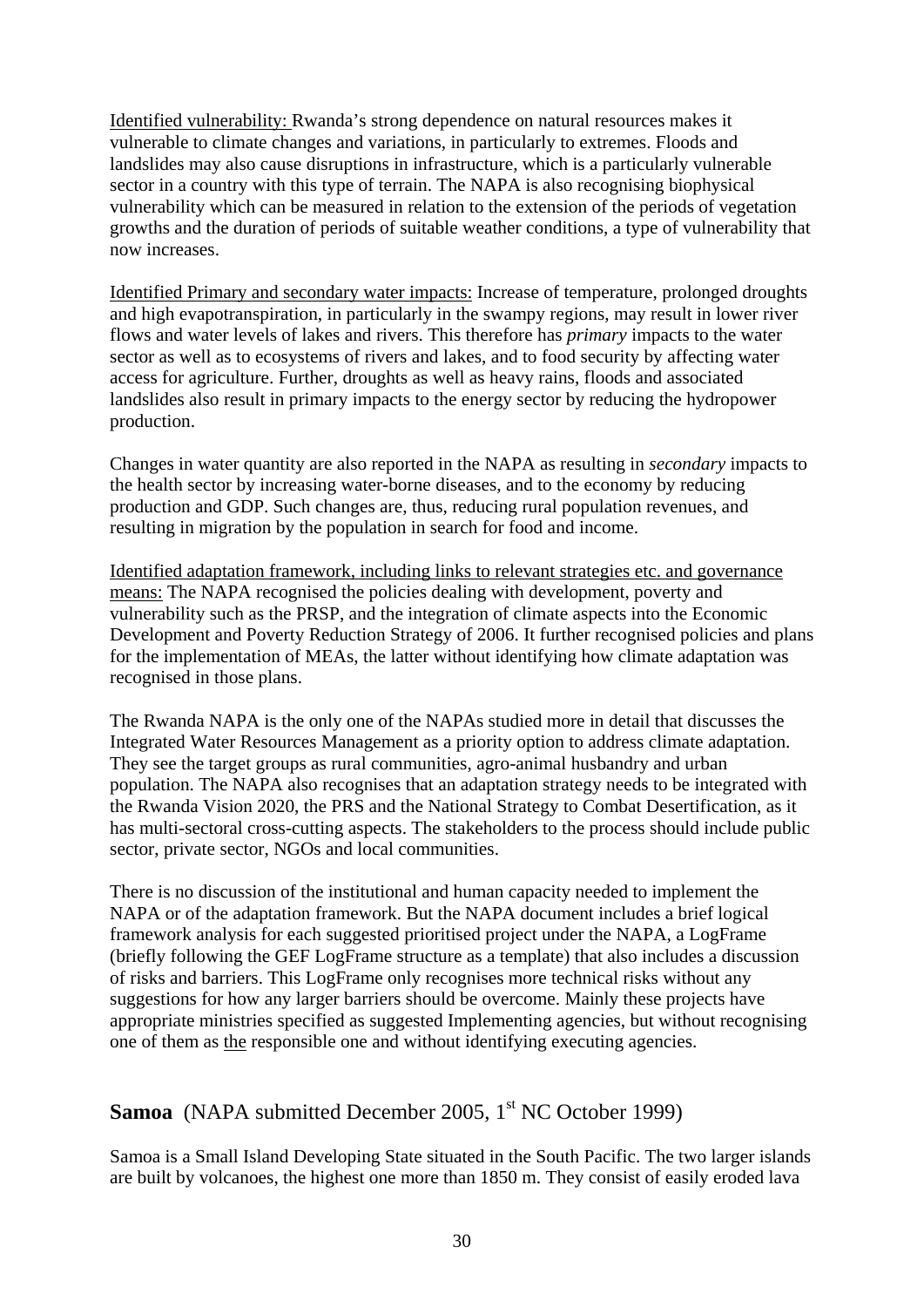Identified vulnerability: Rwanda's strong dependence on natural resources makes it vulnerable to climate changes and variations, in particularly to extremes. Floods and landslides may also cause disruptions in infrastructure, which is a particularly vulnerable sector in a country with this type of terrain. The NAPA is also recognising biophysical vulnerability which can be measured in relation to the extension of the periods of vegetation growths and the duration of periods of suitable weather conditions, a type of vulnerability that now increases.

Identified Primary and secondary water impacts: Increase of temperature, prolonged droughts and high evapotranspiration, in particularly in the swampy regions, may result in lower river flows and water levels of lakes and rivers. This therefore has *primary* impacts to the water sector as well as to ecosystems of rivers and lakes, and to food security by affecting water access for agriculture. Further, droughts as well as heavy rains, floods and associated landslides also result in primary impacts to the energy sector by reducing the hydropower production.

Changes in water quantity are also reported in the NAPA as resulting in *secondary* impacts to the health sector by increasing water-borne diseases, and to the economy by reducing production and GDP. Such changes are, thus, reducing rural population revenues, and resulting in migration by the population in search for food and income.

Identified adaptation framework, including links to relevant strategies etc. and governance means: The NAPA recognised the policies dealing with development, poverty and vulnerability such as the PRSP, and the integration of climate aspects into the Economic Development and Poverty Reduction Strategy of 2006. It further recognised policies and plans for the implementation of MEAs, the latter without identifying how climate adaptation was recognised in those plans.

The Rwanda NAPA is the only one of the NAPAs studied more in detail that discusses the Integrated Water Resources Management as a priority option to address climate adaptation. They see the target groups as rural communities, agro-animal husbandry and urban population. The NAPA also recognises that an adaptation strategy needs to be integrated with the Rwanda Vision 2020, the PRS and the National Strategy to Combat Desertification, as it has multi-sectoral cross-cutting aspects. The stakeholders to the process should include public sector, private sector, NGOs and local communities.

There is no discussion of the institutional and human capacity needed to implement the NAPA or of the adaptation framework. But the NAPA document includes a brief logical framework analysis for each suggested prioritised project under the NAPA, a LogFrame (briefly following the GEF LogFrame structure as a template) that also includes a discussion of risks and barriers. This LogFrame only recognises more technical risks without any suggestions for how any larger barriers should be overcome. Mainly these projects have appropriate ministries specified as suggested Implementing agencies, but without recognising one of them as the responsible one and without identifying executing agencies.

# **Samoa** (NAPA submitted December 2005, 1<sup>st</sup> NC October 1999)

Samoa is a Small Island Developing State situated in the South Pacific. The two larger islands are built by volcanoes, the highest one more than 1850 m. They consist of easily eroded lava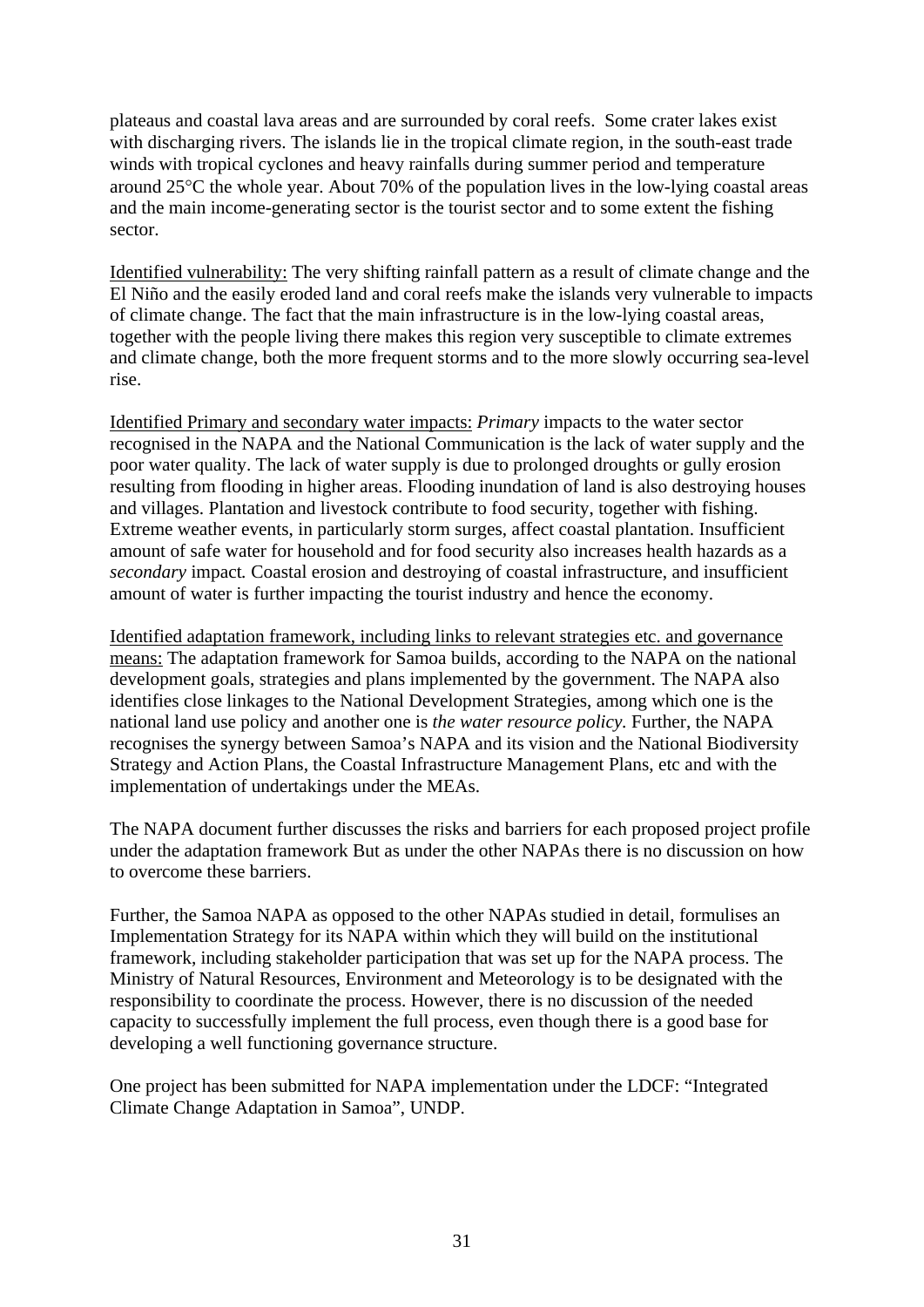plateaus and coastal lava areas and are surrounded by coral reefs. Some crater lakes exist with discharging rivers. The islands lie in the tropical climate region, in the south-east trade winds with tropical cyclones and heavy rainfalls during summer period and temperature around  $25^{\circ}$ C the whole year. About 70% of the population lives in the low-lying coastal areas and the main income-generating sector is the tourist sector and to some extent the fishing sector.

Identified vulnerability: The very shifting rainfall pattern as a result of climate change and the El Niño and the easily eroded land and coral reefs make the islands very vulnerable to impacts of climate change. The fact that the main infrastructure is in the low-lying coastal areas, together with the people living there makes this region very susceptible to climate extremes and climate change, both the more frequent storms and to the more slowly occurring sea-level rise.

Identified Primary and secondary water impacts: *Primary* impacts to the water sector recognised in the NAPA and the National Communication is the lack of water supply and the poor water quality. The lack of water supply is due to prolonged droughts or gully erosion resulting from flooding in higher areas. Flooding inundation of land is also destroying houses and villages. Plantation and livestock contribute to food security, together with fishing. Extreme weather events, in particularly storm surges, affect coastal plantation. Insufficient amount of safe water for household and for food security also increases health hazards as a *secondary* impact*.* Coastal erosion and destroying of coastal infrastructure, and insufficient amount of water is further impacting the tourist industry and hence the economy.

Identified adaptation framework, including links to relevant strategies etc. and governance means: The adaptation framework for Samoa builds, according to the NAPA on the national development goals, strategies and plans implemented by the government. The NAPA also identifies close linkages to the National Development Strategies, among which one is the national land use policy and another one is *the water resource policy.* Further, the NAPA recognises the synergy between Samoa's NAPA and its vision and the National Biodiversity Strategy and Action Plans, the Coastal Infrastructure Management Plans, etc and with the implementation of undertakings under the MEAs.

The NAPA document further discusses the risks and barriers for each proposed project profile under the adaptation framework But as under the other NAPAs there is no discussion on how to overcome these barriers.

Further, the Samoa NAPA as opposed to the other NAPAs studied in detail, formulises an Implementation Strategy for its NAPA within which they will build on the institutional framework, including stakeholder participation that was set up for the NAPA process. The Ministry of Natural Resources, Environment and Meteorology is to be designated with the responsibility to coordinate the process. However, there is no discussion of the needed capacity to successfully implement the full process, even though there is a good base for developing a well functioning governance structure.

One project has been submitted for NAPA implementation under the LDCF: "Integrated Climate Change Adaptation in Samoa", UNDP.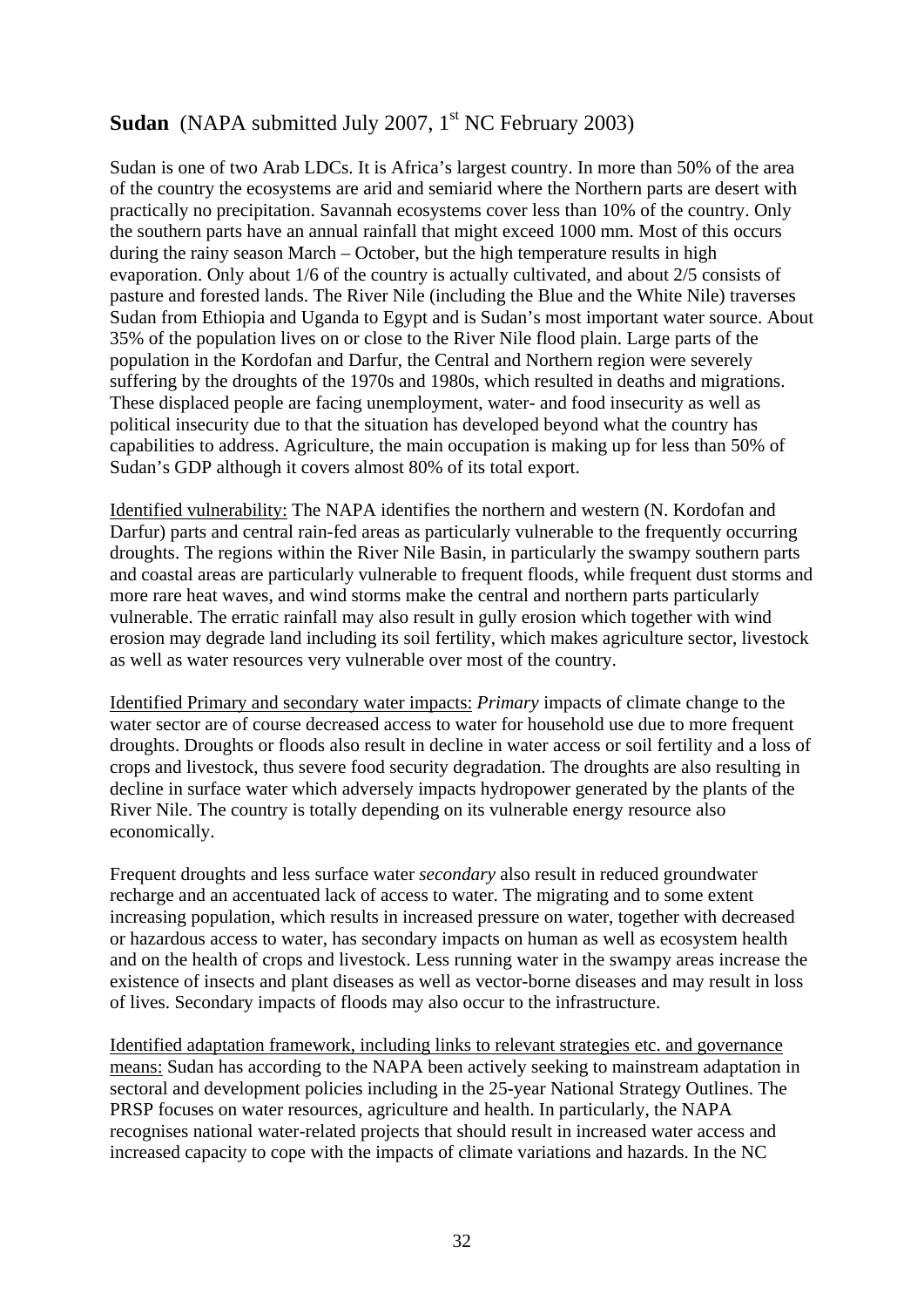# **Sudan** (NAPA submitted July 2007, 1<sup>st</sup> NC February 2003)

Sudan is one of two Arab LDCs. It is Africa's largest country. In more than 50% of the area of the country the ecosystems are arid and semiarid where the Northern parts are desert with practically no precipitation. Savannah ecosystems cover less than 10% of the country. Only the southern parts have an annual rainfall that might exceed 1000 mm. Most of this occurs during the rainy season March – October, but the high temperature results in high evaporation. Only about 1/6 of the country is actually cultivated, and about 2/5 consists of pasture and forested lands. The River Nile (including the Blue and the White Nile) traverses Sudan from Ethiopia and Uganda to Egypt and is Sudan's most important water source. About 35% of the population lives on or close to the River Nile flood plain. Large parts of the population in the Kordofan and Darfur, the Central and Northern region were severely suffering by the droughts of the 1970s and 1980s, which resulted in deaths and migrations. These displaced people are facing unemployment, water- and food insecurity as well as political insecurity due to that the situation has developed beyond what the country has capabilities to address. Agriculture, the main occupation is making up for less than 50% of Sudan's GDP although it covers almost 80% of its total export.

Identified vulnerability: The NAPA identifies the northern and western (N. Kordofan and Darfur) parts and central rain-fed areas as particularly vulnerable to the frequently occurring droughts. The regions within the River Nile Basin, in particularly the swampy southern parts and coastal areas are particularly vulnerable to frequent floods, while frequent dust storms and more rare heat waves, and wind storms make the central and northern parts particularly vulnerable. The erratic rainfall may also result in gully erosion which together with wind erosion may degrade land including its soil fertility, which makes agriculture sector, livestock as well as water resources very vulnerable over most of the country.

Identified Primary and secondary water impacts: *Primary* impacts of climate change to the water sector are of course decreased access to water for household use due to more frequent droughts. Droughts or floods also result in decline in water access or soil fertility and a loss of crops and livestock, thus severe food security degradation. The droughts are also resulting in decline in surface water which adversely impacts hydropower generated by the plants of the River Nile. The country is totally depending on its vulnerable energy resource also economically.

Frequent droughts and less surface water *secondary* also result in reduced groundwater recharge and an accentuated lack of access to water. The migrating and to some extent increasing population, which results in increased pressure on water, together with decreased or hazardous access to water, has secondary impacts on human as well as ecosystem health and on the health of crops and livestock. Less running water in the swampy areas increase the existence of insects and plant diseases as well as vector-borne diseases and may result in loss of lives. Secondary impacts of floods may also occur to the infrastructure.

Identified adaptation framework, including links to relevant strategies etc. and governance means: Sudan has according to the NAPA been actively seeking to mainstream adaptation in sectoral and development policies including in the 25-year National Strategy Outlines. The PRSP focuses on water resources, agriculture and health. In particularly, the NAPA recognises national water-related projects that should result in increased water access and increased capacity to cope with the impacts of climate variations and hazards. In the NC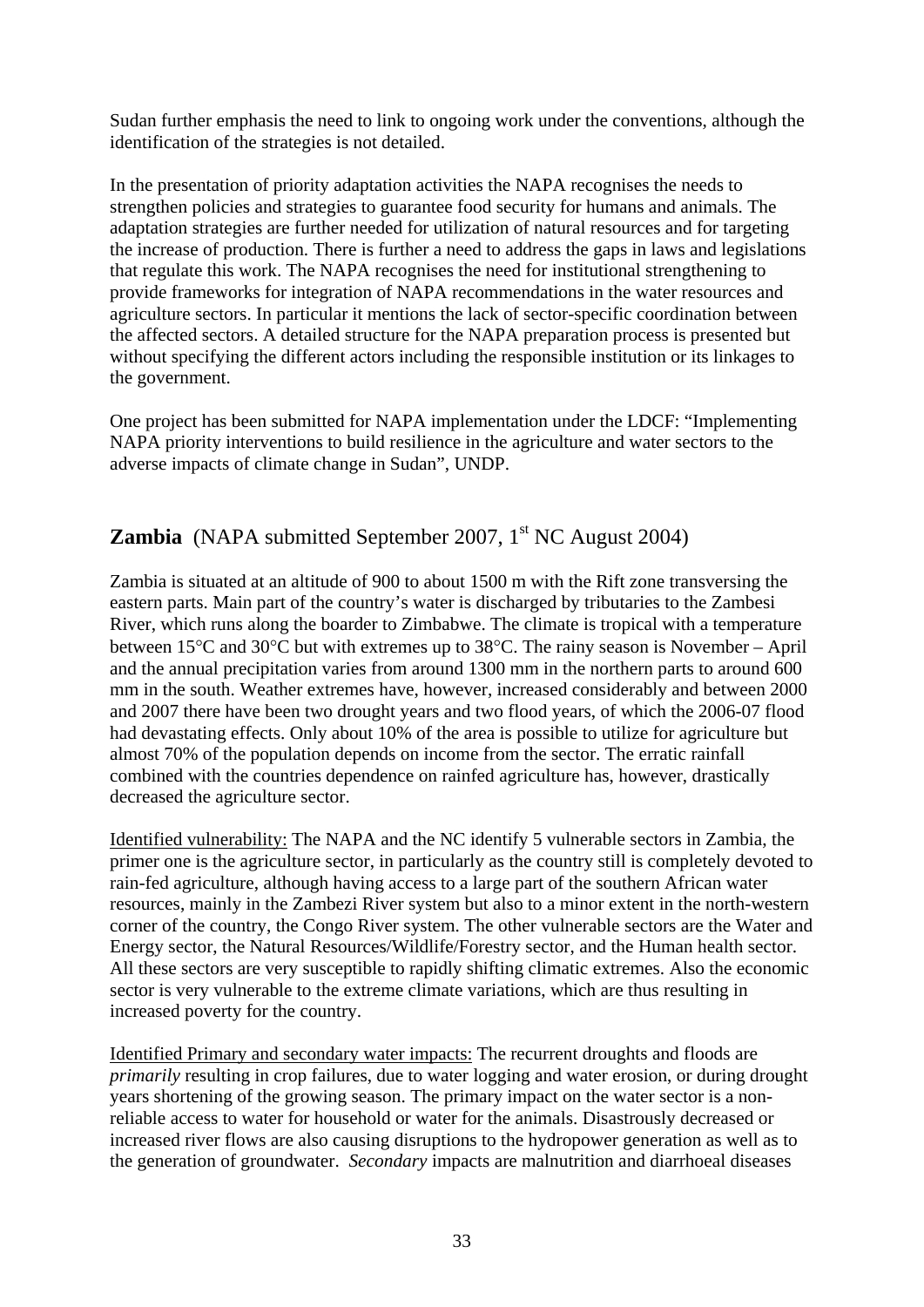Sudan further emphasis the need to link to ongoing work under the conventions, although the identification of the strategies is not detailed.

In the presentation of priority adaptation activities the NAPA recognises the needs to strengthen policies and strategies to guarantee food security for humans and animals. The adaptation strategies are further needed for utilization of natural resources and for targeting the increase of production. There is further a need to address the gaps in laws and legislations that regulate this work. The NAPA recognises the need for institutional strengthening to provide frameworks for integration of NAPA recommendations in the water resources and agriculture sectors. In particular it mentions the lack of sector-specific coordination between the affected sectors. A detailed structure for the NAPA preparation process is presented but without specifying the different actors including the responsible institution or its linkages to the government.

One project has been submitted for NAPA implementation under the LDCF: "Implementing NAPA priority interventions to build resilience in the agriculture and water sectors to the adverse impacts of climate change in Sudan", UNDP.

# **Zambia** (NAPA submitted September 2007,  $1<sup>st</sup> NC August 2004$ )

Zambia is situated at an altitude of 900 to about 1500 m with the Rift zone transversing the eastern parts. Main part of the country's water is discharged by tributaries to the Zambesi River, which runs along the boarder to Zimbabwe. The climate is tropical with a temperature between  $15^{\circ}$ C and  $30^{\circ}$ C but with extremes up to  $38^{\circ}$ C. The rainy season is November – April and the annual precipitation varies from around 1300 mm in the northern parts to around 600 mm in the south. Weather extremes have, however, increased considerably and between 2000 and 2007 there have been two drought years and two flood years, of which the 2006-07 flood had devastating effects. Only about 10% of the area is possible to utilize for agriculture but almost 70% of the population depends on income from the sector. The erratic rainfall combined with the countries dependence on rainfed agriculture has, however, drastically decreased the agriculture sector.

Identified vulnerability: The NAPA and the NC identify 5 vulnerable sectors in Zambia, the primer one is the agriculture sector, in particularly as the country still is completely devoted to rain-fed agriculture, although having access to a large part of the southern African water resources, mainly in the Zambezi River system but also to a minor extent in the north-western corner of the country, the Congo River system. The other vulnerable sectors are the Water and Energy sector, the Natural Resources/Wildlife/Forestry sector, and the Human health sector. All these sectors are very susceptible to rapidly shifting climatic extremes. Also the economic sector is very vulnerable to the extreme climate variations, which are thus resulting in increased poverty for the country.

Identified Primary and secondary water impacts: The recurrent droughts and floods are *primarily* resulting in crop failures, due to water logging and water erosion, or during drought years shortening of the growing season. The primary impact on the water sector is a nonreliable access to water for household or water for the animals. Disastrously decreased or increased river flows are also causing disruptions to the hydropower generation as well as to the generation of groundwater. *Secondary* impacts are malnutrition and diarrhoeal diseases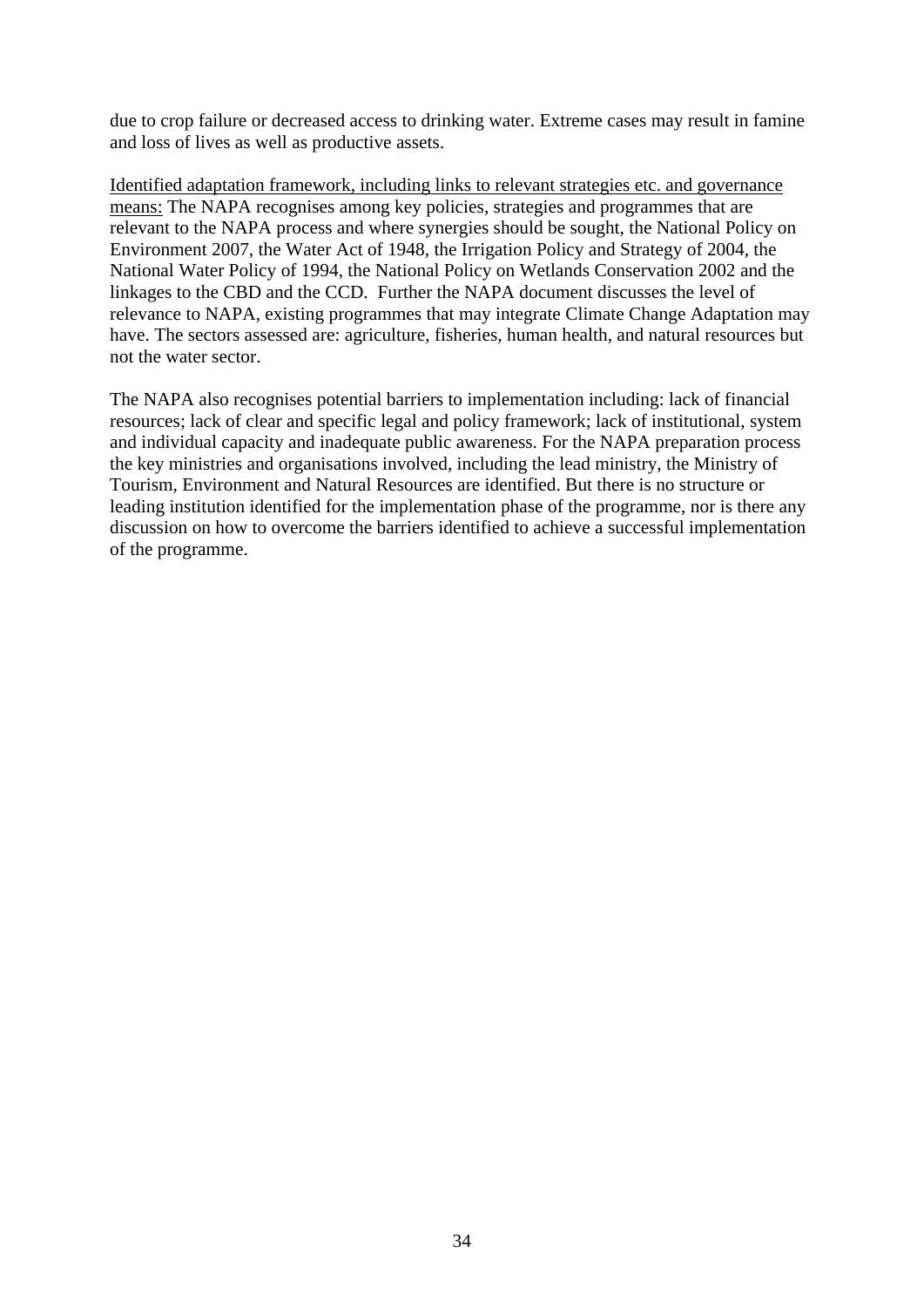due to crop failure or decreased access to drinking water. Extreme cases may result in famine and loss of lives as well as productive assets.

Identified adaptation framework, including links to relevant strategies etc. and governance means: The NAPA recognises among key policies, strategies and programmes that are relevant to the NAPA process and where synergies should be sought, the National Policy on Environment 2007, the Water Act of 1948, the Irrigation Policy and Strategy of 2004, the National Water Policy of 1994, the National Policy on Wetlands Conservation 2002 and the linkages to the CBD and the CCD. Further the NAPA document discusses the level of relevance to NAPA, existing programmes that may integrate Climate Change Adaptation may have. The sectors assessed are: agriculture, fisheries, human health, and natural resources but not the water sector.

The NAPA also recognises potential barriers to implementation including: lack of financial resources; lack of clear and specific legal and policy framework; lack of institutional, system and individual capacity and inadequate public awareness. For the NAPA preparation process the key ministries and organisations involved, including the lead ministry, the Ministry of Tourism, Environment and Natural Resources are identified. But there is no structure or leading institution identified for the implementation phase of the programme, nor is there any discussion on how to overcome the barriers identified to achieve a successful implementation of the programme.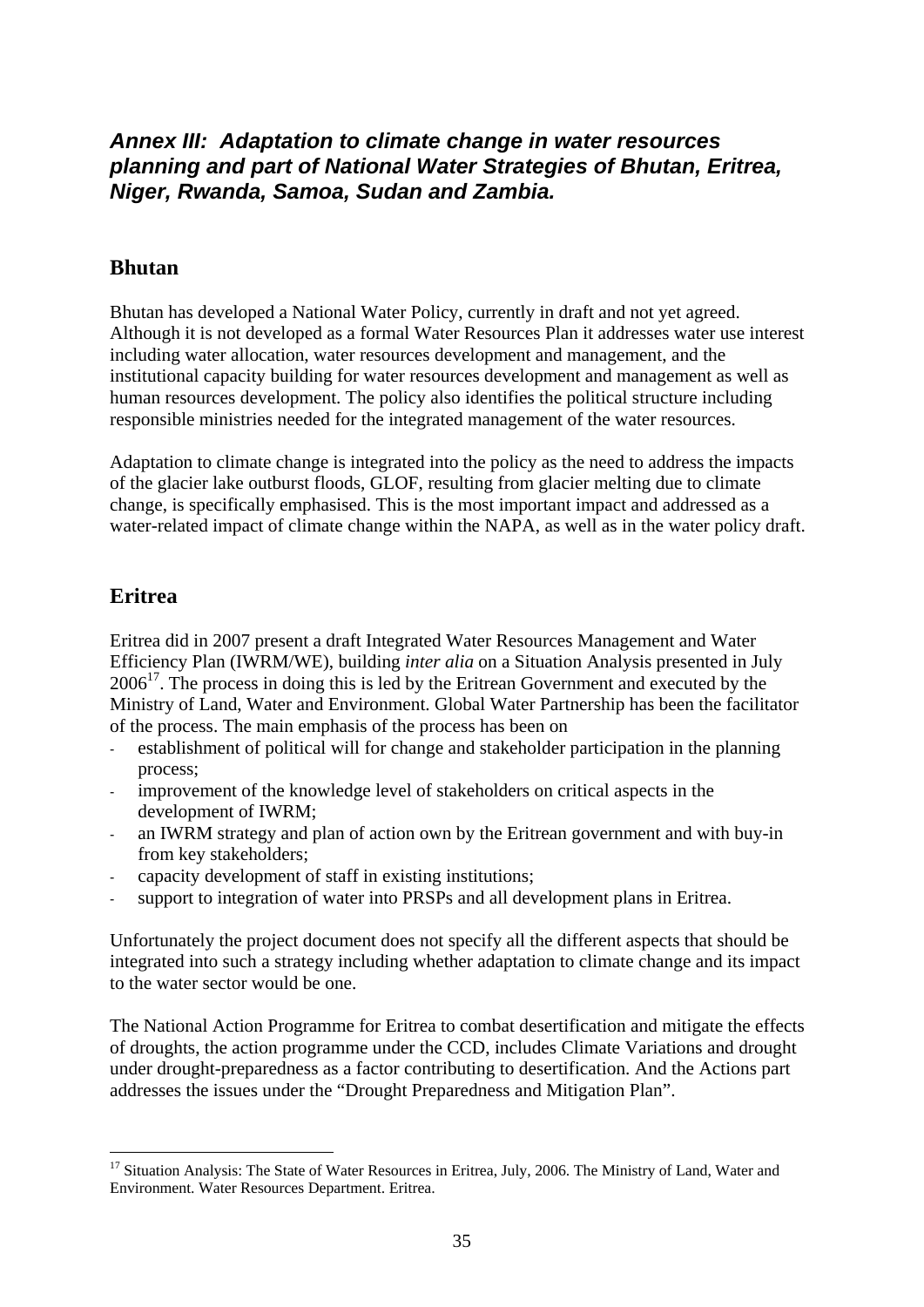# *Annex III: Adaptation to climate change in water resources planning and part of National Water Strategies of Bhutan, Eritrea, Niger, Rwanda, Samoa, Sudan and Zambia.*

#### **Bhutan**

Bhutan has developed a National Water Policy, currently in draft and not yet agreed. Although it is not developed as a formal Water Resources Plan it addresses water use interest including water allocation, water resources development and management, and the institutional capacity building for water resources development and management as well as human resources development. The policy also identifies the political structure including responsible ministries needed for the integrated management of the water resources.

Adaptation to climate change is integrated into the policy as the need to address the impacts of the glacier lake outburst floods, GLOF, resulting from glacier melting due to climate change, is specifically emphasised. This is the most important impact and addressed as a water-related impact of climate change within the NAPA, as well as in the water policy draft.

# **Eritrea**

Eritrea did in 2007 present a draft Integrated Water Resources Management and Water Efficiency Plan (IWRM/WE), building *inter alia* on a Situation Analysis presented in July  $2006<sup>17</sup>$ . The process in doing this is led by the Eritrean Government and executed by the Ministry of Land, Water and Environment. Global Water Partnership has been the facilitator of the process. The main emphasis of the process has been on

- establishment of political will for change and stakeholder participation in the planning process;
- improvement of the knowledge level of stakeholders on critical aspects in the development of IWRM;
- an IWRM strategy and plan of action own by the Eritrean government and with buy-in from key stakeholders;
- capacity development of staff in existing institutions;
- support to integration of water into PRSPs and all development plans in Eritrea.

Unfortunately the project document does not specify all the different aspects that should be integrated into such a strategy including whether adaptation to climate change and its impact to the water sector would be one.

The National Action Programme for Eritrea to combat desertification and mitigate the effects of droughts, the action programme under the CCD, includes Climate Variations and drought under drought-preparedness as a factor contributing to desertification. And the Actions part addresses the issues under the "Drought Preparedness and Mitigation Plan".

<sup>1</sup> <sup>17</sup> Situation Analysis: The State of Water Resources in Eritrea, July, 2006. The Ministry of Land, Water and Environment. Water Resources Department. Eritrea.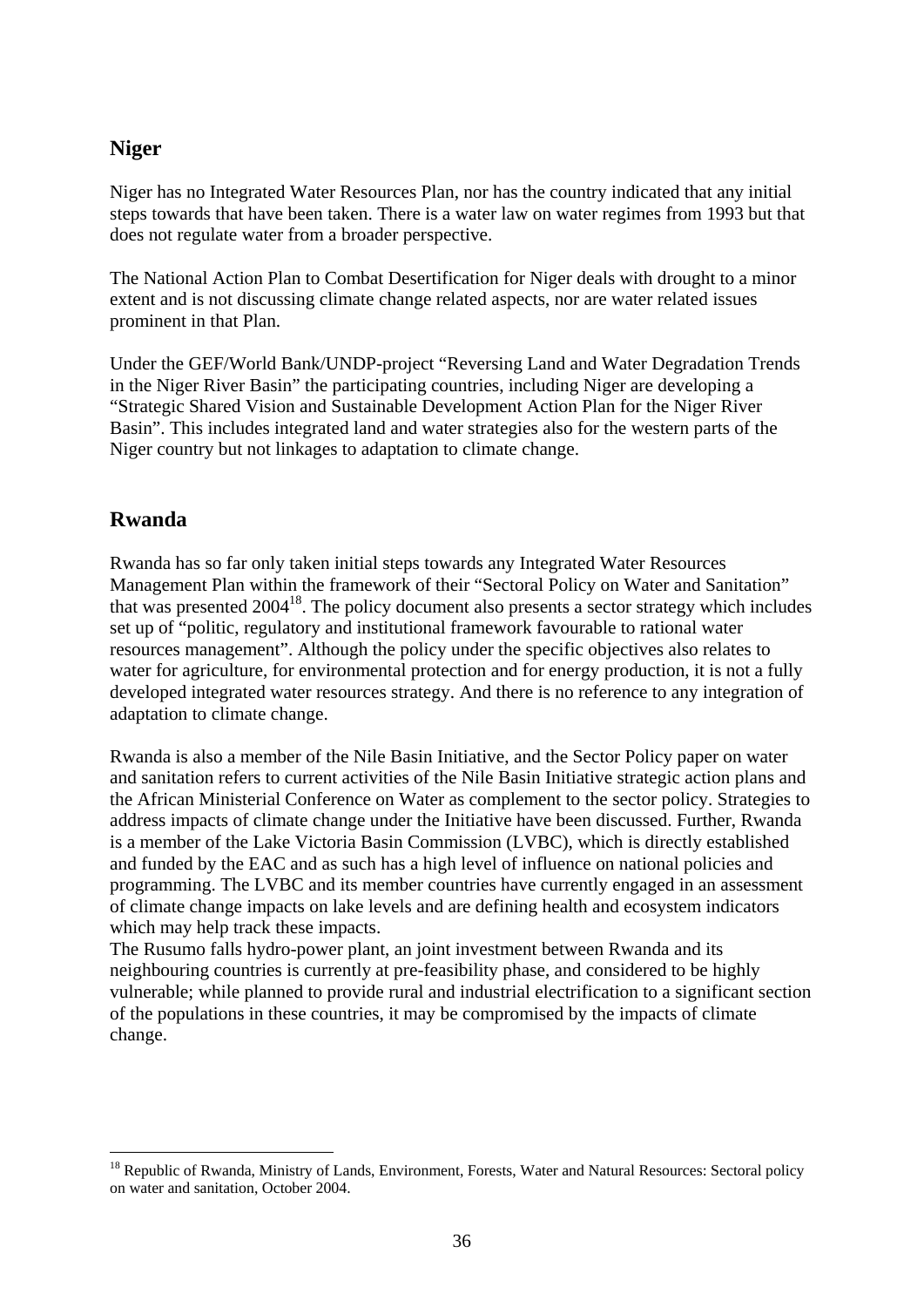#### **Niger**

Niger has no Integrated Water Resources Plan, nor has the country indicated that any initial steps towards that have been taken. There is a water law on water regimes from 1993 but that does not regulate water from a broader perspective.

The National Action Plan to Combat Desertification for Niger deals with drought to a minor extent and is not discussing climate change related aspects, nor are water related issues prominent in that Plan.

Under the GEF/World Bank/UNDP-project "Reversing Land and Water Degradation Trends in the Niger River Basin" the participating countries, including Niger are developing a "Strategic Shared Vision and Sustainable Development Action Plan for the Niger River Basin". This includes integrated land and water strategies also for the western parts of the Niger country but not linkages to adaptation to climate change.

### **Rwanda**

1

Rwanda has so far only taken initial steps towards any Integrated Water Resources Management Plan within the framework of their "Sectoral Policy on Water and Sanitation" that was presented  $2004^{18}$ . The policy document also presents a sector strategy which includes set up of "politic, regulatory and institutional framework favourable to rational water resources management". Although the policy under the specific objectives also relates to water for agriculture, for environmental protection and for energy production, it is not a fully developed integrated water resources strategy. And there is no reference to any integration of adaptation to climate change.

Rwanda is also a member of the Nile Basin Initiative, and the Sector Policy paper on water and sanitation refers to current activities of the Nile Basin Initiative strategic action plans and the African Ministerial Conference on Water as complement to the sector policy. Strategies to address impacts of climate change under the Initiative have been discussed. Further, Rwanda is a member of the Lake Victoria Basin Commission (LVBC), which is directly established and funded by the EAC and as such has a high level of influence on national policies and programming. The LVBC and its member countries have currently engaged in an assessment of climate change impacts on lake levels and are defining health and ecosystem indicators which may help track these impacts.

The Rusumo falls hydro-power plant, an joint investment between Rwanda and its neighbouring countries is currently at pre-feasibility phase, and considered to be highly vulnerable; while planned to provide rural and industrial electrification to a significant section of the populations in these countries, it may be compromised by the impacts of climate change.

<sup>&</sup>lt;sup>18</sup> Republic of Rwanda, Ministry of Lands, Environment, Forests, Water and Natural Resources: Sectoral policy on water and sanitation, October 2004.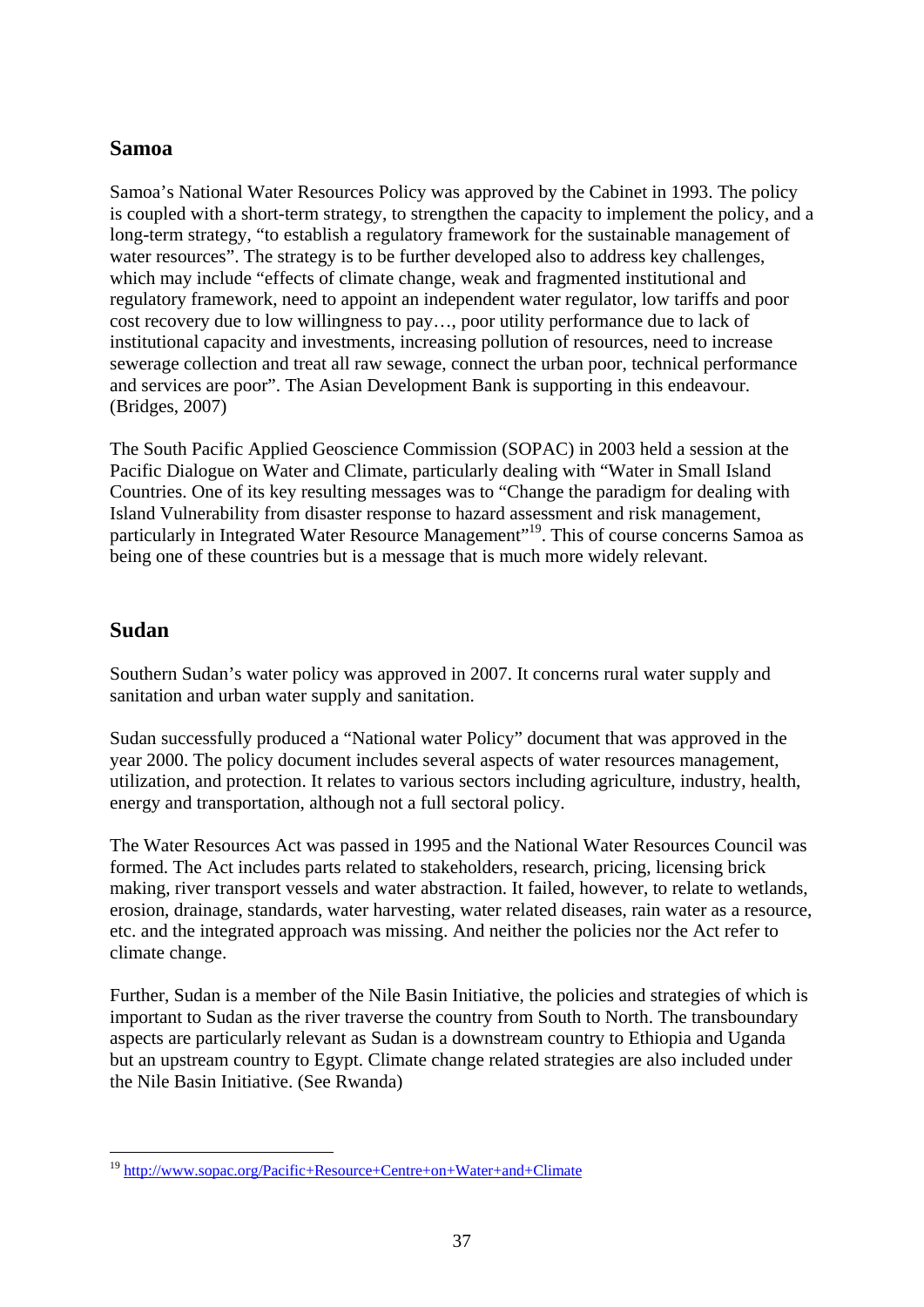### **Samoa**

Samoa's National Water Resources Policy was approved by the Cabinet in 1993. The policy is coupled with a short-term strategy, to strengthen the capacity to implement the policy, and a long-term strategy, "to establish a regulatory framework for the sustainable management of water resources". The strategy is to be further developed also to address key challenges, which may include "effects of climate change, weak and fragmented institutional and regulatory framework, need to appoint an independent water regulator, low tariffs and poor cost recovery due to low willingness to pay…, poor utility performance due to lack of institutional capacity and investments, increasing pollution of resources, need to increase sewerage collection and treat all raw sewage, connect the urban poor, technical performance and services are poor". The Asian Development Bank is supporting in this endeavour. (Bridges, 2007)

The South Pacific Applied Geoscience Commission (SOPAC) in 2003 held a session at the Pacific Dialogue on Water and Climate, particularly dealing with "Water in Small Island Countries. One of its key resulting messages was to "Change the paradigm for dealing with Island Vulnerability from disaster response to hazard assessment and risk management, particularly in Integrated Water Resource Management"<sup>19</sup>. This of course concerns Samoa as being one of these countries but is a message that is much more widely relevant.

### **Sudan**

Southern Sudan's water policy was approved in 2007. It concerns rural water supply and sanitation and urban water supply and sanitation.

Sudan successfully produced a "National water Policy" document that was approved in the year 2000. The policy document includes several aspects of water resources management, utilization, and protection. It relates to various sectors including agriculture, industry, health, energy and transportation, although not a full sectoral policy.

The Water Resources Act was passed in 1995 and the National Water Resources Council was formed. The Act includes parts related to stakeholders, research, pricing, licensing brick making, river transport vessels and water abstraction. It failed, however, to relate to wetlands, erosion, drainage, standards, water harvesting, water related diseases, rain water as a resource, etc. and the integrated approach was missing. And neither the policies nor the Act refer to climate change.

Further, Sudan is a member of the Nile Basin Initiative, the policies and strategies of which is important to Sudan as the river traverse the country from South to North. The transboundary aspects are particularly relevant as Sudan is a downstream country to Ethiopia and Uganda but an upstream country to Egypt. Climate change related strategies are also included under the Nile Basin Initiative. (See Rwanda)

<sup>1</sup> <sup>19</sup> http://www.sopac.org/Pacific+Resource+Centre+on+Water+and+Climate